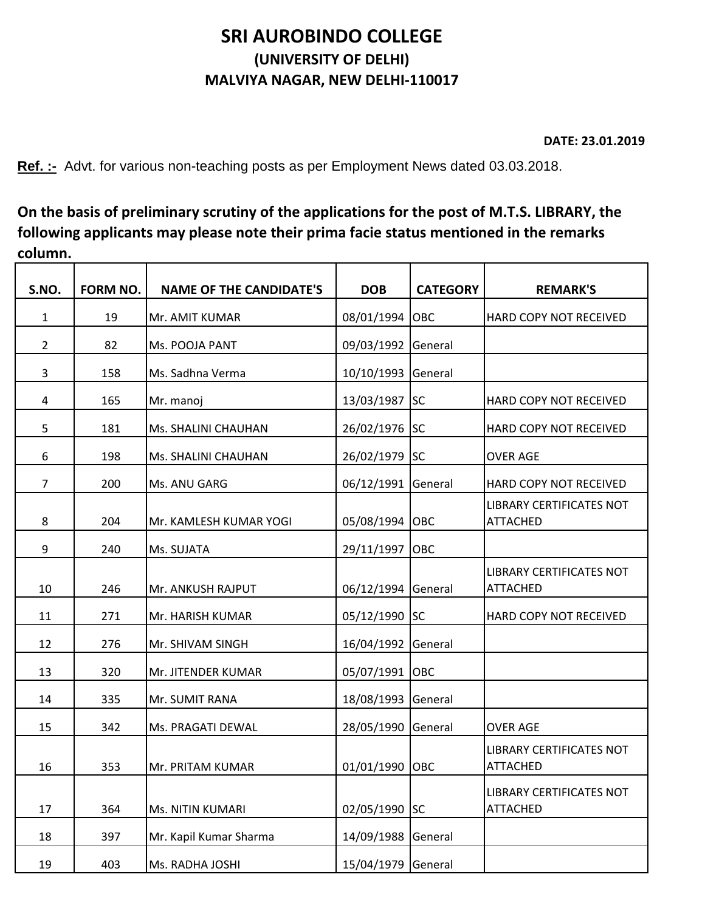## **SRI AUROBINDO COLLEGE (UNIVERSITY OF DELHI) MALVIYA NAGAR, NEW DELHI-110017**

**DATE: 23.01.2019**

**Ref. :-** Advt. for various non-teaching posts as per Employment News dated 03.03.2018.

**On the basis of preliminary scrutiny of the applications for the post of M.T.S. LIBRARY, the following applicants may please note their prima facie status mentioned in the remarks column.**

| S.NO.          | FORM NO. | <b>NAME OF THE CANDIDATE'S</b> | <b>DOB</b>         | <b>CATEGORY</b> | <b>REMARK'S</b>                                    |
|----------------|----------|--------------------------------|--------------------|-----------------|----------------------------------------------------|
| 1              | 19       | Mr. AMIT KUMAR                 | 08/01/1994 OBC     |                 | HARD COPY NOT RECEIVED                             |
| $\overline{2}$ | 82       | Ms. POOJA PANT                 | 09/03/1992         | General         |                                                    |
| 3              | 158      | Ms. Sadhna Verma               | 10/10/1993         | General         |                                                    |
| 4              | 165      | Mr. manoj                      | 13/03/1987         | <b>SC</b>       | HARD COPY NOT RECEIVED                             |
| 5              | 181      | Ms. SHALINI CHAUHAN            | 26/02/1976 SC      |                 | HARD COPY NOT RECEIVED                             |
| 6              | 198      | Ms. SHALINI CHAUHAN            | 26/02/1979 SC      |                 | <b>OVER AGE</b>                                    |
| $\overline{7}$ | 200      | Ms. ANU GARG                   | 06/12/1991 General |                 | HARD COPY NOT RECEIVED                             |
| 8              | 204      | Mr. KAMLESH KUMAR YOGI         | 05/08/1994 OBC     |                 | LIBRARY CERTIFICATES NOT<br><b>ATTACHED</b>        |
| 9              | 240      | Ms. SUJATA                     | 29/11/1997         | OBC             |                                                    |
| 10             | 246      | Mr. ANKUSH RAJPUT              | 06/12/1994 General |                 | LIBRARY CERTIFICATES NOT<br><b>ATTACHED</b>        |
| 11             | 271      | Mr. HARISH KUMAR               | 05/12/1990 SC      |                 | HARD COPY NOT RECEIVED                             |
| 12             | 276      | Mr. SHIVAM SINGH               | 16/04/1992         | General         |                                                    |
| 13             | 320      | Mr. JITENDER KUMAR             | 05/07/1991 OBC     |                 |                                                    |
| 14             | 335      | Mr. SUMIT RANA                 | 18/08/1993 General |                 |                                                    |
| 15             | 342      | Ms. PRAGATI DEWAL              | 28/05/1990 General |                 | <b>OVER AGE</b>                                    |
| 16             | 353      | Mr. PRITAM KUMAR               | 01/01/1990 OBC     |                 | <b>LIBRARY CERTIFICATES NOT</b><br><b>ATTACHED</b> |
| 17             | 364      | <b>Ms. NITIN KUMARI</b>        | 02/05/1990 SC      |                 | LIBRARY CERTIFICATES NOT<br><b>ATTACHED</b>        |
| 18             | 397      | Mr. Kapil Kumar Sharma         | 14/09/1988         | General         |                                                    |
| 19             | 403      | Ms. RADHA JOSHI                | 15/04/1979 General |                 |                                                    |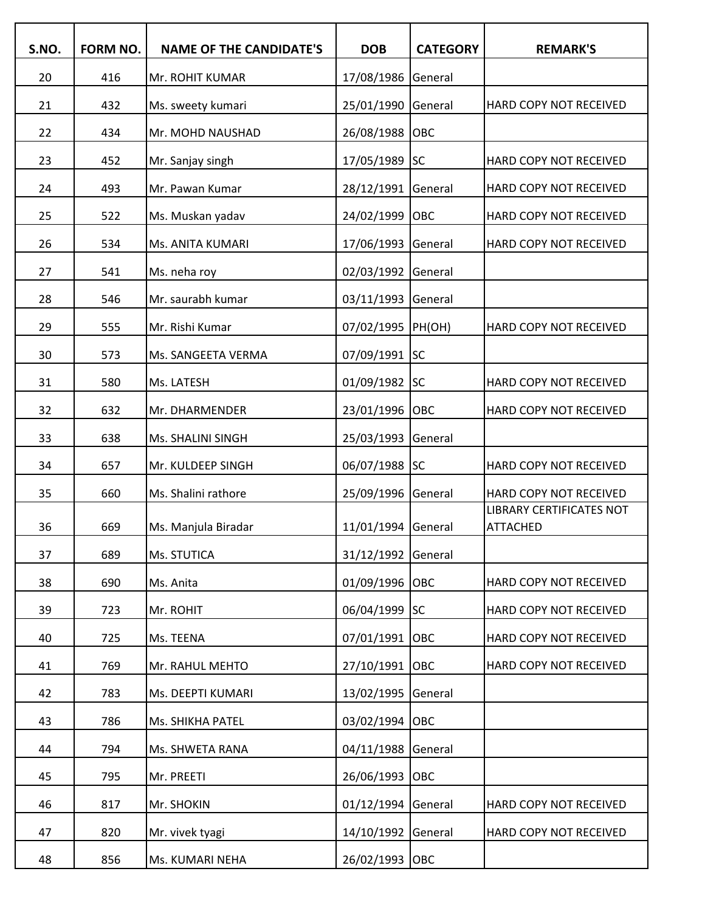| S.NO. | <b>FORM NO.</b> | <b>NAME OF THE CANDIDATE'S</b> | <b>DOB</b>         | <b>CATEGORY</b> | <b>REMARK'S</b>                             |
|-------|-----------------|--------------------------------|--------------------|-----------------|---------------------------------------------|
| 20    | 416             | Mr. ROHIT KUMAR                | 17/08/1986         | General         |                                             |
| 21    | 432             | Ms. sweety kumari              | 25/01/1990         | General         | HARD COPY NOT RECEIVED                      |
| 22    | 434             | Mr. MOHD NAUSHAD               | 26/08/1988         | OBC             |                                             |
| 23    | 452             | Mr. Sanjay singh               | 17/05/1989         | <b>SC</b>       | HARD COPY NOT RECEIVED                      |
| 24    | 493             | Mr. Pawan Kumar                | 28/12/1991         | General         | HARD COPY NOT RECEIVED                      |
| 25    | 522             | Ms. Muskan yadav               | 24/02/1999         | OBC             | HARD COPY NOT RECEIVED                      |
| 26    | 534             | Ms. ANITA KUMARI               | 17/06/1993         | General         | HARD COPY NOT RECEIVED                      |
| 27    | 541             | Ms. neha roy                   | 02/03/1992         | General         |                                             |
| 28    | 546             | Mr. saurabh kumar              | 03/11/1993         | General         |                                             |
| 29    | 555             | Mr. Rishi Kumar                | 07/02/1995 PH(OH)  |                 | HARD COPY NOT RECEIVED                      |
| 30    | 573             | Ms. SANGEETA VERMA             | 07/09/1991 SC      |                 |                                             |
| 31    | 580             | Ms. LATESH                     | 01/09/1982 SC      |                 | HARD COPY NOT RECEIVED                      |
| 32    | 632             | Mr. DHARMENDER                 | 23/01/1996         | <b>OBC</b>      | HARD COPY NOT RECEIVED                      |
| 33    | 638             | Ms. SHALINI SINGH              | 25/03/1993         | General         |                                             |
| 34    | 657             | Mr. KULDEEP SINGH              | 06/07/1988 SC      |                 | HARD COPY NOT RECEIVED                      |
| 35    | 660             | Ms. Shalini rathore            | 25/09/1996         | General         | HARD COPY NOT RECEIVED                      |
| 36    | 669             | Ms. Manjula Biradar            | 11/01/1994 General |                 | LIBRARY CERTIFICATES NOT<br><b>ATTACHED</b> |
| 37    | 689             | Ms. STUTICA                    | 31/12/1992         | General         |                                             |
| 38    | 690             | Ms. Anita                      | 01/09/1996         | Іовс            | HARD COPY NOT RECEIVED                      |
| 39    | 723             | Mr. ROHIT                      | 06/04/1999 SC      |                 | HARD COPY NOT RECEIVED                      |
| 40    | 725             | Ms. TEENA                      | 07/01/1991         | Іовс            | HARD COPY NOT RECEIVED                      |
| 41    | 769             | Mr. RAHUL MEHTO                | 27/10/1991         | <b>OBC</b>      | HARD COPY NOT RECEIVED                      |
| 42    | 783             | Ms. DEEPTI KUMARI              | 13/02/1995         | General         |                                             |
| 43    | 786             | Ms. SHIKHA PATEL               | 03/02/1994         | <b>OBC</b>      |                                             |
| 44    | 794             | Ms. SHWETA RANA                | 04/11/1988         | General         |                                             |
| 45    | 795             | Mr. PREETI                     | 26/06/1993         | <b>OBC</b>      |                                             |
| 46    | 817             | Mr. SHOKIN                     | 01/12/1994         | General         | HARD COPY NOT RECEIVED                      |
| 47    | 820             | Mr. vivek tyagi                | 14/10/1992         | General         | HARD COPY NOT RECEIVED                      |
| 48    | 856             | Ms. KUMARI NEHA                | 26/02/1993 OBC     |                 |                                             |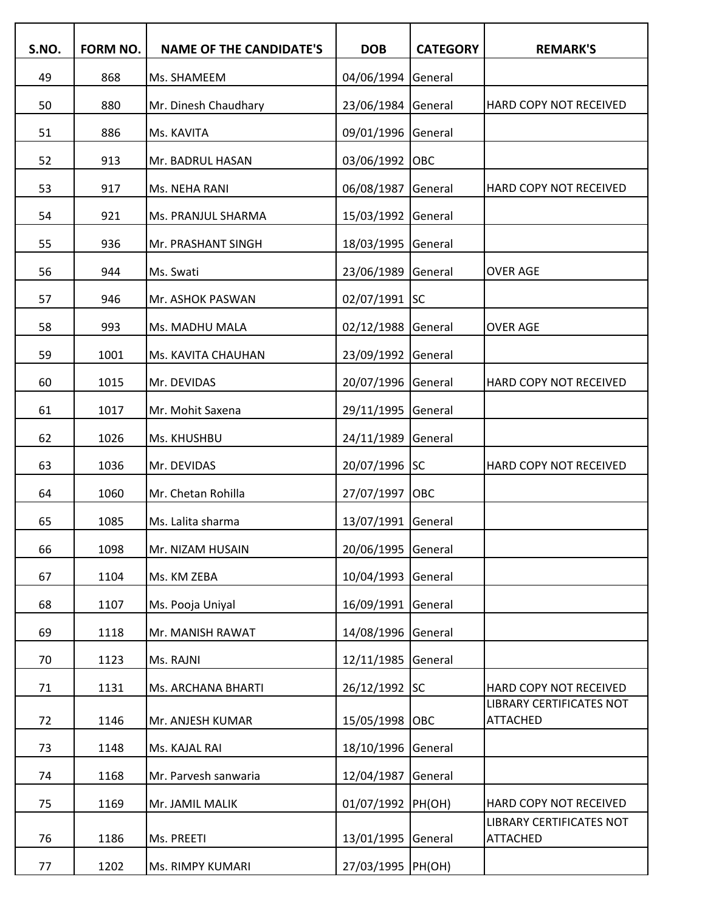| S.NO. | FORM NO. | <b>NAME OF THE CANDIDATE'S</b> | <b>DOB</b>         | <b>CATEGORY</b> | <b>REMARK'S</b>                             |
|-------|----------|--------------------------------|--------------------|-----------------|---------------------------------------------|
| 49    | 868      | Ms. SHAMEEM                    | 04/06/1994         | General         |                                             |
| 50    | 880      | Mr. Dinesh Chaudhary           | 23/06/1984         | General         | HARD COPY NOT RECEIVED                      |
| 51    | 886      | Ms. KAVITA                     | 09/01/1996         | General         |                                             |
| 52    | 913      | Mr. BADRUL HASAN               | 03/06/1992         | OBC             |                                             |
| 53    | 917      | Ms. NEHA RANI                  | 06/08/1987         | General         | <b>HARD COPY NOT RECEIVED</b>               |
| 54    | 921      | Ms. PRANJUL SHARMA             | 15/03/1992         | General         |                                             |
| 55    | 936      | Mr. PRASHANT SINGH             | 18/03/1995         | General         |                                             |
| 56    | 944      | Ms. Swati                      | 23/06/1989         | General         | <b>OVER AGE</b>                             |
| 57    | 946      | Mr. ASHOK PASWAN               | 02/07/1991 SC      |                 |                                             |
| 58    | 993      | Ms. MADHU MALA                 | 02/12/1988         | General         | <b>OVER AGE</b>                             |
| 59    | 1001     | Ms. KAVITA CHAUHAN             | 23/09/1992         | General         |                                             |
| 60    | 1015     | Mr. DEVIDAS                    | 20/07/1996         | General         | HARD COPY NOT RECEIVED                      |
| 61    | 1017     | Mr. Mohit Saxena               | 29/11/1995         | General         |                                             |
| 62    | 1026     | Ms. KHUSHBU                    | 24/11/1989         | General         |                                             |
| 63    | 1036     | Mr. DEVIDAS                    | 20/07/1996 SC      |                 | HARD COPY NOT RECEIVED                      |
| 64    | 1060     | Mr. Chetan Rohilla             | 27/07/1997         | OBC             |                                             |
| 65    | 1085     | Ms. Lalita sharma              | 13/07/1991         | General         |                                             |
| 66    | 1098     | Mr. NIZAM HUSAIN               | 20/06/1995         | General         |                                             |
| 67    | 1104     | Ms. KM ZEBA                    | 10/04/1993         | General         |                                             |
| 68    | 1107     | Ms. Pooja Uniyal               | 16/09/1991         | General         |                                             |
| 69    | 1118     | Mr. MANISH RAWAT               | 14/08/1996         | General         |                                             |
| 70    | 1123     | Ms. RAJNI                      | 12/11/1985         | General         |                                             |
| 71    | 1131     | Ms. ARCHANA BHARTI             | 26/12/1992 SC      |                 | HARD COPY NOT RECEIVED                      |
| 72    | 1146     | Mr. ANJESH KUMAR               | 15/05/1998         | <b>OBC</b>      | LIBRARY CERTIFICATES NOT<br><b>ATTACHED</b> |
| 73    | 1148     | Ms. KAJAL RAI                  | 18/10/1996         | General         |                                             |
| 74    | 1168     | Mr. Parvesh sanwaria           | 12/04/1987         | General         |                                             |
| 75    | 1169     | Mr. JAMIL MALIK                | 01/07/1992         | PH(OH)          | HARD COPY NOT RECEIVED                      |
| 76    | 1186     | Ms. PREETI                     | 13/01/1995         | General         | LIBRARY CERTIFICATES NOT<br><b>ATTACHED</b> |
| 77    | 1202     | Ms. RIMPY KUMARI               | 27/03/1995  PH(OH) |                 |                                             |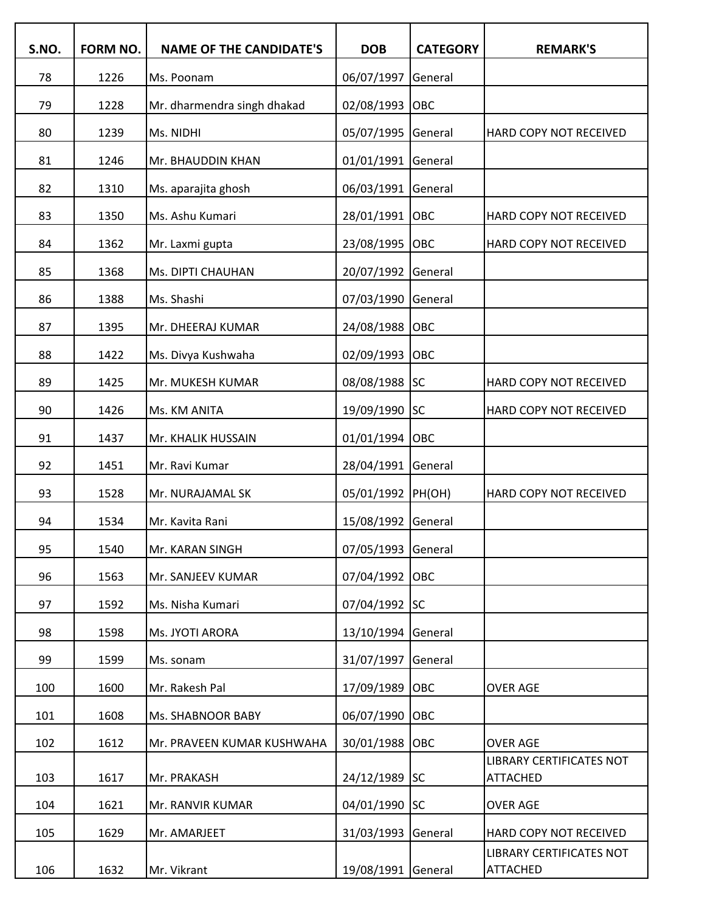| S.NO. | FORM NO. | <b>NAME OF THE CANDIDATE'S</b> | <b>DOB</b>         | <b>CATEGORY</b> | <b>REMARK'S</b>                             |
|-------|----------|--------------------------------|--------------------|-----------------|---------------------------------------------|
| 78    | 1226     | Ms. Poonam                     | 06/07/1997         | General         |                                             |
| 79    | 1228     | Mr. dharmendra singh dhakad    | 02/08/1993         | OBC             |                                             |
| 80    | 1239     | Ms. NIDHI                      | 05/07/1995         | General         | HARD COPY NOT RECEIVED                      |
| 81    | 1246     | Mr. BHAUDDIN KHAN              | 01/01/1991         | General         |                                             |
| 82    | 1310     | Ms. aparajita ghosh            | 06/03/1991         | General         |                                             |
| 83    | 1350     | Ms. Ashu Kumari                | 28/01/1991         | OBC             | HARD COPY NOT RECEIVED                      |
| 84    | 1362     | Mr. Laxmi gupta                | 23/08/1995         | OBC             | HARD COPY NOT RECEIVED                      |
| 85    | 1368     | Ms. DIPTI CHAUHAN              | 20/07/1992         | General         |                                             |
| 86    | 1388     | Ms. Shashi                     | 07/03/1990         | General         |                                             |
| 87    | 1395     | Mr. DHEERAJ KUMAR              | 24/08/1988         | OBC             |                                             |
| 88    | 1422     | Ms. Divya Kushwaha             | 02/09/1993         | OBC             |                                             |
| 89    | 1425     | Mr. MUKESH KUMAR               | 08/08/1988 SC      |                 | HARD COPY NOT RECEIVED                      |
| 90    | 1426     | Ms. KM ANITA                   | 19/09/1990 SC      |                 | HARD COPY NOT RECEIVED                      |
| 91    | 1437     | Mr. KHALIK HUSSAIN             | 01/01/1994         | OBC             |                                             |
| 92    | 1451     | Mr. Ravi Kumar                 | 28/04/1991         | General         |                                             |
| 93    | 1528     | Mr. NURAJAMAL SK               | 05/01/1992  PH(OH) |                 | HARD COPY NOT RECEIVED                      |
| 94    | 1534     | Mr. Kavita Rani                | 15/08/1992         | General         |                                             |
| 95    | 1540     | Mr. KARAN SINGH                | 07/05/1993         | General         |                                             |
| 96    | 1563     | Mr. SANJEEV KUMAR              | 07/04/1992         | OBC             |                                             |
| 97    | 1592     | Ms. Nisha Kumari               | 07/04/1992 SC      |                 |                                             |
| 98    | 1598     | Ms. JYOTI ARORA                | 13/10/1994         | General         |                                             |
| 99    | 1599     | Ms. sonam                      | 31/07/1997         | General         |                                             |
| 100   | 1600     | Mr. Rakesh Pal                 | 17/09/1989         | OBC             | <b>OVER AGE</b>                             |
| 101   | 1608     | Ms. SHABNOOR BABY              | 06/07/1990         | OBC             |                                             |
| 102   | 1612     | Mr. PRAVEEN KUMAR KUSHWAHA     | 30/01/1988         | OBC             | <b>OVER AGE</b>                             |
| 103   | 1617     | Mr. PRAKASH                    | 24/12/1989 SC      |                 | LIBRARY CERTIFICATES NOT<br><b>ATTACHED</b> |
| 104   | 1621     | Mr. RANVIR KUMAR               | 04/01/1990         | <b>SC</b>       | <b>OVER AGE</b>                             |
| 105   | 1629     | Mr. AMARJEET                   | 31/03/1993         | General         | HARD COPY NOT RECEIVED                      |
|       |          |                                |                    |                 | LIBRARY CERTIFICATES NOT                    |
| 106   | 1632     | Mr. Vikrant                    | 19/08/1991         | General         | <b>ATTACHED</b>                             |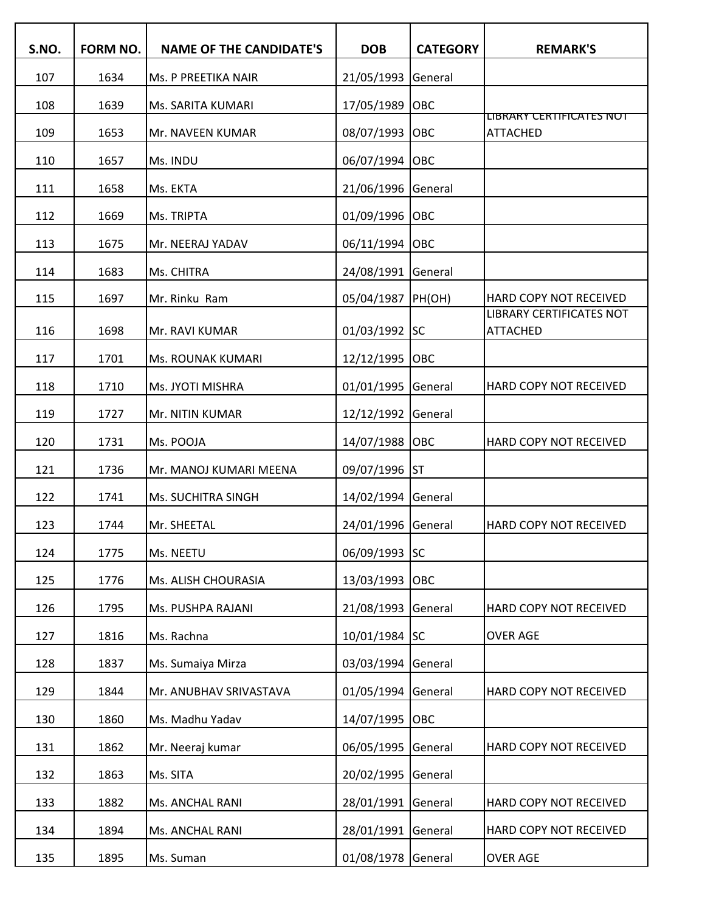| S.NO. | <b>FORM NO.</b> | <b>NAME OF THE CANDIDATE'S</b> | <b>DOB</b>         | <b>CATEGORY</b> | <b>REMARK'S</b>                                    |
|-------|-----------------|--------------------------------|--------------------|-----------------|----------------------------------------------------|
| 107   | 1634            | Ms. P PREETIKA NAIR            | 21/05/1993         | General         |                                                    |
| 108   | 1639            | Ms. SARITA KUMARI              | 17/05/1989         | OBC             |                                                    |
| 109   | 1653            | Mr. NAVEEN KUMAR               | 08/07/1993         | OBC             | LIBRARY CERTIFICATES NOT<br><b>ATTACHED</b>        |
| 110   | 1657            | Ms. INDU                       | 06/07/1994         | OBC             |                                                    |
| 111   | 1658            | Ms. EKTA                       | 21/06/1996         | General         |                                                    |
| 112   | 1669            | Ms. TRIPTA                     | 01/09/1996         | OBC             |                                                    |
| 113   | 1675            | Mr. NEERAJ YADAV               | 06/11/1994         | OBC             |                                                    |
| 114   | 1683            | Ms. CHITRA                     | 24/08/1991         | General         |                                                    |
| 115   | 1697            | Mr. Rinku Ram                  | 05/04/1987         | PH(OH)          | HARD COPY NOT RECEIVED                             |
| 116   | 1698            | Mr. RAVI KUMAR                 | 01/03/1992         | <b>SC</b>       | <b>LIBRARY CERTIFICATES NOT</b><br><b>ATTACHED</b> |
| 117   | 1701            | Ms. ROUNAK KUMARI              | 12/12/1995         | OBC             |                                                    |
| 118   | 1710            | Ms. JYOTI MISHRA               | 01/01/1995         | General         | HARD COPY NOT RECEIVED                             |
| 119   | 1727            | Mr. NITIN KUMAR                | 12/12/1992         | General         |                                                    |
| 120   | 1731            | Ms. POOJA                      | 14/07/1988         | OBC             | HARD COPY NOT RECEIVED                             |
| 121   | 1736            | Mr. MANOJ KUMARI MEENA         | 09/07/1996         | <b>ST</b>       |                                                    |
| 122   | 1741            | Ms. SUCHITRA SINGH             | 14/02/1994         | General         |                                                    |
| 123   | 1744            | Mr. SHEETAL                    | 24/01/1996         | General         | HARD COPY NOT RECEIVED                             |
| 124   | 1775            | Ms. NEETU                      | 06/09/1993 SC      |                 |                                                    |
| 125   | 1776            | Ms. ALISH CHOURASIA            | 13/03/1993         | OBC             |                                                    |
| 126   | 1795            | Ms. PUSHPA RAJANI              | 21/08/1993         | General         | HARD COPY NOT RECEIVED                             |
| 127   | 1816            | Ms. Rachna                     | 10/01/1984 SC      |                 | <b>OVER AGE</b>                                    |
| 128   | 1837            | Ms. Sumaiya Mirza              | 03/03/1994         | General         |                                                    |
| 129   | 1844            | Mr. ANUBHAV SRIVASTAVA         | 01/05/1994         | General         | HARD COPY NOT RECEIVED                             |
| 130   | 1860            | Ms. Madhu Yadav                | 14/07/1995         | <b>OBC</b>      |                                                    |
| 131   | 1862            | Mr. Neeraj kumar               | 06/05/1995         | General         | HARD COPY NOT RECEIVED                             |
| 132   | 1863            | Ms. SITA                       | 20/02/1995         | General         |                                                    |
| 133   | 1882            | Ms. ANCHAL RANI                | 28/01/1991         | General         | HARD COPY NOT RECEIVED                             |
| 134   | 1894            | Ms. ANCHAL RANI                | 28/01/1991         | General         | HARD COPY NOT RECEIVED                             |
| 135   | 1895            | Ms. Suman                      | 01/08/1978 General |                 | <b>OVER AGE</b>                                    |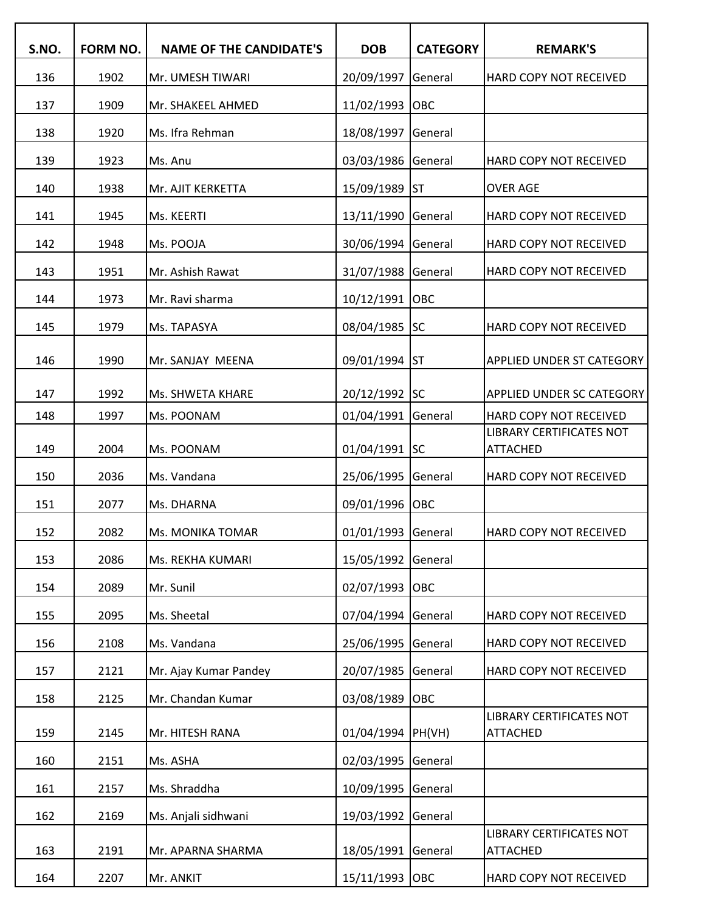| S.NO. | FORM NO. | <b>NAME OF THE CANDIDATE'S</b> | <b>DOB</b>         | <b>CATEGORY</b> | <b>REMARK'S</b>                             |
|-------|----------|--------------------------------|--------------------|-----------------|---------------------------------------------|
| 136   | 1902     | Mr. UMESH TIWARI               | 20/09/1997         | General         | HARD COPY NOT RECEIVED                      |
| 137   | 1909     | Mr. SHAKEEL AHMED              | 11/02/1993         | OBC             |                                             |
| 138   | 1920     | Ms. Ifra Rehman                | 18/08/1997         | General         |                                             |
| 139   | 1923     | Ms. Anu                        | 03/03/1986         | General         | HARD COPY NOT RECEIVED                      |
| 140   | 1938     | Mr. AJIT KERKETTA              | 15/09/1989         | ST              | <b>OVER AGE</b>                             |
| 141   | 1945     | Ms. KEERTI                     | 13/11/1990         | General         | HARD COPY NOT RECEIVED                      |
| 142   | 1948     | Ms. POOJA                      | 30/06/1994         | General         | HARD COPY NOT RECEIVED                      |
| 143   | 1951     | Mr. Ashish Rawat               | 31/07/1988         | General         | HARD COPY NOT RECEIVED                      |
| 144   | 1973     | Mr. Ravi sharma                | 10/12/1991         | OBC             |                                             |
| 145   | 1979     | Ms. TAPASYA                    | 08/04/1985         | <b>SC</b>       | HARD COPY NOT RECEIVED                      |
| 146   | 1990     | Mr. SANJAY MEENA               | 09/01/1994         | lst             | <b>APPLIED UNDER ST CATEGORY</b>            |
| 147   | 1992     | Ms. SHWETA KHARE               | 20/12/1992 SC      |                 | <b>APPLIED UNDER SC CATEGORY</b>            |
| 148   | 1997     | Ms. POONAM                     | 01/04/1991         | General         | HARD COPY NOT RECEIVED                      |
| 149   | 2004     | Ms. POONAM                     | 01/04/1991 SC      |                 | LIBRARY CERTIFICATES NOT<br><b>ATTACHED</b> |
| 150   | 2036     | Ms. Vandana                    | 25/06/1995         | General         | HARD COPY NOT RECEIVED                      |
| 151   | 2077     | Ms. DHARNA                     | 09/01/1996         | OBC             |                                             |
| 152   | 2082     | Ms. MONIKA TOMAR               | 01/01/1993 General |                 | HARD COPY NOT RECEIVED                      |
| 153   | 2086     | Ms. REKHA KUMARI               | 15/05/1992         | General         |                                             |
| 154   | 2089     | Mr. Sunil                      | 02/07/1993         | OBC             |                                             |
| 155   | 2095     | Ms. Sheetal                    | 07/04/1994         | General         | HARD COPY NOT RECEIVED                      |
| 156   | 2108     | Ms. Vandana                    | 25/06/1995         | General         | HARD COPY NOT RECEIVED                      |
| 157   | 2121     | Mr. Ajay Kumar Pandey          | 20/07/1985         | General         | HARD COPY NOT RECEIVED                      |
| 158   | 2125     | Mr. Chandan Kumar              | 03/08/1989         | OBC             |                                             |
| 159   | 2145     | Mr. HITESH RANA                | 01/04/1994 PH(VH)  |                 | LIBRARY CERTIFICATES NOT<br><b>ATTACHED</b> |
| 160   | 2151     | Ms. ASHA                       | 02/03/1995         | General         |                                             |
| 161   | 2157     | Ms. Shraddha                   | 10/09/1995         | General         |                                             |
| 162   | 2169     | Ms. Anjali sidhwani            | 19/03/1992         | General         |                                             |
| 163   | 2191     | Mr. APARNA SHARMA              | 18/05/1991         | General         | LIBRARY CERTIFICATES NOT<br><b>ATTACHED</b> |
| 164   | 2207     | Mr. ANKIT                      | 15/11/1993 OBC     |                 | HARD COPY NOT RECEIVED                      |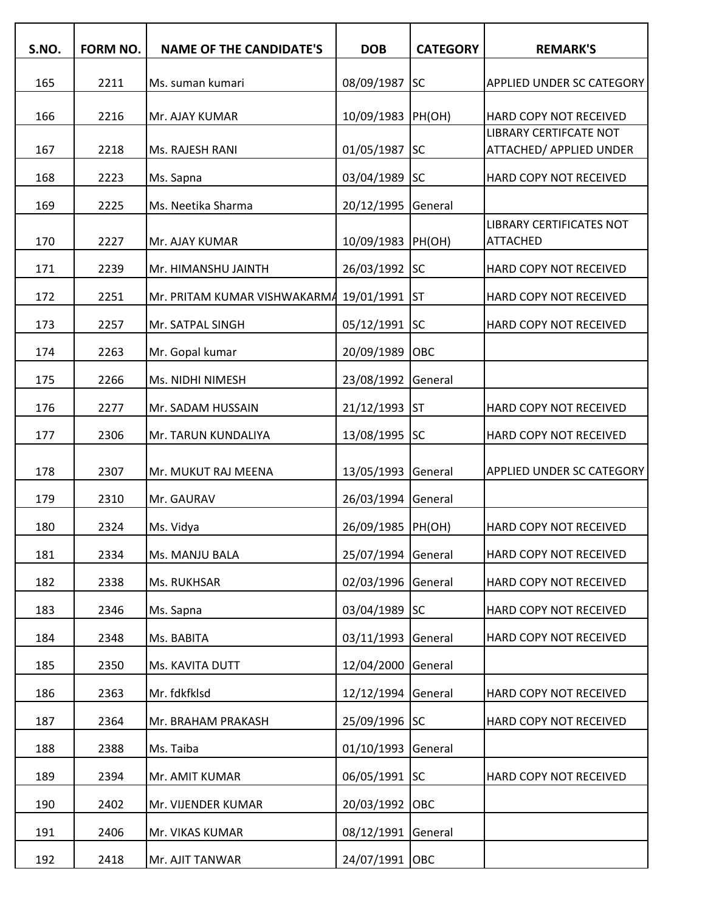| S.NO. | FORM NO. | <b>NAME OF THE CANDIDATE'S</b> | <b>DOB</b>        | <b>CATEGORY</b> | <b>REMARK'S</b>                                         |
|-------|----------|--------------------------------|-------------------|-----------------|---------------------------------------------------------|
| 165   | 2211     | Ms. suman kumari               | 08/09/1987        | <b>SC</b>       | APPLIED UNDER SC CATEGORY                               |
|       |          |                                |                   |                 |                                                         |
| 166   | 2216     | Mr. AJAY KUMAR                 | 10/09/1983        | PH(OH)          | HARD COPY NOT RECEIVED<br><b>LIBRARY CERTIFCATE NOT</b> |
| 167   | 2218     | Ms. RAJESH RANI                | 01/05/1987        | lsc             | <b>ATTACHED/ APPLIED UNDER</b>                          |
| 168   | 2223     | Ms. Sapna                      | 03/04/1989        | <b>SC</b>       | HARD COPY NOT RECEIVED                                  |
| 169   | 2225     | Ms. Neetika Sharma             | 20/12/1995        | General         |                                                         |
| 170   | 2227     | Mr. AJAY KUMAR                 | 10/09/1983        | PH(OH)          | <b>LIBRARY CERTIFICATES NOT</b><br><b>ATTACHED</b>      |
| 171   | 2239     | Mr. HIMANSHU JAINTH            | 26/03/1992        | <b>SC</b>       | HARD COPY NOT RECEIVED                                  |
| 172   | 2251     | Mr. PRITAM KUMAR VISHWAKARMA   | 19/01/1991        | <b>ST</b>       | HARD COPY NOT RECEIVED                                  |
| 173   | 2257     | Mr. SATPAL SINGH               | 05/12/1991        | <b>SC</b>       | HARD COPY NOT RECEIVED                                  |
| 174   | 2263     | Mr. Gopal kumar                | 20/09/1989        | OBC             |                                                         |
| 175   | 2266     | Ms. NIDHI NIMESH               | 23/08/1992        | General         |                                                         |
| 176   | 2277     | Mr. SADAM HUSSAIN              | 21/12/1993        | <b>ST</b>       | HARD COPY NOT RECEIVED                                  |
| 177   | 2306     | Mr. TARUN KUNDALIYA            | 13/08/1995        | <b>SC</b>       | HARD COPY NOT RECEIVED                                  |
| 178   | 2307     | Mr. MUKUT RAJ MEENA            | 13/05/1993        | General         | <b>APPLIED UNDER SC CATEGORY</b>                        |
| 179   | 2310     | Mr. GAURAV                     | 26/03/1994        | General         |                                                         |
| 180   | 2324     | Ms. Vidya                      | 26/09/1985 PH(OH) |                 | HARD COPY NOT RECEIVED                                  |
| 181   | 2334     | Ms. MANJU BALA                 | 25/07/1994        | General         | HARD COPY NOT RECEIVED                                  |
| 182   | 2338     | Ms. RUKHSAR                    | 02/03/1996        | General         | HARD COPY NOT RECEIVED                                  |
| 183   | 2346     | Ms. Sapna                      | 03/04/1989 SC     |                 | HARD COPY NOT RECEIVED                                  |
| 184   | 2348     | Ms. BABITA                     | 03/11/1993        | General         | HARD COPY NOT RECEIVED                                  |
| 185   | 2350     | Ms. KAVITA DUTT                | 12/04/2000        | General         |                                                         |
| 186   | 2363     | Mr. fdkfklsd                   | 12/12/1994        | General         | HARD COPY NOT RECEIVED                                  |
| 187   | 2364     | Mr. BRAHAM PRAKASH             | 25/09/1996 SC     |                 | HARD COPY NOT RECEIVED                                  |
| 188   | 2388     | Ms. Taiba                      | 01/10/1993        | General         |                                                         |
| 189   | 2394     | Mr. AMIT KUMAR                 | 06/05/1991        | <b>SC</b>       | HARD COPY NOT RECEIVED                                  |
| 190   | 2402     | Mr. VIJENDER KUMAR             | 20/03/1992        | <b>OBC</b>      |                                                         |
| 191   | 2406     | Mr. VIKAS KUMAR                | 08/12/1991        | General         |                                                         |
| 192   | 2418     | Mr. AJIT TANWAR                | 24/07/1991 OBC    |                 |                                                         |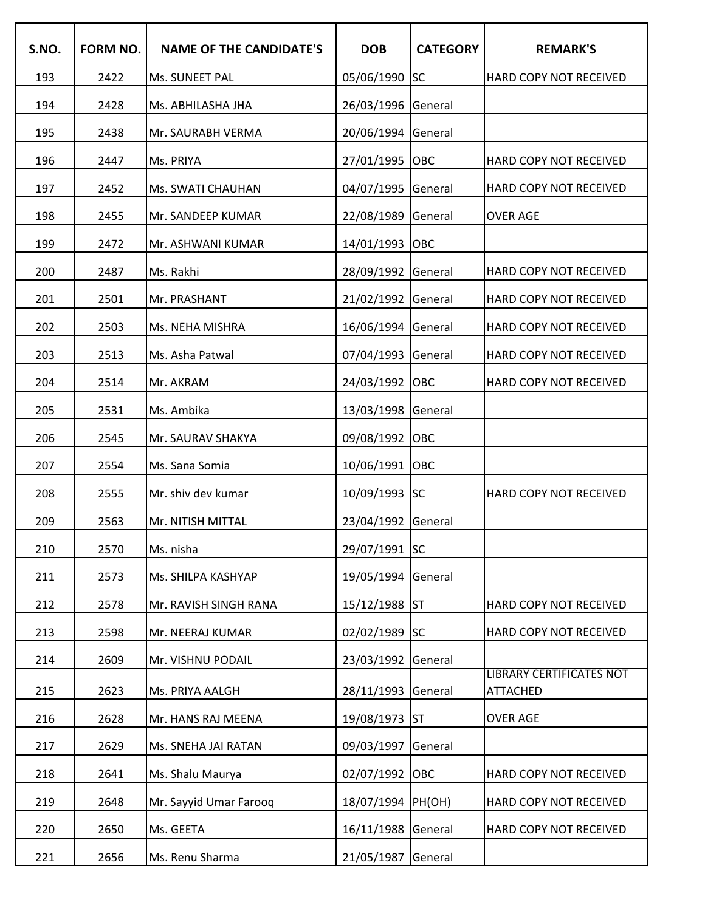| S.NO. | FORM NO. | <b>NAME OF THE CANDIDATE'S</b> | <b>DOB</b>    | <b>CATEGORY</b> | <b>REMARK'S</b>                                    |
|-------|----------|--------------------------------|---------------|-----------------|----------------------------------------------------|
| 193   | 2422     | Ms. SUNEET PAL                 | 05/06/1990    | lsc             | HARD COPY NOT RECEIVED                             |
| 194   | 2428     | Ms. ABHILASHA JHA              | 26/03/1996    | General         |                                                    |
| 195   | 2438     | Mr. SAURABH VERMA              | 20/06/1994    | General         |                                                    |
| 196   | 2447     | Ms. PRIYA                      | 27/01/1995    | OBC             | HARD COPY NOT RECEIVED                             |
| 197   | 2452     | Ms. SWATI CHAUHAN              | 04/07/1995    | General         | HARD COPY NOT RECEIVED                             |
| 198   | 2455     | Mr. SANDEEP KUMAR              | 22/08/1989    | General         | <b>OVER AGE</b>                                    |
| 199   | 2472     | Mr. ASHWANI KUMAR              | 14/01/1993    | OBC             |                                                    |
| 200   | 2487     | Ms. Rakhi                      | 28/09/1992    | General         | HARD COPY NOT RECEIVED                             |
| 201   | 2501     | Mr. PRASHANT                   | 21/02/1992    | General         | HARD COPY NOT RECEIVED                             |
| 202   | 2503     | Ms. NEHA MISHRA                | 16/06/1994    | General         | HARD COPY NOT RECEIVED                             |
| 203   | 2513     | Ms. Asha Patwal                | 07/04/1993    | General         | HARD COPY NOT RECEIVED                             |
| 204   | 2514     | Mr. AKRAM                      | 24/03/1992    | OBC             | HARD COPY NOT RECEIVED                             |
| 205   | 2531     | Ms. Ambika                     | 13/03/1998    | General         |                                                    |
| 206   | 2545     | Mr. SAURAV SHAKYA              | 09/08/1992    | OBC             |                                                    |
| 207   | 2554     | Ms. Sana Somia                 | 10/06/1991    | OBC             |                                                    |
| 208   | 2555     | Mr. shiv dev kumar             | 10/09/1993 SC |                 | HARD COPY NOT RECEIVED                             |
| 209   | 2563     | Mr. NITISH MITTAL              | 23/04/1992    | General         |                                                    |
| 210   | 2570     | Ms. nisha                      | 29/07/1991 SC |                 |                                                    |
| 211   | 2573     | Ms. SHILPA KASHYAP             | 19/05/1994    | General         |                                                    |
| 212   | 2578     | Mr. RAVISH SINGH RANA          | 15/12/1988 ST |                 | HARD COPY NOT RECEIVED                             |
| 213   | 2598     | Mr. NEERAJ KUMAR               | 02/02/1989 SC |                 | HARD COPY NOT RECEIVED                             |
| 214   | 2609     | Mr. VISHNU PODAIL              | 23/03/1992    | General         |                                                    |
| 215   | 2623     | Ms. PRIYA AALGH                | 28/11/1993    | General         | <b>LIBRARY CERTIFICATES NOT</b><br><b>ATTACHED</b> |
| 216   | 2628     | Mr. HANS RAJ MEENA             | 19/08/1973    | <b>ST</b>       | <b>OVER AGE</b>                                    |
| 217   | 2629     | Ms. SNEHA JAI RATAN            | 09/03/1997    | General         |                                                    |
| 218   | 2641     | Ms. Shalu Maurya               | 02/07/1992    | <b>OBC</b>      | HARD COPY NOT RECEIVED                             |
| 219   | 2648     | Mr. Sayyid Umar Farooq         | 18/07/1994    | PH(OH)          | HARD COPY NOT RECEIVED                             |
| 220   | 2650     | Ms. GEETA                      | 16/11/1988    | General         | HARD COPY NOT RECEIVED                             |
| 221   | 2656     | Ms. Renu Sharma                | 21/05/1987    | General         |                                                    |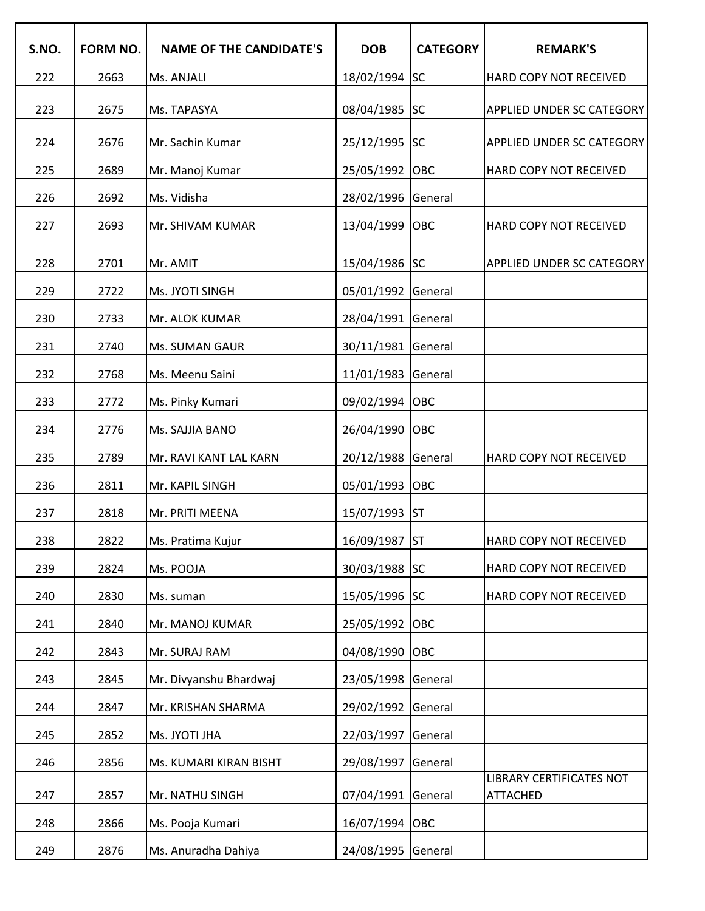| S.NO. | <b>FORM NO.</b> | <b>NAME OF THE CANDIDATE'S</b> | <b>DOB</b>    | <b>CATEGORY</b> | <b>REMARK'S</b>                             |
|-------|-----------------|--------------------------------|---------------|-----------------|---------------------------------------------|
| 222   | 2663            | Ms. ANJALI                     | 18/02/1994    | lsc             | HARD COPY NOT RECEIVED                      |
| 223   | 2675            | Ms. TAPASYA                    | 08/04/1985    | <b>SC</b>       | <b>APPLIED UNDER SC CATEGORY</b>            |
| 224   | 2676            | Mr. Sachin Kumar               | 25/12/1995 SC |                 | <b>APPLIED UNDER SC CATEGORY</b>            |
| 225   | 2689            | Mr. Manoj Kumar                | 25/05/1992    | OBC             | HARD COPY NOT RECEIVED                      |
| 226   | 2692            | Ms. Vidisha                    | 28/02/1996    | General         |                                             |
| 227   | 2693            | Mr. SHIVAM KUMAR               | 13/04/1999    | OBC             | HARD COPY NOT RECEIVED                      |
| 228   | 2701            | Mr. AMIT                       | 15/04/1986 SC |                 | APPLIED UNDER SC CATEGORY                   |
| 229   | 2722            | Ms. JYOTI SINGH                | 05/01/1992    | General         |                                             |
| 230   | 2733            | Mr. ALOK KUMAR                 | 28/04/1991    | General         |                                             |
| 231   | 2740            | Ms. SUMAN GAUR                 | 30/11/1981    | General         |                                             |
| 232   | 2768            | Ms. Meenu Saini                | 11/01/1983    | General         |                                             |
| 233   | 2772            | Ms. Pinky Kumari               | 09/02/1994    | OBC             |                                             |
| 234   | 2776            | Ms. SAJJIA BANO                | 26/04/1990    | OBC             |                                             |
| 235   | 2789            | Mr. RAVI KANT LAL KARN         | 20/12/1988    | General         | HARD COPY NOT RECEIVED                      |
| 236   | 2811            | Mr. KAPIL SINGH                | 05/01/1993    | OBC             |                                             |
| 237   | 2818            | Mr. PRITI MEENA                | 15/07/1993    | <b>ST</b>       |                                             |
| 238   | 2822            | Ms. Pratima Kujur              | 16/09/1987 ST |                 | HARD COPY NOT RECEIVED                      |
| 239   | 2824            | Ms. POOJA                      | 30/03/1988    | <b>SC</b>       | HARD COPY NOT RECEIVED                      |
| 240   | 2830            | Ms. suman                      | 15/05/1996    | <b>SC</b>       | HARD COPY NOT RECEIVED                      |
| 241   | 2840            | Mr. MANOJ KUMAR                | 25/05/1992    | OBC             |                                             |
| 242   | 2843            | Mr. SURAJ RAM                  | 04/08/1990    | OBC             |                                             |
| 243   | 2845            | Mr. Divyanshu Bhardwaj         | 23/05/1998    | General         |                                             |
| 244   | 2847            | Mr. KRISHAN SHARMA             | 29/02/1992    | General         |                                             |
| 245   | 2852            | Ms. JYOTI JHA                  | 22/03/1997    | General         |                                             |
| 246   | 2856            | Ms. KUMARI KIRAN BISHT         | 29/08/1997    | General         |                                             |
| 247   | 2857            | Mr. NATHU SINGH                | 07/04/1991    | General         | LIBRARY CERTIFICATES NOT<br><b>ATTACHED</b> |
| 248   | 2866            | Ms. Pooja Kumari               | 16/07/1994    | <b>OBC</b>      |                                             |
| 249   | 2876            | Ms. Anuradha Dahiya            | 24/08/1995    | General         |                                             |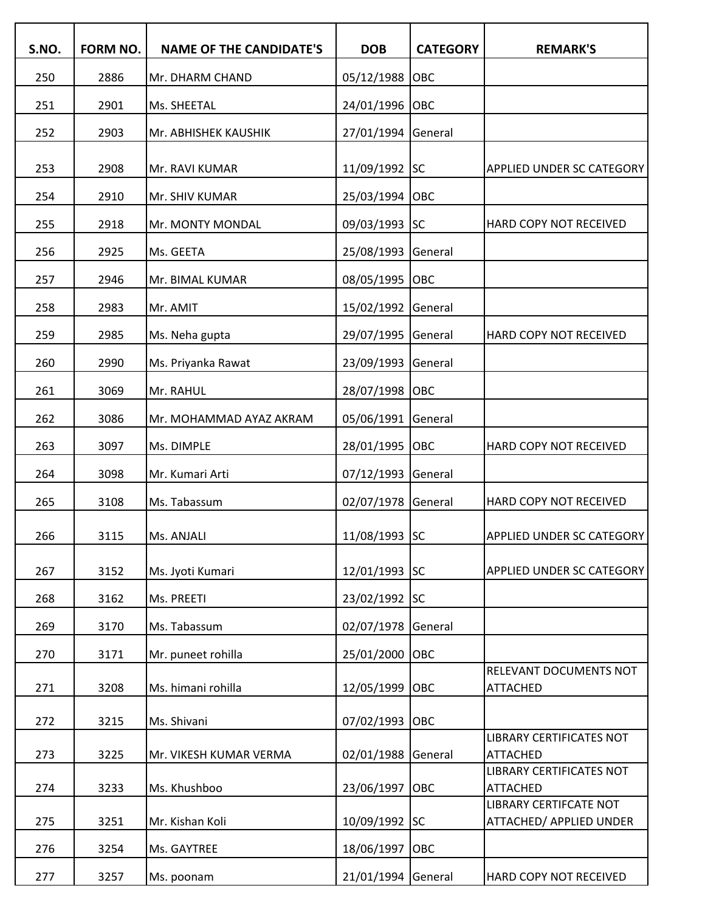| S.NO. | FORM NO. | <b>NAME OF THE CANDIDATE'S</b> | <b>DOB</b>      | <b>CATEGORY</b> | <b>REMARK'S</b>                                  |
|-------|----------|--------------------------------|-----------------|-----------------|--------------------------------------------------|
| 250   | 2886     | Mr. DHARM CHAND                | 05/12/1988      | OBC             |                                                  |
| 251   | 2901     | Ms. SHEETAL                    | 24/01/1996      | OBC             |                                                  |
| 252   | 2903     | Mr. ABHISHEK KAUSHIK           | 27/01/1994      | General         |                                                  |
|       |          |                                |                 |                 |                                                  |
| 253   | 2908     | Mr. RAVI KUMAR                 | 11/09/1992 SC   |                 | <b>APPLIED UNDER SC CATEGORY</b>                 |
| 254   | 2910     | Mr. SHIV KUMAR                 | 25/03/1994 OBC  |                 |                                                  |
| 255   | 2918     | Mr. MONTY MONDAL               | 09/03/1993 SC   |                 | HARD COPY NOT RECEIVED                           |
| 256   | 2925     | Ms. GEETA                      | 25/08/1993      | General         |                                                  |
| 257   | 2946     | Mr. BIMAL KUMAR                | 08/05/1995 OBC  |                 |                                                  |
| 258   | 2983     | Mr. AMIT                       | 15/02/1992      | General         |                                                  |
| 259   | 2985     | Ms. Neha gupta                 | 29/07/1995      | General         | HARD COPY NOT RECEIVED                           |
| 260   | 2990     | Ms. Priyanka Rawat             | 23/09/1993      | General         |                                                  |
| 261   | 3069     | Mr. RAHUL                      | 28/07/1998 OBC  |                 |                                                  |
| 262   | 3086     | Mr. MOHAMMAD AYAZ AKRAM        | 05/06/1991      | General         |                                                  |
| 263   | 3097     | Ms. DIMPLE                     | 28/01/1995      | OBC             | HARD COPY NOT RECEIVED                           |
| 264   | 3098     | Mr. Kumari Arti                | 07/12/1993      | General         |                                                  |
| 265   | 3108     | Ms. Tabassum                   | 02/07/1978      | General         | HARD COPY NOT RECEIVED                           |
| 266   | 3115     | Ms. ANJALI                     | $11/08/1993$ SC |                 | <b>APPLIED UNDER SC CATEGORY</b>                 |
| 267   | 3152     | Ms. Jyoti Kumari               | 12/01/1993 SC   |                 | <b>APPLIED UNDER SC CATEGORY</b>                 |
| 268   | 3162     | Ms. PREETI                     | 23/02/1992      | <b>SC</b>       |                                                  |
| 269   | 3170     | Ms. Tabassum                   | 02/07/1978      | General         |                                                  |
| 270   | 3171     | Mr. puneet rohilla             | 25/01/2000      | OBC             |                                                  |
| 271   | 3208     | Ms. himani rohilla             | 12/05/1999      | OBC             | RELEVANT DOCUMENTS NOT<br><b>ATTACHED</b>        |
| 272   | 3215     | Ms. Shivani                    | 07/02/1993      | <b>OBC</b>      |                                                  |
| 273   | 3225     | Mr. VIKESH KUMAR VERMA         | 02/01/1988      | General         | LIBRARY CERTIFICATES NOT<br><b>ATTACHED</b>      |
|       |          |                                |                 |                 | <b>LIBRARY CERTIFICATES NOT</b>                  |
| 274   | 3233     | Ms. Khushboo                   | 23/06/1997      | OBC             | <b>ATTACHED</b><br><b>LIBRARY CERTIFCATE NOT</b> |
| 275   | 3251     | Mr. Kishan Koli                | 10/09/1992 SC   |                 | ATTACHED/ APPLIED UNDER                          |
| 276   | 3254     | Ms. GAYTREE                    | 18/06/1997      | OBC             |                                                  |
| 277   | 3257     | Ms. poonam                     | 21/01/1994      | General         | HARD COPY NOT RECEIVED                           |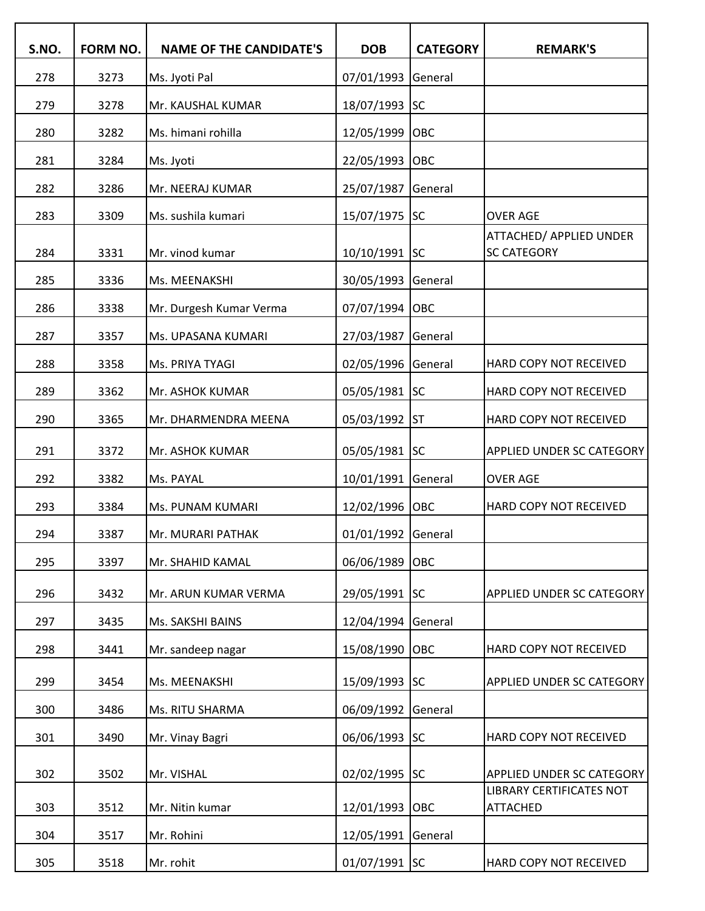| S.NO. | FORM NO. | <b>NAME OF THE CANDIDATE'S</b> | <b>DOB</b>         | <b>CATEGORY</b> | <b>REMARK'S</b>                                    |
|-------|----------|--------------------------------|--------------------|-----------------|----------------------------------------------------|
| 278   | 3273     | Ms. Jyoti Pal                  | 07/01/1993         | General         |                                                    |
| 279   | 3278     | Mr. KAUSHAL KUMAR              | 18/07/1993 SC      |                 |                                                    |
| 280   | 3282     | Ms. himani rohilla             | 12/05/1999         | <b>OBC</b>      |                                                    |
| 281   | 3284     | Ms. Jyoti                      | 22/05/1993 OBC     |                 |                                                    |
| 282   | 3286     | Mr. NEERAJ KUMAR               | 25/07/1987         | General         |                                                    |
| 283   | 3309     | Ms. sushila kumari             | 15/07/1975 SC      |                 | <b>OVER AGE</b>                                    |
| 284   | 3331     | Mr. vinod kumar                | 10/10/1991 SC      |                 | ATTACHED/ APPLIED UNDER<br><b>SC CATEGORY</b>      |
| 285   | 3336     | Ms. MEENAKSHI                  | 30/05/1993 General |                 |                                                    |
| 286   | 3338     | Mr. Durgesh Kumar Verma        | 07/07/1994 OBC     |                 |                                                    |
| 287   | 3357     | Ms. UPASANA KUMARI             | 27/03/1987 General |                 |                                                    |
| 288   | 3358     | Ms. PRIYA TYAGI                | 02/05/1996 General |                 | HARD COPY NOT RECEIVED                             |
| 289   | 3362     | Mr. ASHOK KUMAR                | 05/05/1981 SC      |                 | HARD COPY NOT RECEIVED                             |
| 290   | 3365     | Mr. DHARMENDRA MEENA           | 05/03/1992 ST      |                 | HARD COPY NOT RECEIVED                             |
| 291   | 3372     | Mr. ASHOK KUMAR                | 05/05/1981 SC      |                 | APPLIED UNDER SC CATEGORY                          |
| 292   | 3382     | Ms. PAYAL                      | 10/01/1991 General |                 | <b>OVER AGE</b>                                    |
| 293   | 3384     | Ms. PUNAM KUMARI               | 12/02/1996 OBC     |                 | HARD COPY NOT RECEIVED                             |
| 294   | 3387     | Mr. MURARI PATHAK              | 01/01/1992 General |                 |                                                    |
| 295   | 3397     | Mr. SHAHID KAMAL               | 06/06/1989         | <b>OBC</b>      |                                                    |
| 296   | 3432     | Mr. ARUN KUMAR VERMA           | 29/05/1991         | <b>ISC</b>      | APPLIED UNDER SC CATEGORY                          |
| 297   | 3435     | Ms. SAKSHI BAINS               | 12/04/1994         | General         |                                                    |
| 298   | 3441     | Mr. sandeep nagar              | 15/08/1990         | <b>OBC</b>      | HARD COPY NOT RECEIVED                             |
| 299   | 3454     | Ms. MEENAKSHI                  | 15/09/1993 SC      |                 | APPLIED UNDER SC CATEGORY                          |
| 300   | 3486     | Ms. RITU SHARMA                | 06/09/1992         | General         |                                                    |
| 301   | 3490     | Mr. Vinay Bagri                | 06/06/1993 SC      |                 | HARD COPY NOT RECEIVED                             |
| 302   | 3502     | Mr. VISHAL                     | 02/02/1995 SC      |                 | APPLIED UNDER SC CATEGORY                          |
| 303   | 3512     | Mr. Nitin kumar                | 12/01/1993         | <b>OBC</b>      | <b>LIBRARY CERTIFICATES NOT</b><br><b>ATTACHED</b> |
| 304   | 3517     | Mr. Rohini                     | 12/05/1991         | General         |                                                    |
| 305   | 3518     | Mr. rohit                      | 01/07/1991 SC      |                 | HARD COPY NOT RECEIVED                             |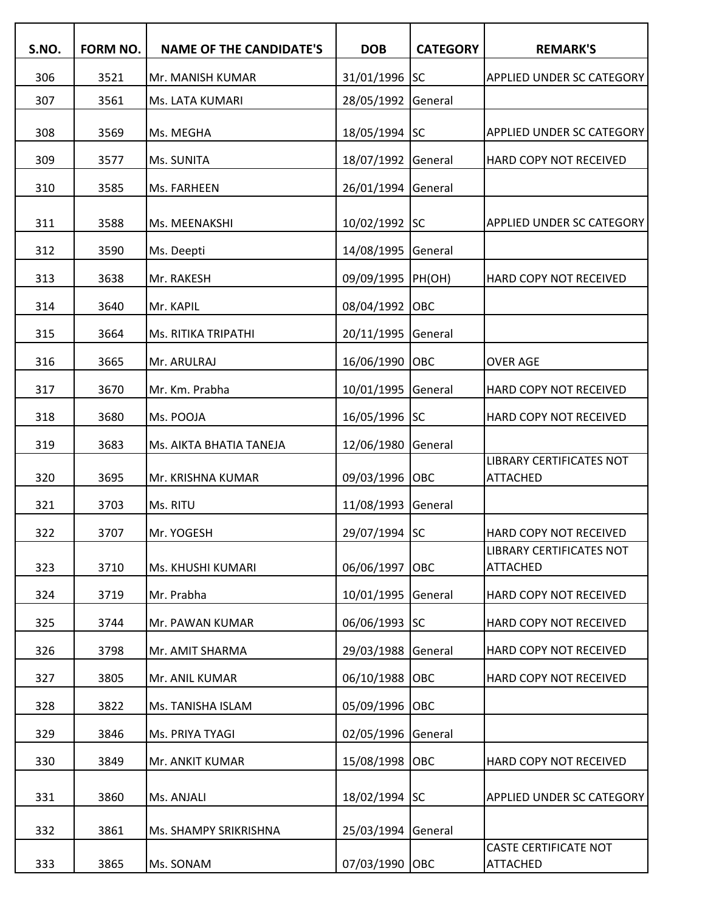| S.NO. | FORM NO. | <b>NAME OF THE CANDIDATE'S</b> | <b>DOB</b>     | <b>CATEGORY</b> | <b>REMARK'S</b>                                 |
|-------|----------|--------------------------------|----------------|-----------------|-------------------------------------------------|
| 306   | 3521     | Mr. MANISH KUMAR               | 31/01/1996 SC  |                 | <b>APPLIED UNDER SC CATEGORY</b>                |
| 307   | 3561     | Ms. LATA KUMARI                | 28/05/1992     | General         |                                                 |
| 308   | 3569     | Ms. MEGHA                      | 18/05/1994 SC  |                 | <b>APPLIED UNDER SC CATEGORY</b>                |
| 309   | 3577     | Ms. SUNITA                     | 18/07/1992     | General         | HARD COPY NOT RECEIVED                          |
| 310   | 3585     | Ms. FARHEEN                    | 26/01/1994     | General         |                                                 |
| 311   | 3588     | Ms. MEENAKSHI                  | 10/02/1992 SC  |                 | <b>APPLIED UNDER SC CATEGORY</b>                |
| 312   | 3590     | Ms. Deepti                     | 14/08/1995     | General         |                                                 |
| 313   | 3638     | Mr. RAKESH                     | 09/09/1995     | PH(OH)          | HARD COPY NOT RECEIVED                          |
| 314   | 3640     | Mr. KAPIL                      | 08/04/1992     | OBC             |                                                 |
| 315   | 3664     | Ms. RITIKA TRIPATHI            | 20/11/1995     | General         |                                                 |
| 316   | 3665     | Mr. ARULRAJ                    | 16/06/1990     | OBC             | <b>OVER AGE</b>                                 |
| 317   | 3670     | Mr. Km. Prabha                 | 10/01/1995     | General         | HARD COPY NOT RECEIVED                          |
| 318   | 3680     | Ms. POOJA                      | 16/05/1996 SC  |                 | HARD COPY NOT RECEIVED                          |
| 319   | 3683     | Ms. AIKTA BHATIA TANEJA        | 12/06/1980     | General         |                                                 |
| 320   | 3695     | Mr. KRISHNA KUMAR              | 09/03/1996     | OBC             | LIBRARY CERTIFICATES NOT<br><b>ATTACHED</b>     |
| 321   | 3703     | Ms. RITU                       | 11/08/1993     | General         |                                                 |
| 322   | 3707     | Mr. YOGESH                     | 29/07/1994 SC  |                 | <b>HARD COPY NOT RECEIVED</b>                   |
| 323   | 3710     | Ms. KHUSHI KUMARI              | 06/06/1997     | OBC             | LIBRARY CERTIFICATES NOT<br><b>ATTACHED</b>     |
| 324   | 3719     | Mr. Prabha                     | 10/01/1995     | General         | HARD COPY NOT RECEIVED                          |
| 325   | 3744     | Mr. PAWAN KUMAR                | 06/06/1993     | <b>SC</b>       | HARD COPY NOT RECEIVED                          |
| 326   | 3798     | Mr. AMIT SHARMA                | 29/03/1988     | General         | HARD COPY NOT RECEIVED                          |
| 327   | 3805     | Mr. ANIL KUMAR                 | 06/10/1988     | OBC             | HARD COPY NOT RECEIVED                          |
| 328   | 3822     | Ms. TANISHA ISLAM              | 05/09/1996     | OBC             |                                                 |
| 329   | 3846     | Ms. PRIYA TYAGI                | 02/05/1996     | General         |                                                 |
| 330   | 3849     | Mr. ANKIT KUMAR                | 15/08/1998     | OBC             | HARD COPY NOT RECEIVED                          |
| 331   | 3860     | Ms. ANJALI                     | 18/02/1994 SC  |                 | <b>APPLIED UNDER SC CATEGORY</b>                |
| 332   | 3861     | Ms. SHAMPY SRIKRISHNA          | 25/03/1994     | General         |                                                 |
| 333   | 3865     | Ms. SONAM                      | 07/03/1990 OBC |                 | <b>CASTE CERTIFICATE NOT</b><br><b>ATTACHED</b> |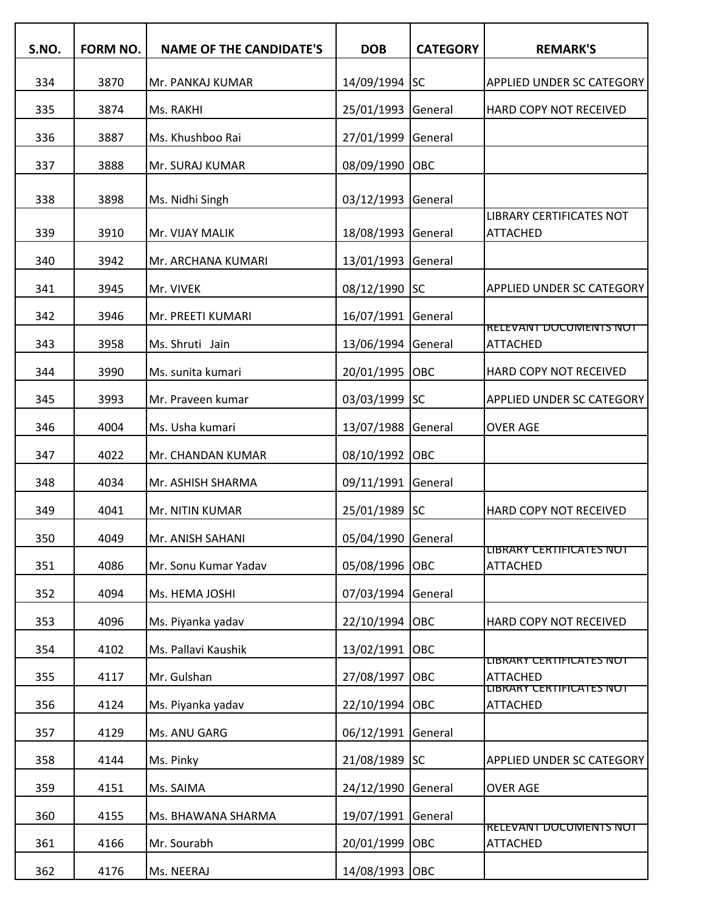| S.NO. | <b>FORM NO.</b> | <b>NAME OF THE CANDIDATE'S</b> | <b>DOB</b>         | <b>CATEGORY</b> | <b>REMARK'S</b>                                    |
|-------|-----------------|--------------------------------|--------------------|-----------------|----------------------------------------------------|
| 334   | 3870            | Mr. PANKAJ KUMAR               | 14/09/1994 SC      |                 | <b>APPLIED UNDER SC CATEGORY</b>                   |
| 335   | 3874            | Ms. RAKHI                      | 25/01/1993         | General         | HARD COPY NOT RECEIVED                             |
| 336   | 3887            | Ms. Khushboo Rai               | 27/01/1999         | General         |                                                    |
| 337   | 3888            | Mr. SURAJ KUMAR                | 08/09/1990         | OBC             |                                                    |
| 338   | 3898            | Ms. Nidhi Singh                | 03/12/1993         | General         |                                                    |
| 339   | 3910            | Mr. VIJAY MALIK                | 18/08/1993         | General         | <b>LIBRARY CERTIFICATES NOT</b><br><b>ATTACHED</b> |
| 340   | 3942            | Mr. ARCHANA KUMARI             | 13/01/1993         | General         |                                                    |
| 341   | 3945            | Mr. VIVEK                      | 08/12/1990         | lsc             | <b>APPLIED UNDER SC CATEGORY</b>                   |
| 342   | 3946            | Mr. PREETI KUMARI              | 16/07/1991         | General         |                                                    |
| 343   | 3958            | Ms. Shruti Jain                | 13/06/1994         | General         | <b>RELEVANT DOCUMENTS NOT</b><br><b>ATTACHED</b>   |
| 344   | 3990            | Ms. sunita kumari              | 20/01/1995         | <b>OBC</b>      | HARD COPY NOT RECEIVED                             |
| 345   | 3993            | Mr. Praveen kumar              | 03/03/1999         | lsc             | APPLIED UNDER SC CATEGORY                          |
| 346   | 4004            | Ms. Usha kumari                | 13/07/1988         | General         | <b>OVER AGE</b>                                    |
| 347   | 4022            | Mr. CHANDAN KUMAR              | 08/10/1992         | OBC             |                                                    |
| 348   | 4034            | Mr. ASHISH SHARMA              | 09/11/1991         | General         |                                                    |
| 349   | 4041            | Mr. NITIN KUMAR                | 25/01/1989         | lsc             | HARD COPY NOT RECEIVED                             |
| 350   | 4049            | Mr. ANISH SAHANI               | 05/04/1990 General |                 |                                                    |
| 351   | 4086            | Mr. Sonu Kumar Yadav           | 05/08/1996         | <b>OBC</b>      | LIBRARY CERTIFICATES NOT<br><b>ATTACHED</b>        |
| 352   | 4094            | Ms. HEMA JOSHI                 | 07/03/1994         | General         |                                                    |
| 353   | 4096            | Ms. Piyanka yadav              | 22/10/1994         | OBC             | HARD COPY NOT RECEIVED                             |
| 354   | 4102            | Ms. Pallavi Kaushik            | 13/02/1991         | OBC             |                                                    |
| 355   | 4117            | Mr. Gulshan                    | 27/08/1997         | OBC             | LIBRARY CERTIFICATES NOT<br><b>ATTACHED</b>        |
| 356   | 4124            | Ms. Piyanka yadav              | 22/10/1994         | OBC             | LIBRARY CERTIFICATES NOT<br><b>ATTACHED</b>        |
| 357   | 4129            | Ms. ANU GARG                   | 06/12/1991         | General         |                                                    |
| 358   | 4144            | Ms. Pinky                      | 21/08/1989 SC      |                 | APPLIED UNDER SC CATEGORY                          |
| 359   | 4151            | Ms. SAIMA                      | 24/12/1990         | General         | <b>OVER AGE</b>                                    |
| 360   | 4155            | Ms. BHAWANA SHARMA             | 19/07/1991         | General         |                                                    |
| 361   | 4166            | Mr. Sourabh                    | 20/01/1999         | OBC             | <b>RELEVANT DOCUMENTS NOT</b><br><b>ATTACHED</b>   |
| 362   | 4176            | Ms. NEERAJ                     | 14/08/1993         | <b>OBC</b>      |                                                    |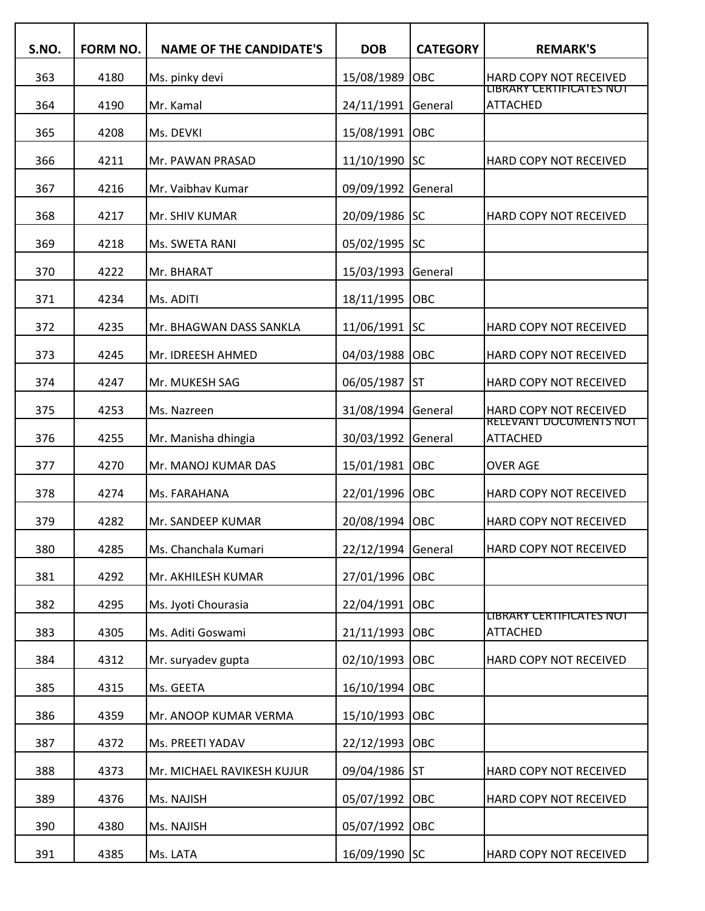| S.NO. | <b>FORM NO.</b> | <b>NAME OF THE CANDIDATE'S</b> | <b>DOB</b>         | <b>CATEGORY</b> | <b>REMARK'S</b>                                  |
|-------|-----------------|--------------------------------|--------------------|-----------------|--------------------------------------------------|
| 363   | 4180            | Ms. pinky devi                 | 15/08/1989         | OBC             | HARD COPY NOT RECEIVED                           |
| 364   | 4190            | Mr. Kamal                      | 24/11/1991         | General         | LIBRARY CERTIFICATES NOT<br><b>ATTACHED</b>      |
| 365   | 4208            | Ms. DEVKI                      | 15/08/1991         | OBC             |                                                  |
| 366   | 4211            | Mr. PAWAN PRASAD               | 11/10/1990         | <b>SC</b>       | HARD COPY NOT RECEIVED                           |
| 367   | 4216            | Mr. Vaibhav Kumar              | 09/09/1992         | General         |                                                  |
| 368   | 4217            | Mr. SHIV KUMAR                 | 20/09/1986         | <b>SC</b>       | HARD COPY NOT RECEIVED                           |
| 369   | 4218            | Ms. SWETA RANI                 | 05/02/1995         | <b>SC</b>       |                                                  |
| 370   | 4222            | Mr. BHARAT                     | 15/03/1993         | General         |                                                  |
| 371   | 4234            | Ms. ADITI                      | 18/11/1995         | OBC             |                                                  |
| 372   | 4235            | Mr. BHAGWAN DASS SANKLA        | 11/06/1991 SC      |                 | HARD COPY NOT RECEIVED                           |
| 373   | 4245            | Mr. IDREESH AHMED              | 04/03/1988         | OBC             | HARD COPY NOT RECEIVED                           |
| 374   | 4247            | Mr. MUKESH SAG                 | 06/05/1987         | <b>ST</b>       | HARD COPY NOT RECEIVED                           |
| 375   | 4253            | Ms. Nazreen                    | 31/08/1994         | General         | HARD COPY NOT RECEIVED                           |
| 376   | 4255            | Mr. Manisha dhingia            | 30/03/1992         | General         | <b>RELEVANT DOCUMENTS NOT</b><br><b>ATTACHED</b> |
| 377   | 4270            | Mr. MANOJ KUMAR DAS            | 15/01/1981         | <b>OBC</b>      | <b>OVER AGE</b>                                  |
| 378   | 4274            | Ms. FARAHANA                   | 22/01/1996         | <b>OBC</b>      | HARD COPY NOT RECEIVED                           |
| 379   | 4282            | Mr. SANDEEP KUMAR              | 20/08/1994         | OBC             | HARD COPY NOT RECEIVED                           |
| 380   | 4285            | Ms. Chanchala Kumari           | 22/12/1994 General |                 | HARD COPY NOT RECEIVED                           |
| 381   | 4292            | Mr. AKHILESH KUMAR             | 27/01/1996 OBC     |                 |                                                  |
| 382   | 4295            | Ms. Jyoti Chourasia            | 22/04/1991         | OBC             |                                                  |
| 383   | 4305            | Ms. Aditi Goswami              | 21/11/1993         | <b>OBC</b>      | LIBRARY CERTIFICATES NOT<br><b>ATTACHED</b>      |
| 384   | 4312            | Mr. suryadev gupta             | 02/10/1993         | <b>OBC</b>      | HARD COPY NOT RECEIVED                           |
| 385   | 4315            | Ms. GEETA                      | 16/10/1994 OBC     |                 |                                                  |
| 386   | 4359            | Mr. ANOOP KUMAR VERMA          | 15/10/1993         | <b>OBC</b>      |                                                  |
| 387   | 4372            | Ms. PREETI YADAV               | 22/12/1993         | <b>OBC</b>      |                                                  |
| 388   | 4373            | Mr. MICHAEL RAVIKESH KUJUR     | 09/04/1986 ST      |                 | HARD COPY NOT RECEIVED                           |
| 389   | 4376            | Ms. NAJISH                     | 05/07/1992         | <b>OBC</b>      | HARD COPY NOT RECEIVED                           |
| 390   | 4380            | Ms. NAJISH                     | 05/07/1992 OBC     |                 |                                                  |
| 391   | 4385            | Ms. LATA                       | 16/09/1990 SC      |                 | HARD COPY NOT RECEIVED                           |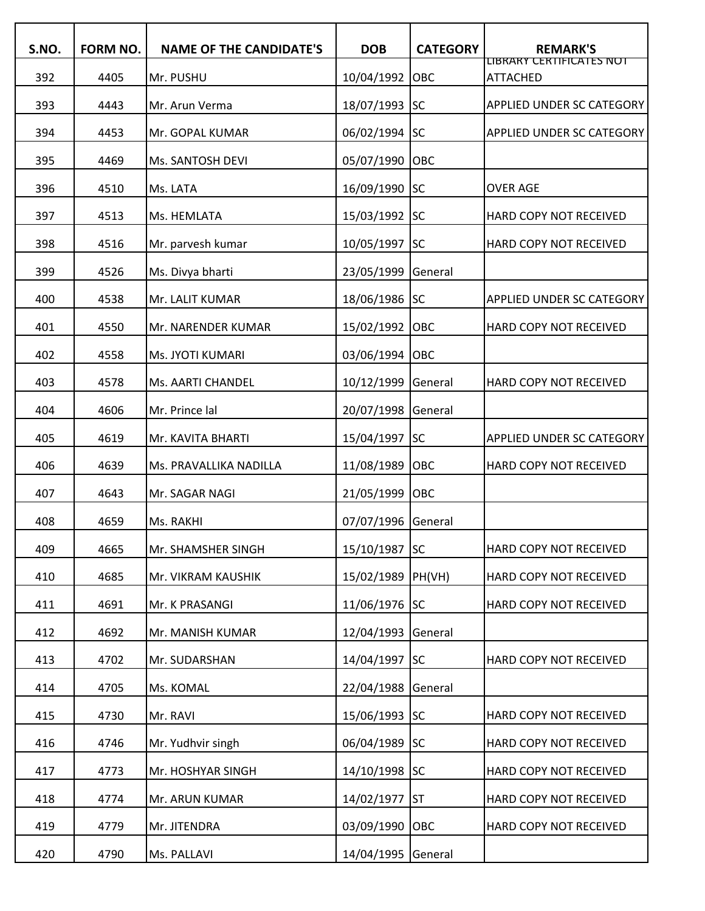| S.NO. | FORM NO. | <b>NAME OF THE CANDIDATE'S</b> | <b>DOB</b>    | <b>CATEGORY</b> | <b>REMARK'S</b>                             |
|-------|----------|--------------------------------|---------------|-----------------|---------------------------------------------|
| 392   | 4405     | Mr. PUSHU                      | 10/04/1992    | OBC             | LIBRARY CERTIFICATES NOT<br><b>ATTACHED</b> |
| 393   | 4443     | Mr. Arun Verma                 | 18/07/1993    | <b>SC</b>       | APPLIED UNDER SC CATEGORY                   |
| 394   | 4453     | Mr. GOPAL KUMAR                | 06/02/1994    | <b>SC</b>       | <b>APPLIED UNDER SC CATEGORY</b>            |
| 395   | 4469     | Ms. SANTOSH DEVI               | 05/07/1990    | OBC             |                                             |
| 396   | 4510     | Ms. LATA                       | 16/09/1990    | <b>SC</b>       | <b>OVER AGE</b>                             |
| 397   | 4513     | Ms. HEMLATA                    | 15/03/1992    | <b>SC</b>       | HARD COPY NOT RECEIVED                      |
| 398   | 4516     | Mr. parvesh kumar              | 10/05/1997    | <b>SC</b>       | HARD COPY NOT RECEIVED                      |
| 399   | 4526     | Ms. Divya bharti               | 23/05/1999    | General         |                                             |
| 400   | 4538     | Mr. LALIT KUMAR                | 18/06/1986 SC |                 | <b>APPLIED UNDER SC CATEGORY</b>            |
| 401   | 4550     | Mr. NARENDER KUMAR             | 15/02/1992    | OBC             | HARD COPY NOT RECEIVED                      |
| 402   | 4558     | Ms. JYOTI KUMARI               | 03/06/1994    | OBC             |                                             |
| 403   | 4578     | Ms. AARTI CHANDEL              | 10/12/1999    | General         | HARD COPY NOT RECEIVED                      |
| 404   | 4606     | Mr. Prince lal                 | 20/07/1998    | General         |                                             |
| 405   | 4619     | Mr. KAVITA BHARTI              | 15/04/1997    | <b>SC</b>       | <b>APPLIED UNDER SC CATEGORY</b>            |
| 406   | 4639     | Ms. PRAVALLIKA NADILLA         | 11/08/1989    | OBC             | HARD COPY NOT RECEIVED                      |
| 407   | 4643     | Mr. SAGAR NAGI                 | 21/05/1999    | OBC             |                                             |
| 408   | 4659     | Ms. RAKHI                      | 07/07/1996    | General         |                                             |
| 409   | 4665     | Mr. SHAMSHER SINGH             | 15/10/1987 SC |                 | HARD COPY NOT RECEIVED                      |
| 410   | 4685     | Mr. VIKRAM KAUSHIK             | 15/02/1989    | PH(VH)          | HARD COPY NOT RECEIVED                      |
| 411   | 4691     | Mr. K PRASANGI                 | 11/06/1976 SC |                 | HARD COPY NOT RECEIVED                      |
| 412   | 4692     | Mr. MANISH KUMAR               | 12/04/1993    | General         |                                             |
| 413   | 4702     | Mr. SUDARSHAN                  | 14/04/1997    | <b>SC</b>       | HARD COPY NOT RECEIVED                      |
| 414   | 4705     | Ms. KOMAL                      | 22/04/1988    | General         |                                             |
| 415   | 4730     | Mr. RAVI                       | 15/06/1993    | <b>SC</b>       | HARD COPY NOT RECEIVED                      |
| 416   | 4746     | Mr. Yudhvir singh              | 06/04/1989    | <b>SC</b>       | HARD COPY NOT RECEIVED                      |
| 417   | 4773     | Mr. HOSHYAR SINGH              | 14/10/1998    | <b>SC</b>       | HARD COPY NOT RECEIVED                      |
| 418   | 4774     | Mr. ARUN KUMAR                 | 14/02/1977    | <b>ST</b>       | HARD COPY NOT RECEIVED                      |
| 419   | 4779     | Mr. JITENDRA                   | 03/09/1990    | <b>OBC</b>      | HARD COPY NOT RECEIVED                      |
| 420   | 4790     | Ms. PALLAVI                    | 14/04/1995    | General         |                                             |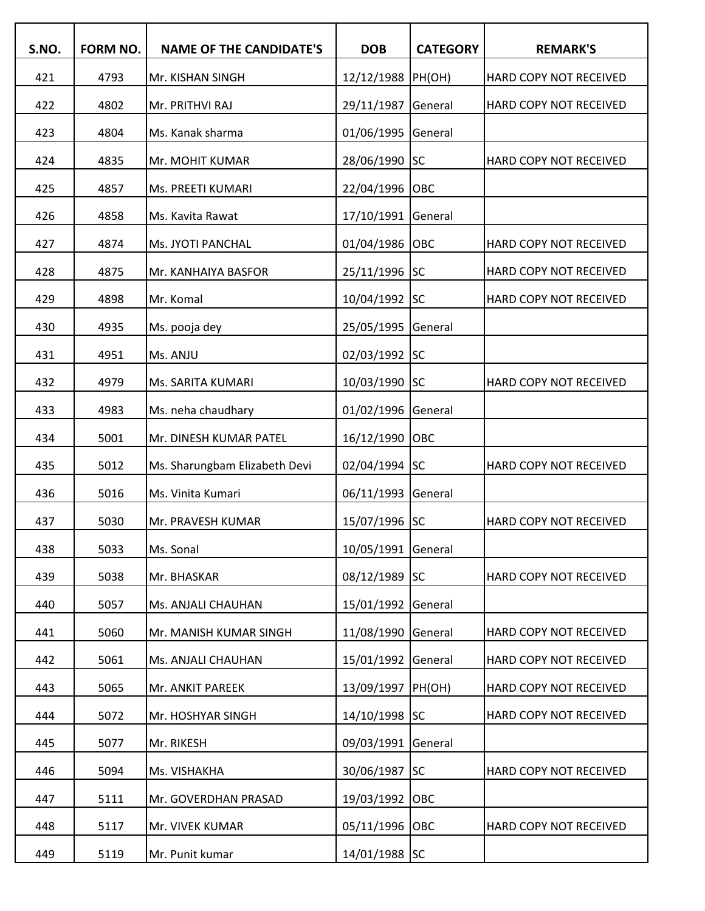| S.NO. | FORM NO. | <b>NAME OF THE CANDIDATE'S</b> | <b>DOB</b>        | <b>CATEGORY</b> | <b>REMARK'S</b>        |
|-------|----------|--------------------------------|-------------------|-----------------|------------------------|
| 421   | 4793     | Mr. KISHAN SINGH               | 12/12/1988 PH(OH) |                 | HARD COPY NOT RECEIVED |
| 422   | 4802     | Mr. PRITHVI RAJ                | 29/11/1987        | General         | HARD COPY NOT RECEIVED |
| 423   | 4804     | Ms. Kanak sharma               | 01/06/1995        | General         |                        |
| 424   | 4835     | Mr. MOHIT KUMAR                | 28/06/1990        | <b>SC</b>       | HARD COPY NOT RECEIVED |
| 425   | 4857     | Ms. PREETI KUMARI              | 22/04/1996        | OBC             |                        |
| 426   | 4858     | Ms. Kavita Rawat               | 17/10/1991        | General         |                        |
| 427   | 4874     | Ms. JYOTI PANCHAL              | 01/04/1986        | OBC             | HARD COPY NOT RECEIVED |
| 428   | 4875     | Mr. KANHAIYA BASFOR            | 25/11/1996 SC     |                 | HARD COPY NOT RECEIVED |
| 429   | 4898     | Mr. Komal                      | 10/04/1992        | <b>SC</b>       | HARD COPY NOT RECEIVED |
| 430   | 4935     | Ms. pooja dey                  | 25/05/1995        | General         |                        |
| 431   | 4951     | Ms. ANJU                       | 02/03/1992        | <b>SC</b>       |                        |
| 432   | 4979     | Ms. SARITA KUMARI              | 10/03/1990 SC     |                 | HARD COPY NOT RECEIVED |
| 433   | 4983     | Ms. neha chaudhary             | 01/02/1996        | General         |                        |
| 434   | 5001     | Mr. DINESH KUMAR PATEL         | 16/12/1990        | OBC             |                        |
| 435   | 5012     | Ms. Sharungbam Elizabeth Devi  | 02/04/1994 SC     |                 | HARD COPY NOT RECEIVED |
| 436   | 5016     | Ms. Vinita Kumari              | 06/11/1993        | General         |                        |
| 437   | 5030     | Mr. PRAVESH KUMAR              | 15/07/1996 SC     |                 | HARD COPY NOT RECEIVED |
| 438   | 5033     | Ms. Sonal                      | 10/05/1991        | General         |                        |
| 439   | 5038     | Mr. BHASKAR                    | 08/12/1989 SC     |                 | HARD COPY NOT RECEIVED |
| 440   | 5057     | Ms. ANJALI CHAUHAN             | 15/01/1992        | General         |                        |
| 441   | 5060     | Mr. MANISH KUMAR SINGH         | 11/08/1990        | General         | HARD COPY NOT RECEIVED |
| 442   | 5061     | Ms. ANJALI CHAUHAN             | 15/01/1992        | General         | HARD COPY NOT RECEIVED |
| 443   | 5065     | Mr. ANKIT PAREEK               | 13/09/1997        | PH(OH)          | HARD COPY NOT RECEIVED |
| 444   | 5072     | Mr. HOSHYAR SINGH              | 14/10/1998 SC     |                 | HARD COPY NOT RECEIVED |
| 445   | 5077     | Mr. RIKESH                     | 09/03/1991        | General         |                        |
| 446   | 5094     | Ms. VISHAKHA                   | 30/06/1987        | <b>SC</b>       | HARD COPY NOT RECEIVED |
| 447   | 5111     | Mr. GOVERDHAN PRASAD           | 19/03/1992        | OBC             |                        |
| 448   | 5117     | Mr. VIVEK KUMAR                | 05/11/1996        | OBC             | HARD COPY NOT RECEIVED |
| 449   | 5119     | Mr. Punit kumar                | 14/01/1988 SC     |                 |                        |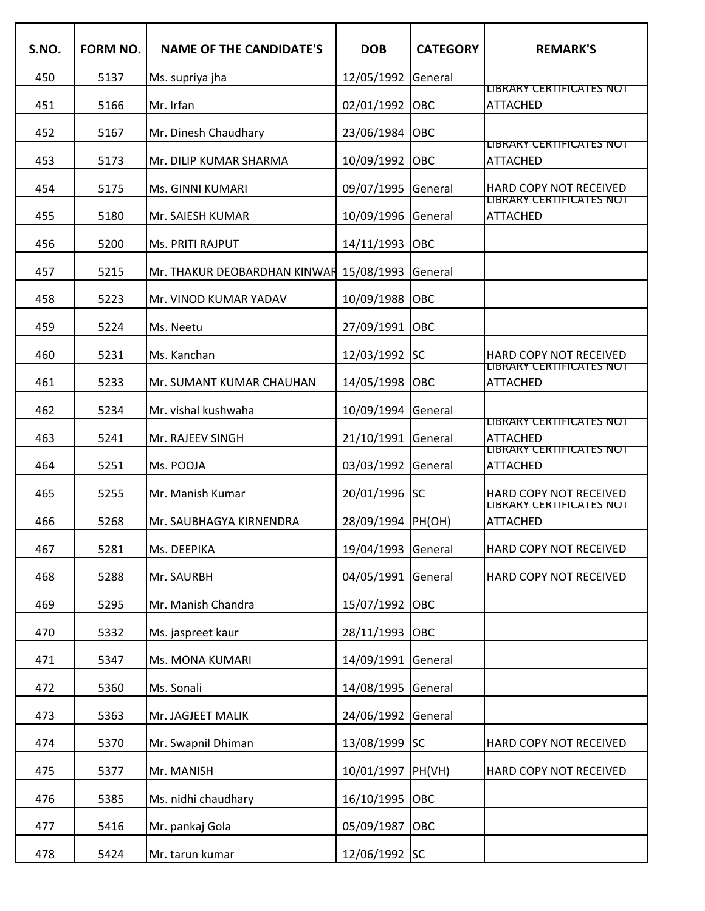| S.NO. | <b>FORM NO.</b> | <b>NAME OF THE CANDIDATE'S</b> | <b>DOB</b>    | <b>CATEGORY</b> | <b>REMARK'S</b>                             |
|-------|-----------------|--------------------------------|---------------|-----------------|---------------------------------------------|
| 450   | 5137            | Ms. supriya jha                | 12/05/1992    | General         |                                             |
| 451   | 5166            | Mr. Irfan                      | 02/01/1992    | OBC             | LIBRARY CERTIFICATES NOT<br><b>ATTACHED</b> |
| 452   | 5167            | Mr. Dinesh Chaudhary           | 23/06/1984    | OBC             |                                             |
| 453   | 5173            | Mr. DILIP KUMAR SHARMA         | 10/09/1992    | OBC             | LIBRARY CERTIFICATES NOT<br><b>ATTACHED</b> |
| 454   | 5175            | Ms. GINNI KUMARI               | 09/07/1995    | General         | HARD COPY NOT RECEIVED                      |
| 455   | 5180            | Mr. SAIESH KUMAR               | 10/09/1996    | General         | LIBRARY CERTIFICATES NOT<br><b>ATTACHED</b> |
| 456   | 5200            | Ms. PRITI RAJPUT               | 14/11/1993    | OBC             |                                             |
| 457   | 5215            | Mr. THAKUR DEOBARDHAN KINWAR   | 15/08/1993    | General         |                                             |
| 458   | 5223            | Mr. VINOD KUMAR YADAV          | 10/09/1988    | OBC             |                                             |
| 459   | 5224            | Ms. Neetu                      | 27/09/1991    | OBC             |                                             |
| 460   | 5231            | Ms. Kanchan                    | 12/03/1992    | <b>SC</b>       | <b>HARD COPY NOT RECEIVED</b>               |
| 461   | 5233            | Mr. SUMANT KUMAR CHAUHAN       | 14/05/1998    | OBC             | LIBRARY CERTIFICATES NOT<br><b>ATTACHED</b> |
| 462   | 5234            | Mr. vishal kushwaha            | 10/09/1994    | General         |                                             |
| 463   | 5241            | Mr. RAJEEV SINGH               | 21/10/1991    | General         | LIBRARY CERTIFICATES NOT<br><b>ATTACHED</b> |
| 464   | 5251            | Ms. POOJA                      | 03/03/1992    | General         | LIBRARY CERTIFICATES NOT<br><b>ATTACHED</b> |
| 465   | 5255            | Mr. Manish Kumar               | 20/01/1996 SC |                 | HARD COPY NOT RECEIVED                      |
| 466   | 5268            | Mr. SAUBHAGYA KIRNENDRA        | 28/09/1994    | PH(OH)          | LIBRARY CERTIFICATES NOT<br><b>ATTACHED</b> |
| 467   | 5281            | Ms. DEEPIKA                    | 19/04/1993    | General         | HARD COPY NOT RECEIVED                      |
| 468   | 5288            | Mr. SAURBH                     | 04/05/1991    | General         | HARD COPY NOT RECEIVED                      |
| 469   | 5295            | Mr. Manish Chandra             | 15/07/1992    | <b>OBC</b>      |                                             |
| 470   | 5332            | Ms. jaspreet kaur              | 28/11/1993    | OBC             |                                             |
| 471   | 5347            | Ms. MONA KUMARI                | 14/09/1991    | General         |                                             |
| 472   | 5360            | Ms. Sonali                     | 14/08/1995    | General         |                                             |
| 473   | 5363            | Mr. JAGJEET MALIK              | 24/06/1992    | General         |                                             |
| 474   | 5370            | Mr. Swapnil Dhiman             | 13/08/1999    | <b>SC</b>       | HARD COPY NOT RECEIVED                      |
| 475   | 5377            | Mr. MANISH                     | 10/01/1997    | PH(VH)          | HARD COPY NOT RECEIVED                      |
| 476   | 5385            | Ms. nidhi chaudhary            | 16/10/1995    | OBC             |                                             |
| 477   | 5416            | Mr. pankaj Gola                | 05/09/1987    | OBC             |                                             |
| 478   | 5424            | Mr. tarun kumar                | 12/06/1992 SC |                 |                                             |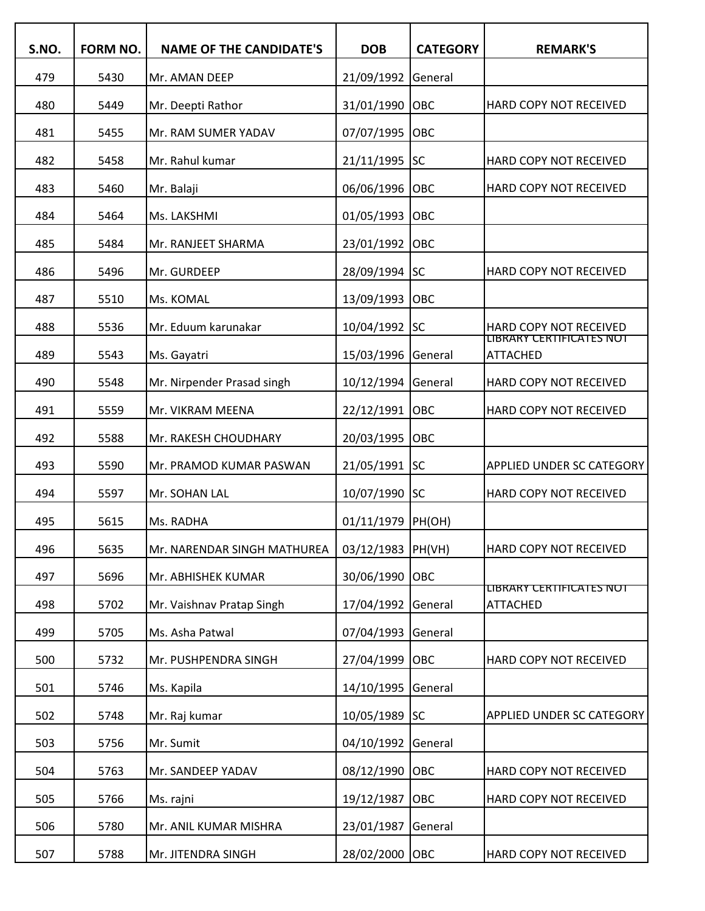| S.NO. | FORM NO. | <b>NAME OF THE CANDIDATE'S</b> | <b>DOB</b>        | <b>CATEGORY</b> | <b>REMARK'S</b>                             |
|-------|----------|--------------------------------|-------------------|-----------------|---------------------------------------------|
| 479   | 5430     | Mr. AMAN DEEP                  | 21/09/1992        | General         |                                             |
| 480   | 5449     | Mr. Deepti Rathor              | 31/01/1990        | OBC             | HARD COPY NOT RECEIVED                      |
| 481   | 5455     | Mr. RAM SUMER YADAV            | 07/07/1995        | OBC             |                                             |
| 482   | 5458     | Mr. Rahul kumar                | 21/11/1995        | <b>SC</b>       | HARD COPY NOT RECEIVED                      |
| 483   | 5460     | Mr. Balaji                     | 06/06/1996        | OBC             | HARD COPY NOT RECEIVED                      |
| 484   | 5464     | Ms. LAKSHMI                    | 01/05/1993        | OBC             |                                             |
| 485   | 5484     | Mr. RANJEET SHARMA             | 23/01/1992        | OBC             |                                             |
| 486   | 5496     | Mr. GURDEEP                    | 28/09/1994        | <b>SC</b>       | HARD COPY NOT RECEIVED                      |
| 487   | 5510     | Ms. KOMAL                      | 13/09/1993        | OBC             |                                             |
| 488   | 5536     | Mr. Eduum karunakar            | 10/04/1992        | SC              | <b>HARD COPY NOT RECEIVED</b>               |
| 489   | 5543     | Ms. Gayatri                    | 15/03/1996        | General         | LIBRARY CERTIFICATES NOT<br><b>ATTACHED</b> |
| 490   | 5548     | Mr. Nirpender Prasad singh     | 10/12/1994        | General         | HARD COPY NOT RECEIVED                      |
| 491   | 5559     | Mr. VIKRAM MEENA               | 22/12/1991        | OBC             | HARD COPY NOT RECEIVED                      |
| 492   | 5588     | Mr. RAKESH CHOUDHARY           | 20/03/1995        | OBC             |                                             |
| 493   | 5590     | Mr. PRAMOD KUMAR PASWAN        | 21/05/1991        | SC              | <b>APPLIED UNDER SC CATEGORY</b>            |
| 494   | 5597     | Mr. SOHAN LAL                  | 10/07/1990 SC     |                 | HARD COPY NOT RECEIVED                      |
| 495   | 5615     | Ms. RADHA                      | 01/11/1979        | PH(OH)          |                                             |
| 496   | 5635     | Mr. NARENDAR SINGH MATHUREA    | 03/12/1983 PH(VH) |                 | HARD COPY NOT RECEIVED                      |
| 497   | 5696     | Mr. ABHISHEK KUMAR             | 30/06/1990        | OBC             |                                             |
| 498   | 5702     | Mr. Vaishnav Pratap Singh      | 17/04/1992        | General         | LIBRARY CERTIFICATES NOT<br><b>ATTACHED</b> |
| 499   | 5705     | Ms. Asha Patwal                | 07/04/1993        | General         |                                             |
| 500   | 5732     | Mr. PUSHPENDRA SINGH           | 27/04/1999        | <b>OBC</b>      | HARD COPY NOT RECEIVED                      |
| 501   | 5746     | Ms. Kapila                     | 14/10/1995        | General         |                                             |
| 502   | 5748     | Mr. Raj kumar                  | 10/05/1989 SC     |                 | <b>APPLIED UNDER SC CATEGORY</b>            |
| 503   | 5756     | Mr. Sumit                      | 04/10/1992        | General         |                                             |
| 504   | 5763     | Mr. SANDEEP YADAV              | 08/12/1990        | OBC             | HARD COPY NOT RECEIVED                      |
| 505   | 5766     | Ms. rajni                      | 19/12/1987        | OBC             | HARD COPY NOT RECEIVED                      |
| 506   | 5780     | Mr. ANIL KUMAR MISHRA          | 23/01/1987        | General         |                                             |
| 507   | 5788     | Mr. JITENDRA SINGH             | 28/02/2000 OBC    |                 | HARD COPY NOT RECEIVED                      |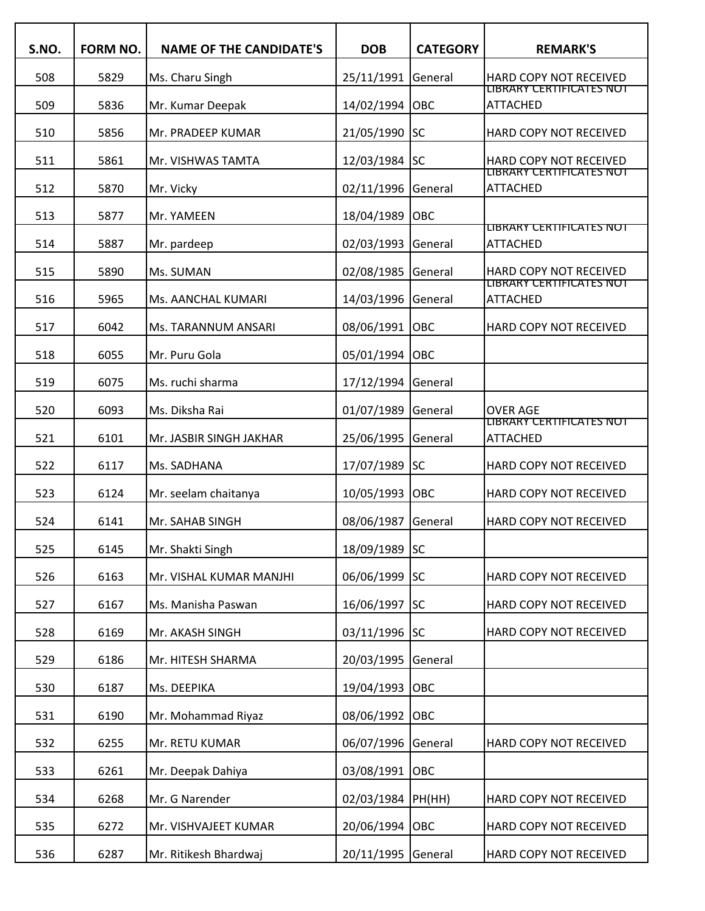| S.NO. | FORM NO. | <b>NAME OF THE CANDIDATE'S</b> | <b>DOB</b>         | <b>CATEGORY</b> | <b>REMARK'S</b>                                    |
|-------|----------|--------------------------------|--------------------|-----------------|----------------------------------------------------|
| 508   | 5829     | Ms. Charu Singh                | 25/11/1991 General |                 | HARD COPY NOT RECEIVED                             |
| 509   | 5836     | Mr. Kumar Deepak               | 14/02/1994 OBC     |                 | LIBRARY CERTIFICATES NOT<br>ATTACHED               |
| 510   | 5856     | Mr. PRADEEP KUMAR              | 21/05/1990 SC      |                 | HARD COPY NOT RECEIVED                             |
| 511   | 5861     | Mr. VISHWAS TAMTA              | 12/03/1984 SC      |                 | HARD COPY NOT RECEIVED<br>LIBRARY CERTIFICATES NOT |
| 512   | 5870     | Mr. Vicky                      | 02/11/1996 General |                 | ATTACHED                                           |
| 513   | 5877     | Mr. YAMEEN                     | 18/04/1989         | OBC             |                                                    |
| 514   | 5887     | Mr. pardeep                    | 02/03/1993 General |                 | LIBRARY CERTIFICATES NOT<br>ATTACHED               |
| 515   | 5890     | Ms. SUMAN                      | 02/08/1985 General |                 | HARD COPY NOT RECEIVED                             |
| 516   | 5965     | Ms. AANCHAL KUMARI             | 14/03/1996 General |                 | LIBRARY CERTIFICATES NOT<br><b>ATTACHED</b>        |
| 517   | 6042     | Ms. TARANNUM ANSARI            | 08/06/1991 OBC     |                 | HARD COPY NOT RECEIVED                             |
| 518   | 6055     | Mr. Puru Gola                  | 05/01/1994 OBC     |                 |                                                    |
| 519   | 6075     | Ms. ruchi sharma               | 17/12/1994 General |                 |                                                    |
| 520   | 6093     | Ms. Diksha Rai                 | 01/07/1989         | General         | OVER AGE                                           |
| 521   | 6101     | Mr. JASBIR SINGH JAKHAR        | 25/06/1995         | General         | <u>LIBRARY CERTIFICATES NOT</u><br><b>ATTACHED</b> |
| 522   | 6117     | Ms. SADHANA                    | 17/07/1989 SC      |                 | HARD COPY NOT RECEIVED                             |
| 523   | 6124     | Mr. seelam chaitanya           | 10/05/1993 OBC     |                 | HARD COPY NOT RECEIVED                             |
| 524   | 6141     | Mr. SAHAB SINGH                | 08/06/1987         | General         | HARD COPY NOT RECEIVED                             |
| 525   | 6145     | Mr. Shakti Singh               | 18/09/1989 SC      |                 |                                                    |
| 526   | 6163     | Mr. VISHAL KUMAR MANJHI        | 06/06/1999 SC      |                 | HARD COPY NOT RECEIVED                             |
| 527   | 6167     | Ms. Manisha Paswan             | 16/06/1997 SC      |                 | HARD COPY NOT RECEIVED                             |
| 528   | 6169     | Mr. AKASH SINGH                | 03/11/1996 SC      |                 | HARD COPY NOT RECEIVED                             |
| 529   | 6186     | Mr. HITESH SHARMA              | 20/03/1995         | General         |                                                    |
| 530   | 6187     | Ms. DEEPIKA                    | 19/04/1993         | <b>OBC</b>      |                                                    |
| 531   | 6190     | Mr. Mohammad Riyaz             | 08/06/1992 OBC     |                 |                                                    |
| 532   | 6255     | Mr. RETU KUMAR                 | 06/07/1996 General |                 | HARD COPY NOT RECEIVED                             |
| 533   | 6261     | Mr. Deepak Dahiya              | 03/08/1991 OBC     |                 |                                                    |
| 534   | 6268     | Mr. G Narender                 | 02/03/1984 PH(HH)  |                 | HARD COPY NOT RECEIVED                             |
| 535   | 6272     | Mr. VISHVAJEET KUMAR           | 20/06/1994 OBC     |                 | HARD COPY NOT RECEIVED                             |
| 536   | 6287     | Mr. Ritikesh Bhardwaj          | 20/11/1995 General |                 | HARD COPY NOT RECEIVED                             |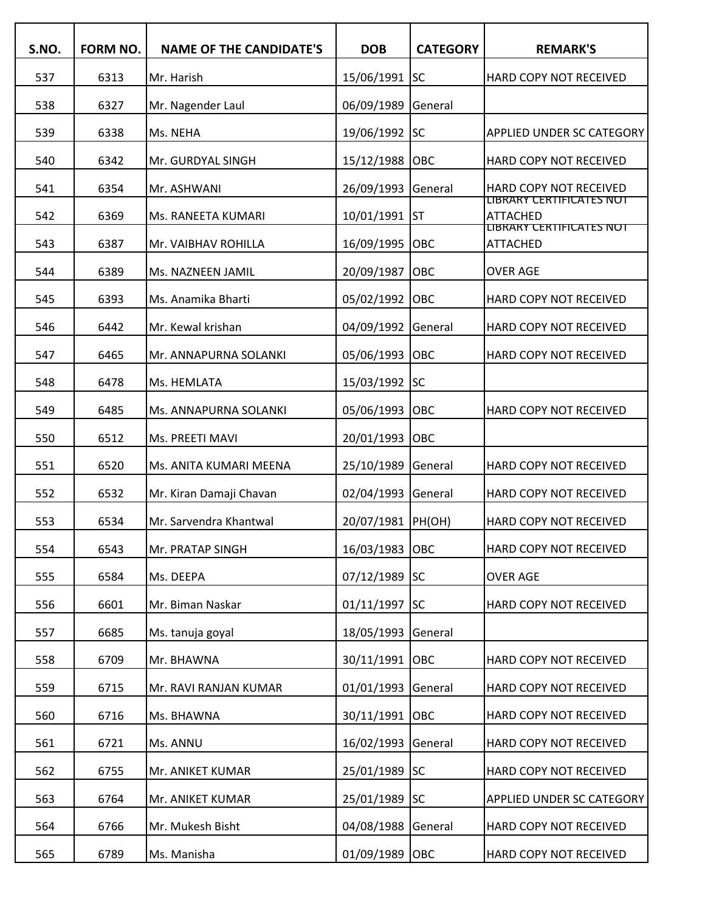| S.NO. | FORM NO. | <b>NAME OF THE CANDIDATE'S</b> | <b>DOB</b>      | <b>CATEGORY</b> | <b>REMARK'S</b>                                    |
|-------|----------|--------------------------------|-----------------|-----------------|----------------------------------------------------|
| 537   | 6313     | Mr. Harish                     | 15/06/1991      | lsc             | HARD COPY NOT RECEIVED                             |
| 538   | 6327     | Mr. Nagender Laul              | 06/09/1989      | General         |                                                    |
| 539   | 6338     | Ms. NEHA                       | 19/06/1992      | <b>SC</b>       | <b>APPLIED UNDER SC CATEGORY</b>                   |
| 540   | 6342     | Mr. GURDYAL SINGH              | 15/12/1988      | OBC             | HARD COPY NOT RECEIVED                             |
| 541   | 6354     | Mr. ASHWANI                    | 26/09/1993      | General         | HARD COPY NOT RECEIVED                             |
| 542   | 6369     | Ms. RANEETA KUMARI             | 10/01/1991      | Ist             | LIBRARY CERTIFICATES NOT<br><b>ATTACHED</b>        |
| 543   | 6387     | Mr. VAIBHAV ROHILLA            | 16/09/1995      | OBC             | <b>LIBRARY CERTIFICATES NOT</b><br><b>ATTACHED</b> |
| 544   | 6389     | Ms. NAZNEEN JAMIL              | 20/09/1987      | OBC             | <b>OVER AGE</b>                                    |
| 545   | 6393     | Ms. Anamika Bharti             | 05/02/1992      | OBC             | HARD COPY NOT RECEIVED                             |
| 546   | 6442     | Mr. Kewal krishan              | 04/09/1992      | General         | HARD COPY NOT RECEIVED                             |
| 547   | 6465     | Mr. ANNAPURNA SOLANKI          | 05/06/1993      | OBC             | HARD COPY NOT RECEIVED                             |
| 548   | 6478     | Ms. HEMLATA                    | 15/03/1992 SC   |                 |                                                    |
| 549   | 6485     | Ms. ANNAPURNA SOLANKI          | 05/06/1993      | OBC             | HARD COPY NOT RECEIVED                             |
| 550   | 6512     | Ms. PREETI MAVI                | 20/01/1993      | OBC             |                                                    |
| 551   | 6520     | Ms. ANITA KUMARI MEENA         | 25/10/1989      | General         | HARD COPY NOT RECEIVED                             |
| 552   | 6532     | Mr. Kiran Damaji Chavan        | 02/04/1993      | General         | HARD COPY NOT RECEIVED                             |
| 553   | 6534     | Mr. Sarvendra Khantwal         | 20/07/1981      | PH(OH)          | HARD COPY NOT RECEIVED                             |
| 554   | 6543     | Mr. PRATAP SINGH               | 16/03/1983 OBC  |                 | HARD COPY NOT RECEIVED                             |
| 555   | 6584     | Ms. DEEPA                      | 07/12/1989 SC   |                 | <b>OVER AGE</b>                                    |
| 556   | 6601     | Mr. Biman Naskar               | $01/11/1997$ SC |                 | HARD COPY NOT RECEIVED                             |
| 557   | 6685     | Ms. tanuja goyal               | 18/05/1993      | General         |                                                    |
| 558   | 6709     | Mr. BHAWNA                     | 30/11/1991      | <b>OBC</b>      | HARD COPY NOT RECEIVED                             |
| 559   | 6715     | Mr. RAVI RANJAN KUMAR          | 01/01/1993      | General         | HARD COPY NOT RECEIVED                             |
| 560   | 6716     | Ms. BHAWNA                     | 30/11/1991      | <b>OBC</b>      | HARD COPY NOT RECEIVED                             |
| 561   | 6721     | Ms. ANNU                       | 16/02/1993      | General         | HARD COPY NOT RECEIVED                             |
| 562   | 6755     | Mr. ANIKET KUMAR               | 25/01/1989      | <b>SC</b>       | HARD COPY NOT RECEIVED                             |
| 563   | 6764     | Mr. ANIKET KUMAR               | 25/01/1989 SC   |                 | APPLIED UNDER SC CATEGORY                          |
| 564   | 6766     | Mr. Mukesh Bisht               | 04/08/1988      | General         | HARD COPY NOT RECEIVED                             |
| 565   | 6789     | Ms. Manisha                    | 01/09/1989 OBC  |                 | HARD COPY NOT RECEIVED                             |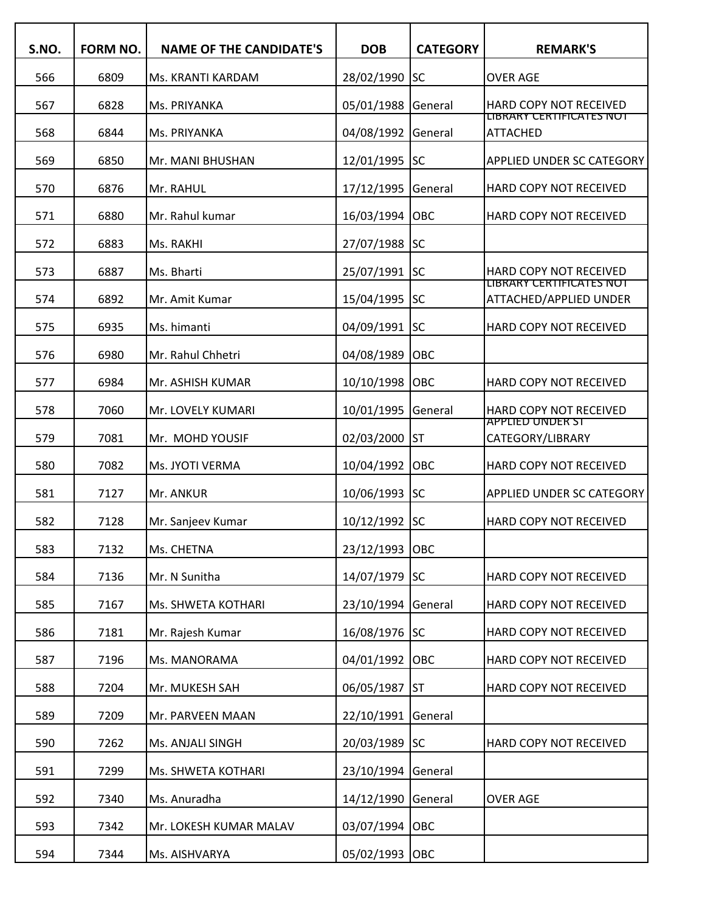| S.NO. | <b>FORM NO.</b> | <b>NAME OF THE CANDIDATE'S</b> | <b>DOB</b>     | <b>CATEGORY</b> | <b>REMARK'S</b>                                           |
|-------|-----------------|--------------------------------|----------------|-----------------|-----------------------------------------------------------|
| 566   | 6809            | Ms. KRANTI KARDAM              | 28/02/1990     | <b>SC</b>       | <b>OVER AGE</b>                                           |
| 567   | 6828            | Ms. PRIYANKA                   | 05/01/1988     | General         | HARD COPY NOT RECEIVED                                    |
| 568   | 6844            | Ms. PRIYANKA                   | 04/08/1992     | General         | LIBRARY CERTIFICATES NOT<br><b>ATTACHED</b>               |
| 569   | 6850            | Mr. MANI BHUSHAN               | 12/01/1995     | <b>SC</b>       | <b>APPLIED UNDER SC CATEGORY</b>                          |
| 570   | 6876            | Mr. RAHUL                      | 17/12/1995     | General         | HARD COPY NOT RECEIVED                                    |
| 571   | 6880            | Mr. Rahul kumar                | 16/03/1994     | OBC             | HARD COPY NOT RECEIVED                                    |
| 572   | 6883            | Ms. RAKHI                      | 27/07/1988     | <b>SC</b>       |                                                           |
| 573   | 6887            | Ms. Bharti                     | 25/07/1991 SC  |                 | <b>HARD COPY NOT RECEIVED</b><br>LIBRARY CERTIFICATES NOT |
| 574   | 6892            | Mr. Amit Kumar                 | 15/04/1995 SC  |                 | ATTACHED/APPLIED UNDER                                    |
| 575   | 6935            | Ms. himanti                    | 04/09/1991 SC  |                 | HARD COPY NOT RECEIVED                                    |
| 576   | 6980            | Mr. Rahul Chhetri              | 04/08/1989     | OBC             |                                                           |
| 577   | 6984            | Mr. ASHISH KUMAR               | 10/10/1998     | <b>OBC</b>      | HARD COPY NOT RECEIVED                                    |
| 578   | 7060            | Mr. LOVELY KUMARI              | 10/01/1995     | General         | HARD COPY NOT RECEIVED<br><b>APPLIED UNDER ST</b>         |
| 579   | 7081            | Mr. MOHD YOUSIF                | 02/03/2000     | <b>ST</b>       | CATEGORY/LIBRARY                                          |
| 580   | 7082            | Ms. JYOTI VERMA                | 10/04/1992     | OBC             | HARD COPY NOT RECEIVED                                    |
| 581   | 7127            | Mr. ANKUR                      | 10/06/1993 SC  |                 | <b>APPLIED UNDER SC CATEGORY</b>                          |
| 582   | 7128            | Mr. Sanjeev Kumar              | 10/12/1992     | lsc             | HARD COPY NOT RECEIVED                                    |
| 583   | 7132            | Ms. CHETNA                     | 23/12/1993 OBC |                 |                                                           |
| 584   | 7136            | Mr. N Sunitha                  | 14/07/1979 SC  |                 | HARD COPY NOT RECEIVED                                    |
| 585   | 7167            | Ms. SHWETA KOTHARI             | 23/10/1994     | General         | HARD COPY NOT RECEIVED                                    |
| 586   | 7181            | Mr. Rajesh Kumar               | 16/08/1976 SC  |                 | HARD COPY NOT RECEIVED                                    |
| 587   | 7196            | Ms. MANORAMA                   | 04/01/1992     | <b>OBC</b>      | HARD COPY NOT RECEIVED                                    |
| 588   | 7204            | Mr. MUKESH SAH                 | 06/05/1987     | <b>ST</b>       | HARD COPY NOT RECEIVED                                    |
| 589   | 7209            | Mr. PARVEEN MAAN               | 22/10/1991     | General         |                                                           |
| 590   | 7262            | Ms. ANJALI SINGH               | 20/03/1989 SC  |                 | HARD COPY NOT RECEIVED                                    |
| 591   | 7299            | Ms. SHWETA KOTHARI             | 23/10/1994     | General         |                                                           |
| 592   | 7340            | Ms. Anuradha                   | 14/12/1990     | General         | <b>OVER AGE</b>                                           |
| 593   | 7342            | Mr. LOKESH KUMAR MALAV         | 03/07/1994     | <b>OBC</b>      |                                                           |
| 594   | 7344            | Ms. AISHVARYA                  | 05/02/1993 OBC |                 |                                                           |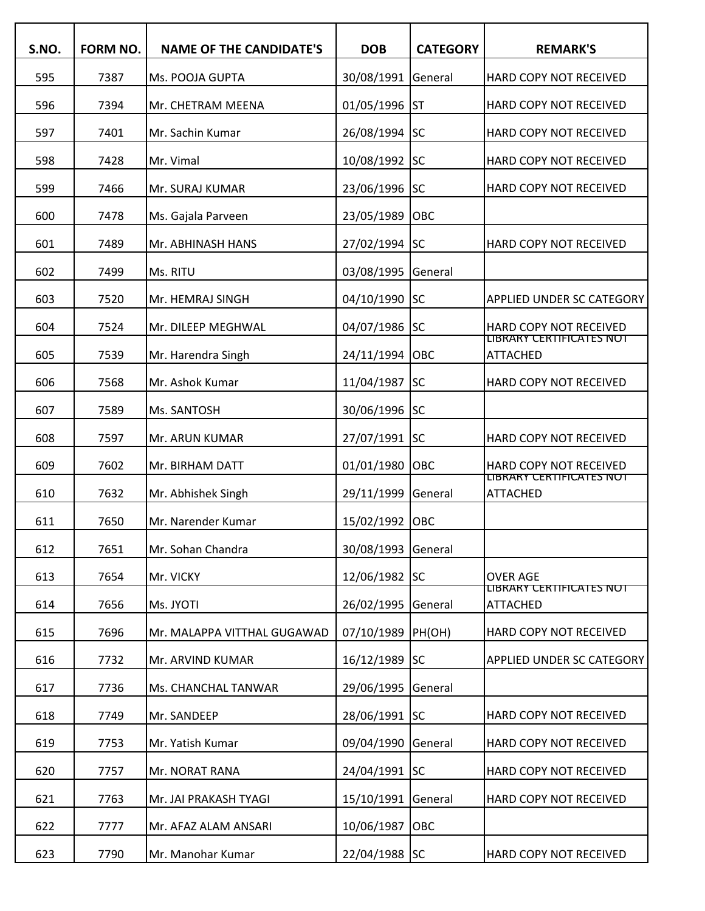| S.NO. | <b>FORM NO.</b> | <b>NAME OF THE CANDIDATE'S</b> | <b>DOB</b>    | <b>CATEGORY</b> | <b>REMARK'S</b>                                           |
|-------|-----------------|--------------------------------|---------------|-----------------|-----------------------------------------------------------|
| 595   | 7387            | Ms. POOJA GUPTA                | 30/08/1991    | General         | HARD COPY NOT RECEIVED                                    |
| 596   | 7394            | Mr. CHETRAM MEENA              | 01/05/1996    | Ist             | HARD COPY NOT RECEIVED                                    |
| 597   | 7401            | Mr. Sachin Kumar               | 26/08/1994    | <b>SC</b>       | HARD COPY NOT RECEIVED                                    |
| 598   | 7428            | Mr. Vimal                      | 10/08/1992    | <b>SC</b>       | HARD COPY NOT RECEIVED                                    |
| 599   | 7466            | Mr. SURAJ KUMAR                | 23/06/1996 SC |                 | HARD COPY NOT RECEIVED                                    |
| 600   | 7478            | Ms. Gajala Parveen             | 23/05/1989    | OBC             |                                                           |
| 601   | 7489            | Mr. ABHINASH HANS              | 27/02/1994 SC |                 | HARD COPY NOT RECEIVED                                    |
| 602   | 7499            | Ms. RITU                       | 03/08/1995    | General         |                                                           |
| 603   | 7520            | Mr. HEMRAJ SINGH               | 04/10/1990    | <b>SC</b>       | APPLIED UNDER SC CATEGORY                                 |
| 604   | 7524            | Mr. DILEEP MEGHWAL             | 04/07/1986    | <b>SC</b>       | HARD COPY NOT RECEIVED<br><b>LIBRARY CERTIFICATES NOT</b> |
| 605   | 7539            | Mr. Harendra Singh             | 24/11/1994    | OBC             | <b>ATTACHED</b>                                           |
| 606   | 7568            | Mr. Ashok Kumar                | 11/04/1987    | <b>SC</b>       | HARD COPY NOT RECEIVED                                    |
| 607   | 7589            | Ms. SANTOSH                    | 30/06/1996    | <b>SC</b>       |                                                           |
| 608   | 7597            | Mr. ARUN KUMAR                 | 27/07/1991    | <b>SC</b>       | HARD COPY NOT RECEIVED                                    |
| 609   | 7602            | Mr. BIRHAM DATT                | 01/01/1980    | Іовс            | HARD COPY NOT RECEIVED                                    |
| 610   | 7632            | Mr. Abhishek Singh             | 29/11/1999    | General         | LIBRARY CERTIFICATES NOT<br><b>ATTACHED</b>               |
| 611   | 7650            | Mr. Narender Kumar             | 15/02/1992    | OBC             |                                                           |
| 612   | 7651            | Mr. Sohan Chandra              | 30/08/1993    | General         |                                                           |
| 613   | 7654            | Mr. VICKY                      | 12/06/1982 SC |                 | <b>OVER AGE</b>                                           |
| 614   | 7656            | Ms. JYOTI                      | 26/02/1995    | General         | LIBRARY CERTIFICATES NOT<br><b>ATTACHED</b>               |
| 615   | 7696            | Mr. MALAPPA VITTHAL GUGAWAD    | 07/10/1989    | PH(OH)          | HARD COPY NOT RECEIVED                                    |
| 616   | 7732            | Mr. ARVIND KUMAR               | 16/12/1989 SC |                 | <b>APPLIED UNDER SC CATEGORY</b>                          |
| 617   | 7736            | Ms. CHANCHAL TANWAR            | 29/06/1995    | General         |                                                           |
| 618   | 7749            | Mr. SANDEEP                    | 28/06/1991 SC |                 | HARD COPY NOT RECEIVED                                    |
| 619   | 7753            | Mr. Yatish Kumar               | 09/04/1990    | General         | HARD COPY NOT RECEIVED                                    |
| 620   | 7757            | Mr. NORAT RANA                 | 24/04/1991 SC |                 | HARD COPY NOT RECEIVED                                    |
| 621   | 7763            | Mr. JAI PRAKASH TYAGI          | 15/10/1991    | General         | HARD COPY NOT RECEIVED                                    |
| 622   | 7777            | Mr. AFAZ ALAM ANSARI           | 10/06/1987    | OBC             |                                                           |
| 623   | 7790            | Mr. Manohar Kumar              | 22/04/1988 SC |                 | HARD COPY NOT RECEIVED                                    |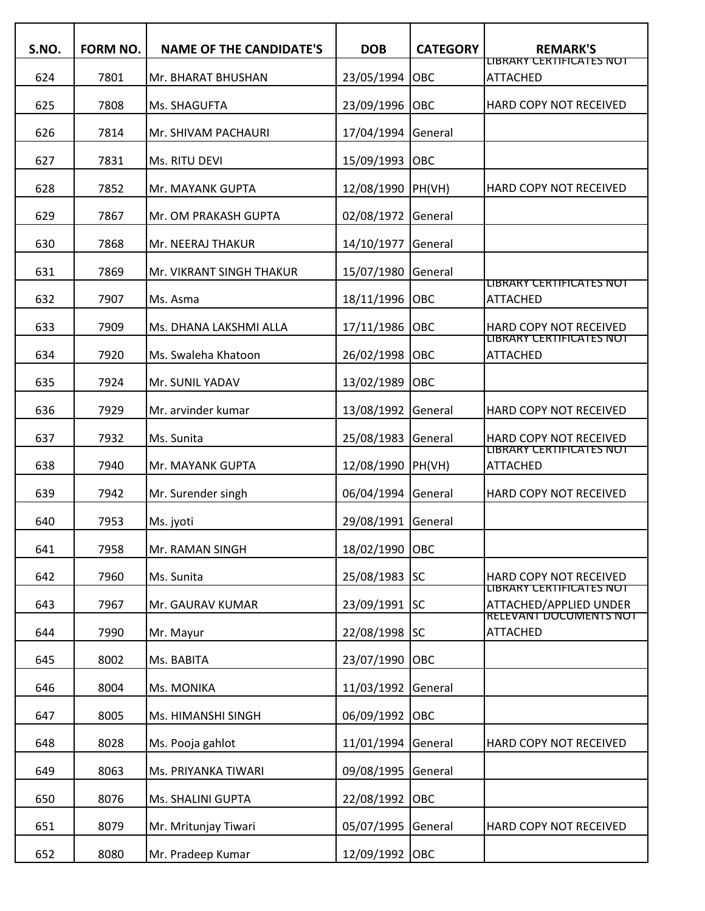| S.NO. | FORM NO. | <b>NAME OF THE CANDIDATE'S</b> | <b>DOB</b>     | <b>CATEGORY</b> | <b>REMARK'S</b>                                           |
|-------|----------|--------------------------------|----------------|-----------------|-----------------------------------------------------------|
| 624   | 7801     | Mr. BHARAT BHUSHAN             | 23/05/1994     | OBC             | LIBRARY CERTIFICATES NOT<br><b>ATTACHED</b>               |
| 625   | 7808     | Ms. SHAGUFTA                   | 23/09/1996     | OBC             | HARD COPY NOT RECEIVED                                    |
| 626   | 7814     | Mr. SHIVAM PACHAURI            | 17/04/1994     | General         |                                                           |
| 627   | 7831     | Ms. RITU DEVI                  | 15/09/1993     | OBC             |                                                           |
| 628   | 7852     | Mr. MAYANK GUPTA               | 12/08/1990     | PH(VH)          | HARD COPY NOT RECEIVED                                    |
| 629   | 7867     | Mr. OM PRAKASH GUPTA           | 02/08/1972     | General         |                                                           |
| 630   | 7868     | Mr. NEERAJ THAKUR              | 14/10/1977     | General         |                                                           |
| 631   | 7869     | Mr. VIKRANT SINGH THAKUR       | 15/07/1980     | General         |                                                           |
| 632   | 7907     | Ms. Asma                       | 18/11/1996     | <b>OBC</b>      | LIBRARY CERTIFICATES NOT<br><b>ATTACHED</b>               |
| 633   | 7909     | Ms. DHANA LAKSHMI ALLA         | 17/11/1986     | <b>OBC</b>      | HARD COPY NOT RECEIVED                                    |
| 634   | 7920     | Ms. Swaleha Khatoon            | 26/02/1998     | OBC             | LIBRARY CERTIFICATES NOT<br><b>ATTACHED</b>               |
| 635   | 7924     | Mr. SUNIL YADAV                | 13/02/1989     | OBC             |                                                           |
| 636   | 7929     | Mr. arvinder kumar             | 13/08/1992     | General         | HARD COPY NOT RECEIVED                                    |
| 637   | 7932     | Ms. Sunita                     | 25/08/1983     | General         | HARD COPY NOT RECEIVED                                    |
| 638   | 7940     | Mr. MAYANK GUPTA               | 12/08/1990     | PH(VH)          | LIBRARY CERTIFICATES NOT<br><b>ATTACHED</b>               |
| 639   | 7942     | Mr. Surender singh             | 06/04/1994     | General         | HARD COPY NOT RECEIVED                                    |
| 640   | 7953     | Ms. jyoti                      | 29/08/1991     | General         |                                                           |
| 641   | 7958     | Mr. RAMAN SINGH                | 18/02/1990 OBC |                 |                                                           |
| 642   | 7960     | Ms. Sunita                     | 25/08/1983 SC  |                 | HARD COPY NOT RECEIVED                                    |
| 643   | 7967     | Mr. GAURAV KUMAR               | 23/09/1991 SC  |                 | <b>LIBRARY CERTIFICATES NOT</b><br>ATTACHED/APPLIED UNDER |
| 644   | 7990     | Mr. Mayur                      | 22/08/1998 SC  |                 | <b>RELEVANT DOCUMENTS NOT</b><br><b>ATTACHED</b>          |
| 645   | 8002     | Ms. BABITA                     | 23/07/1990     | <b>OBC</b>      |                                                           |
| 646   | 8004     | Ms. MONIKA                     | 11/03/1992     | General         |                                                           |
| 647   | 8005     | Ms. HIMANSHI SINGH             | 06/09/1992     | <b>OBC</b>      |                                                           |
| 648   | 8028     | Ms. Pooja gahlot               | 11/01/1994     | General         | HARD COPY NOT RECEIVED                                    |
| 649   | 8063     | Ms. PRIYANKA TIWARI            | 09/08/1995     | General         |                                                           |
| 650   | 8076     | Ms. SHALINI GUPTA              | 22/08/1992     | <b>OBC</b>      |                                                           |
| 651   | 8079     | Mr. Mritunjay Tiwari           | 05/07/1995     | General         | HARD COPY NOT RECEIVED                                    |
| 652   | 8080     | Mr. Pradeep Kumar              | 12/09/1992     | <b>OBC</b>      |                                                           |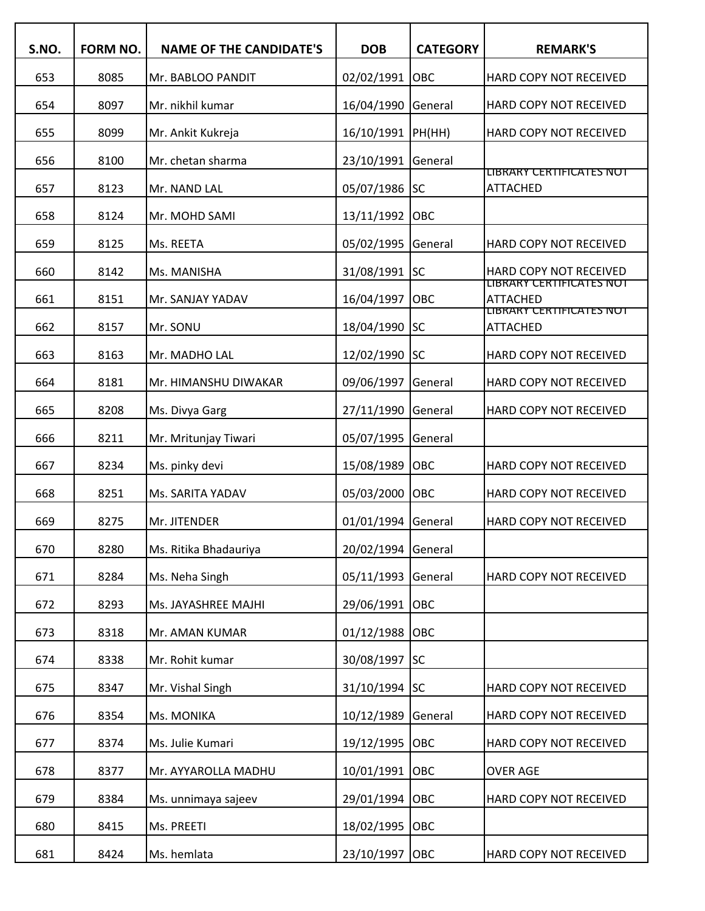| S.NO. | FORM NO. | <b>NAME OF THE CANDIDATE'S</b> | <b>DOB</b>    | <b>CATEGORY</b> | <b>REMARK'S</b>                                                         |
|-------|----------|--------------------------------|---------------|-----------------|-------------------------------------------------------------------------|
| 653   | 8085     | Mr. BABLOO PANDIT              | 02/02/1991    | OBC             | HARD COPY NOT RECEIVED                                                  |
| 654   | 8097     | Mr. nikhil kumar               | 16/04/1990    | General         | HARD COPY NOT RECEIVED                                                  |
| 655   | 8099     | Mr. Ankit Kukreja              | 16/10/1991    | PH(HH)          | HARD COPY NOT RECEIVED                                                  |
| 656   | 8100     | Mr. chetan sharma              | 23/10/1991    | General         |                                                                         |
| 657   | 8123     | Mr. NAND LAL                   | 05/07/1986    | lsc             | LIBRARY CERTIFICATES NOT<br><b>ATTACHED</b>                             |
| 658   | 8124     | Mr. MOHD SAMI                  | 13/11/1992    | OBC             |                                                                         |
| 659   | 8125     | Ms. REETA                      | 05/02/1995    | General         | HARD COPY NOT RECEIVED                                                  |
| 660   | 8142     | Ms. MANISHA                    | 31/08/1991    | SC              | <b>HARD COPY NOT RECEIVED</b>                                           |
| 661   | 8151     | Mr. SANJAY YADAV               | 16/04/1997    | OBC             | LIBRARY CERTIFICATES NOT<br><b>ATTACHED</b><br>LIBRARY CERTIFICATES NOT |
| 662   | 8157     | Mr. SONU                       | 18/04/1990    | <b>SC</b>       | <b>ATTACHED</b>                                                         |
| 663   | 8163     | Mr. MADHO LAL                  | 12/02/1990    | <b>SC</b>       | HARD COPY NOT RECEIVED                                                  |
| 664   | 8181     | Mr. HIMANSHU DIWAKAR           | 09/06/1997    | General         | HARD COPY NOT RECEIVED                                                  |
| 665   | 8208     | Ms. Divya Garg                 | 27/11/1990    | General         | HARD COPY NOT RECEIVED                                                  |
| 666   | 8211     | Mr. Mritunjay Tiwari           | 05/07/1995    | General         |                                                                         |
| 667   | 8234     | Ms. pinky devi                 | 15/08/1989    | OBC             | HARD COPY NOT RECEIVED                                                  |
| 668   | 8251     | Ms. SARITA YADAV               | 05/03/2000    | OBC             | HARD COPY NOT RECEIVED                                                  |
| 669   | 8275     | Mr. JITENDER                   | 01/01/1994    | General         | HARD COPY NOT RECEIVED                                                  |
| 670   | 8280     | Ms. Ritika Bhadauriya          | 20/02/1994    | General         |                                                                         |
| 671   | 8284     | Ms. Neha Singh                 | 05/11/1993    | General         | HARD COPY NOT RECEIVED                                                  |
| 672   | 8293     | Ms. JAYASHREE MAJHI            | 29/06/1991    | OBC             |                                                                         |
| 673   | 8318     | Mr. AMAN KUMAR                 | 01/12/1988    | OBC             |                                                                         |
| 674   | 8338     | Mr. Rohit kumar                | 30/08/1997    | <b>SC</b>       |                                                                         |
| 675   | 8347     | Mr. Vishal Singh               | 31/10/1994 SC |                 | HARD COPY NOT RECEIVED                                                  |
| 676   | 8354     | Ms. MONIKA                     | 10/12/1989    | General         | HARD COPY NOT RECEIVED                                                  |
| 677   | 8374     | Ms. Julie Kumari               | 19/12/1995    | OBC             | HARD COPY NOT RECEIVED                                                  |
| 678   | 8377     | Mr. AYYAROLLA MADHU            | 10/01/1991    | OBC             | <b>OVER AGE</b>                                                         |
| 679   | 8384     | Ms. unnimaya sajeev            | 29/01/1994    | OBC             | HARD COPY NOT RECEIVED                                                  |
| 680   | 8415     | Ms. PREETI                     | 18/02/1995    | OBC             |                                                                         |
| 681   | 8424     | Ms. hemlata                    | 23/10/1997    | OBC             | HARD COPY NOT RECEIVED                                                  |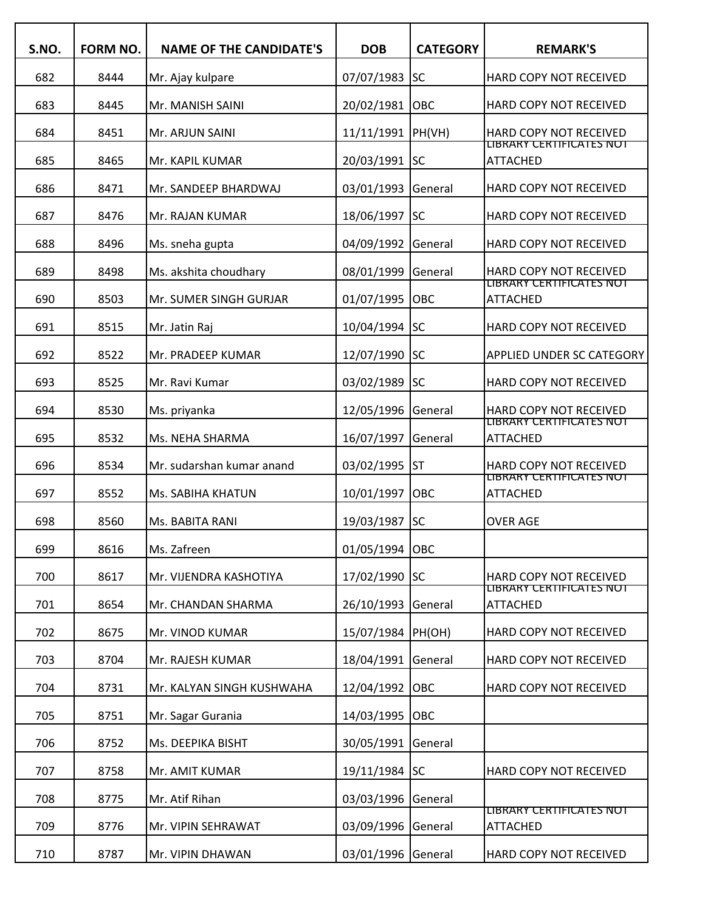| S.NO. | <b>FORM NO.</b> | <b>NAME OF THE CANDIDATE'S</b> | <b>DOB</b>         | <b>CATEGORY</b> | <b>REMARK'S</b>                                           |
|-------|-----------------|--------------------------------|--------------------|-----------------|-----------------------------------------------------------|
| 682   | 8444            | Mr. Ajay kulpare               | 07/07/1983         | <b>SC</b>       | HARD COPY NOT RECEIVED                                    |
| 683   | 8445            | Mr. MANISH SAINI               | 20/02/1981         | OBC             | HARD COPY NOT RECEIVED                                    |
| 684   | 8451            | Mr. ARJUN SAINI                | 11/11/1991         | PH(VH)          | HARD COPY NOT RECEIVED                                    |
| 685   | 8465            | Mr. KAPIL KUMAR                | 20/03/1991         | <b>SC</b>       | LIBRARY CERTIFICATES NOT<br><b>ATTACHED</b>               |
| 686   | 8471            | Mr. SANDEEP BHARDWAJ           | 03/01/1993         | General         | HARD COPY NOT RECEIVED                                    |
| 687   | 8476            | Mr. RAJAN KUMAR                | 18/06/1997         | lsc             | HARD COPY NOT RECEIVED                                    |
| 688   | 8496            | Ms. sneha gupta                | 04/09/1992         | General         | HARD COPY NOT RECEIVED                                    |
| 689   | 8498            | Ms. akshita choudhary          | 08/01/1999         | General         | <b>HARD COPY NOT RECEIVED</b>                             |
| 690   | 8503            | Mr. SUMER SINGH GURJAR         | 01/07/1995         | OBC             | LIBRARY CERTIFICATES NOT<br><b>ATTACHED</b>               |
| 691   | 8515            | Mr. Jatin Raj                  | 10/04/1994         | <b>SC</b>       | HARD COPY NOT RECEIVED                                    |
| 692   | 8522            | Mr. PRADEEP KUMAR              | 12/07/1990         | lsc             | <b>APPLIED UNDER SC CATEGORY</b>                          |
| 693   | 8525            | Mr. Ravi Kumar                 | 03/02/1989         | <b>SC</b>       | HARD COPY NOT RECEIVED                                    |
| 694   | 8530            | Ms. priyanka                   | 12/05/1996         | General         | <b>HARD COPY NOT RECEIVED</b><br>LIBRARY CERTIFICATES NOT |
| 695   | 8532            | Ms. NEHA SHARMA                | 16/07/1997         | General         | <b>ATTACHED</b>                                           |
| 696   | 8534            | Mr. sudarshan kumar anand      | 03/02/1995         | <b>ST</b>       | <b>HARD COPY NOT RECEIVED</b><br>LIBRARY CERTIFICATES NOT |
| 697   | 8552            | Ms. SABIHA KHATUN              | 10/01/1997         | OBC             | <b>ATTACHED</b>                                           |
| 698   | 8560            | Ms. BABITA RANI                | 19/03/1987         | <b>SC</b>       | <b>OVER AGE</b>                                           |
| 699   | 8616            | Ms. Zafreen                    | 01/05/1994         | <b>OBC</b>      |                                                           |
| 700   | 8617            | Mr. VIJENDRA KASHOTIYA         | 17/02/1990 SC      |                 | HARD COPY NOT RECEIVED                                    |
| 701   | 8654            | Mr. CHANDAN SHARMA             | 26/10/1993         | General         | <b>LIBRARY CERTIFICATES NOT</b><br><b>ATTACHED</b>        |
| 702   | 8675            | Mr. VINOD KUMAR                | 15/07/1984  PH(OH) |                 | HARD COPY NOT RECEIVED                                    |
| 703   | 8704            | Mr. RAJESH KUMAR               | 18/04/1991         | General         | HARD COPY NOT RECEIVED                                    |
| 704   | 8731            | Mr. KALYAN SINGH KUSHWAHA      | 12/04/1992         | OBC             | HARD COPY NOT RECEIVED                                    |
| 705   | 8751            | Mr. Sagar Gurania              | 14/03/1995         | OBC             |                                                           |
| 706   | 8752            | Ms. DEEPIKA BISHT              | 30/05/1991         | General         |                                                           |
| 707   | 8758            | Mr. AMIT KUMAR                 | 19/11/1984 SC      |                 | <b>HARD COPY NOT RECEIVED</b>                             |
| 708   | 8775            | Mr. Atif Rihan                 | 03/03/1996         | General         |                                                           |
| 709   | 8776            | Mr. VIPIN SEHRAWAT             | 03/09/1996         | General         | <b>LIBRARY CERTIFICATES NOT</b><br><b>ATTACHED</b>        |
| 710   | 8787            | Mr. VIPIN DHAWAN               | 03/01/1996         | General         | HARD COPY NOT RECEIVED                                    |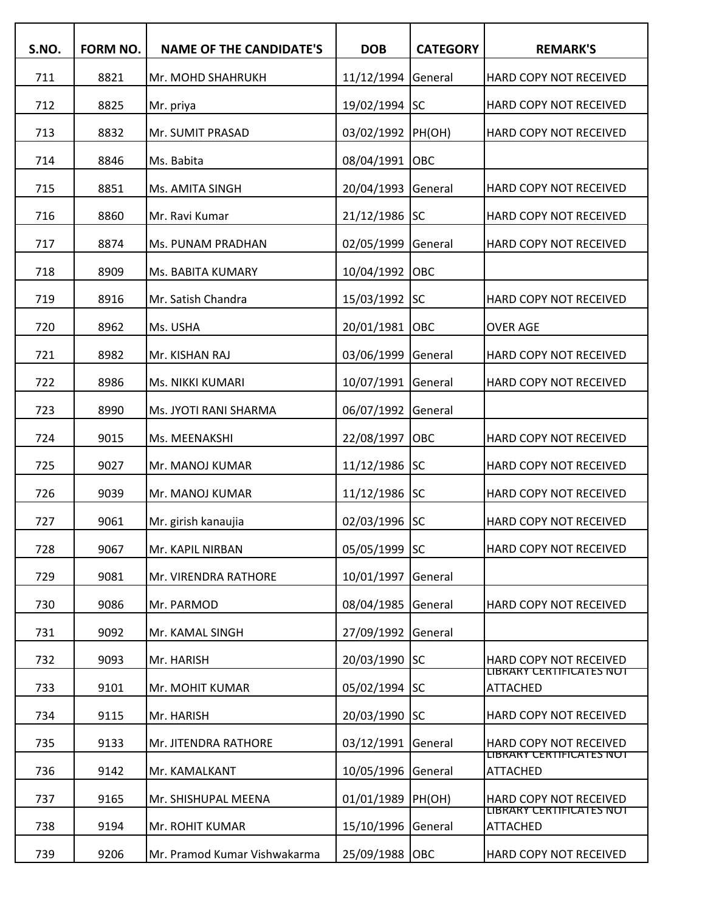| S.NO. | FORM NO. | <b>NAME OF THE CANDIDATE'S</b> | <b>DOB</b>         | <b>CATEGORY</b> | <b>REMARK'S</b>                                    |
|-------|----------|--------------------------------|--------------------|-----------------|----------------------------------------------------|
| 711   | 8821     | Mr. MOHD SHAHRUKH              | 11/12/1994 General |                 | HARD COPY NOT RECEIVED                             |
| 712   | 8825     | Mr. priya                      | 19/02/1994 SC      |                 | HARD COPY NOT RECEIVED                             |
| 713   | 8832     | Mr. SUMIT PRASAD               | 03/02/1992 PH(OH)  |                 | HARD COPY NOT RECEIVED                             |
| 714   | 8846     | Ms. Babita                     | 08/04/1991 OBC     |                 |                                                    |
| 715   | 8851     | Ms. AMITA SINGH                | 20/04/1993         | General         | HARD COPY NOT RECEIVED                             |
| 716   | 8860     | Mr. Ravi Kumar                 | 21/12/1986 SC      |                 | HARD COPY NOT RECEIVED                             |
| 717   | 8874     | Ms. PUNAM PRADHAN              | 02/05/1999         | General         | HARD COPY NOT RECEIVED                             |
| 718   | 8909     | Ms. BABITA KUMARY              | 10/04/1992         | <b>OBC</b>      |                                                    |
| 719   | 8916     | Mr. Satish Chandra             | 15/03/1992 SC      |                 | HARD COPY NOT RECEIVED                             |
| 720   | 8962     | Ms. USHA                       | 20/01/1981 OBC     |                 | <b>OVER AGE</b>                                    |
| 721   | 8982     | Mr. KISHAN RAJ                 | 03/06/1999         | General         | HARD COPY NOT RECEIVED                             |
| 722   | 8986     | Ms. NIKKI KUMARI               | 10/07/1991         | General         | HARD COPY NOT RECEIVED                             |
| 723   | 8990     | Ms. JYOTI RANI SHARMA          | 06/07/1992         | General         |                                                    |
| 724   | 9015     | Ms. MEENAKSHI                  | 22/08/1997         | OBC             | HARD COPY NOT RECEIVED                             |
| 725   | 9027     | Mr. MANOJ KUMAR                | 11/12/1986 SC      |                 | HARD COPY NOT RECEIVED                             |
| 726   | 9039     | Mr. MANOJ KUMAR                | 11/12/1986 SC      |                 | HARD COPY NOT RECEIVED                             |
| 727   | 9061     | Mr. girish kanaujia            | 02/03/1996 SC      |                 | <b>HARD COPY NOT RECEIVED</b>                      |
| 728   | 9067     | Mr. KAPIL NIRBAN               | 05/05/1999 SC      |                 | <b>HARD COPY NOT RECEIVED</b>                      |
| 729   | 9081     | Mr. VIRENDRA RATHORE           | 10/01/1997         | <b>General</b>  |                                                    |
| 730   | 9086     | Mr. PARMOD                     | 08/04/1985         | <b>General</b>  | HARD COPY NOT RECEIVED                             |
| 731   | 9092     | Mr. KAMAL SINGH                | 27/09/1992 General |                 |                                                    |
| 732   | 9093     | Mr. HARISH                     | 20/03/1990 SC      |                 | HARD COPY NOT RECEIVED                             |
| 733   | 9101     | Mr. MOHIT KUMAR                | 05/02/1994 SC      |                 | <u>LIBRARY CERTIFICATES NOT</u><br><b>ATTACHED</b> |
| 734   | 9115     | Mr. HARISH                     | 20/03/1990 SC      |                 | HARD COPY NOT RECEIVED                             |
| 735   | 9133     | Mr. JITENDRA RATHORE           | 03/12/1991 General |                 | HARD COPY NOT RECEIVED                             |
| 736   | 9142     | Mr. KAMALKANT                  | 10/05/1996 General |                 | LIBRARY CERTIFICATES NOT<br>ATTACHED               |
| 737   | 9165     | Mr. SHISHUPAL MEENA            | 01/01/1989  PH(OH) |                 | HARD COPY NOT RECEIVED                             |
| 738   | 9194     | Mr. ROHIT KUMAR                | 15/10/1996 General |                 | LIBRARY CERTIFICATES NOT<br><b>ATTACHED</b>        |
| 739   | 9206     | Mr. Pramod Kumar Vishwakarma   | 25/09/1988 OBC     |                 | HARD COPY NOT RECEIVED                             |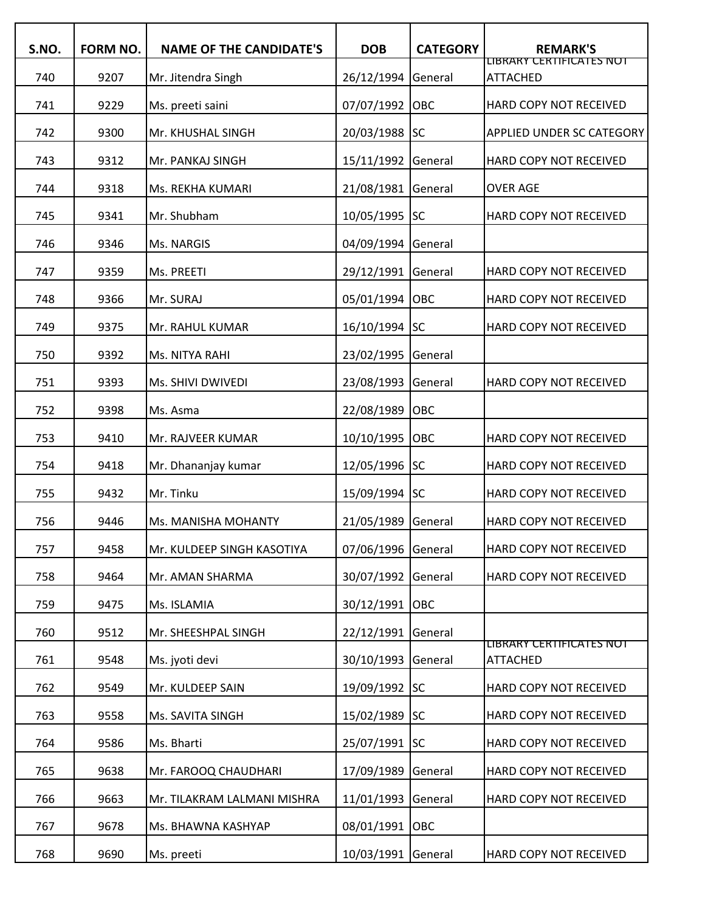| S.NO. | <b>FORM NO.</b> | <b>NAME OF THE CANDIDATE'S</b> | <b>DOB</b>         | <b>CATEGORY</b> | <b>REMARK'S</b>                                    |
|-------|-----------------|--------------------------------|--------------------|-----------------|----------------------------------------------------|
| 740   | 9207            | Mr. Jitendra Singh             | 26/12/1994         | General         | LIBRARY CERTIFICATES NOT<br><b>ATTACHED</b>        |
| 741   | 9229            | Ms. preeti saini               | 07/07/1992         | OBC             | HARD COPY NOT RECEIVED                             |
| 742   | 9300            | Mr. KHUSHAL SINGH              | 20/03/1988         | <b>SC</b>       | APPLIED UNDER SC CATEGORY                          |
| 743   | 9312            | Mr. PANKAJ SINGH               | 15/11/1992         | General         | HARD COPY NOT RECEIVED                             |
| 744   | 9318            | Ms. REKHA KUMARI               | 21/08/1981         | General         | <b>OVER AGE</b>                                    |
| 745   | 9341            | Mr. Shubham                    | 10/05/1995 SC      |                 | HARD COPY NOT RECEIVED                             |
| 746   | 9346            | Ms. NARGIS                     | 04/09/1994         | General         |                                                    |
| 747   | 9359            | Ms. PREETI                     | 29/12/1991         | General         | HARD COPY NOT RECEIVED                             |
| 748   | 9366            | Mr. SURAJ                      | 05/01/1994         | OBC             | HARD COPY NOT RECEIVED                             |
| 749   | 9375            | Mr. RAHUL KUMAR                | 16/10/1994 SC      |                 | HARD COPY NOT RECEIVED                             |
| 750   | 9392            | Ms. NITYA RAHI                 | 23/02/1995         | General         |                                                    |
| 751   | 9393            | Ms. SHIVI DWIVEDI              | 23/08/1993         | General         | HARD COPY NOT RECEIVED                             |
| 752   | 9398            | Ms. Asma                       | 22/08/1989         | OBC             |                                                    |
| 753   | 9410            | Mr. RAJVEER KUMAR              | 10/10/1995         | OBC             | HARD COPY NOT RECEIVED                             |
| 754   | 9418            | Mr. Dhananjay kumar            | 12/05/1996 SC      |                 | HARD COPY NOT RECEIVED                             |
| 755   | 9432            | Mr. Tinku                      | 15/09/1994 SC      |                 | HARD COPY NOT RECEIVED                             |
| 756   | 9446            | Ms. MANISHA MOHANTY            | 21/05/1989         | General         | HARD COPY NOT RECEIVED                             |
| 757   | 9458            | Mr. KULDEEP SINGH KASOTIYA     | 07/06/1996         | General         | HARD COPY NOT RECEIVED                             |
| 758   | 9464            | Mr. AMAN SHARMA                | 30/07/1992         | General         | HARD COPY NOT RECEIVED                             |
| 759   | 9475            | Ms. ISLAMIA                    | 30/12/1991         | OBC             |                                                    |
| 760   | 9512            | Mr. SHEESHPAL SINGH            | 22/12/1991         | General         |                                                    |
| 761   | 9548            | Ms. jyoti devi                 | 30/10/1993         | General         | <b>LIBRARY CERTIFICATES NOT</b><br><b>ATTACHED</b> |
| 762   | 9549            | Mr. KULDEEP SAIN               | 19/09/1992 SC      |                 | HARD COPY NOT RECEIVED                             |
| 763   | 9558            | Ms. SAVITA SINGH               | 15/02/1989         | <b>SC</b>       | HARD COPY NOT RECEIVED                             |
| 764   | 9586            | Ms. Bharti                     | 25/07/1991         | <b>SC</b>       | HARD COPY NOT RECEIVED                             |
| 765   | 9638            | Mr. FAROOQ CHAUDHARI           | 17/09/1989         | General         | HARD COPY NOT RECEIVED                             |
| 766   | 9663            | Mr. TILAKRAM LALMANI MISHRA    | 11/01/1993         | General         | HARD COPY NOT RECEIVED                             |
| 767   | 9678            | Ms. BHAWNA KASHYAP             | 08/01/1991         | OBC             |                                                    |
| 768   | 9690            | Ms. preeti                     | 10/03/1991 General |                 | HARD COPY NOT RECEIVED                             |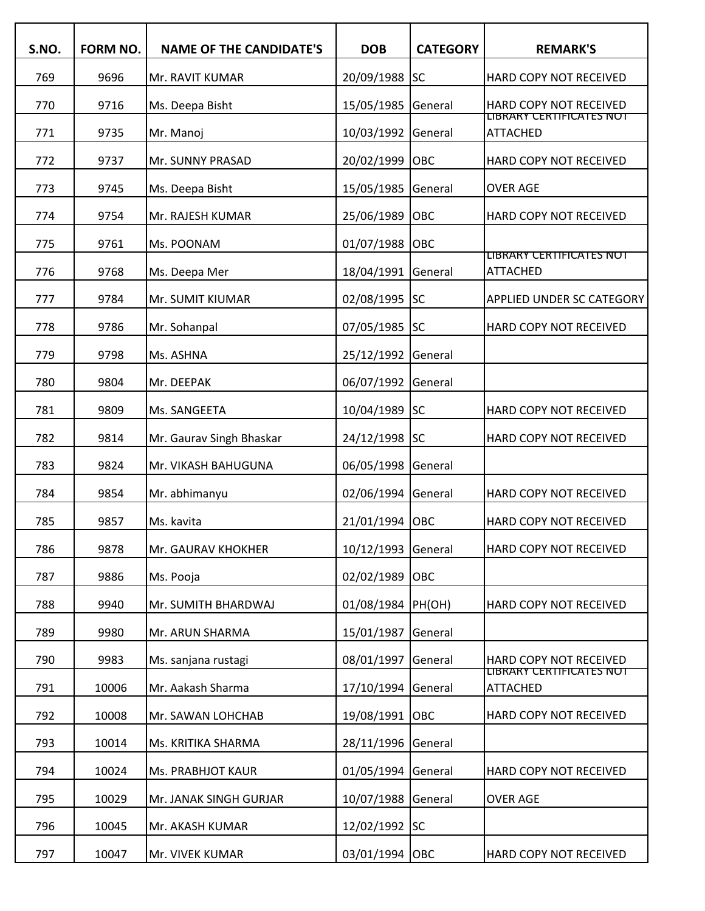| S.NO. | FORM NO. | <b>NAME OF THE CANDIDATE'S</b> | <b>DOB</b>    | <b>CATEGORY</b> | <b>REMARK'S</b>                             |
|-------|----------|--------------------------------|---------------|-----------------|---------------------------------------------|
| 769   | 9696     | Mr. RAVIT KUMAR                | 20/09/1988    | <b>SC</b>       | HARD COPY NOT RECEIVED                      |
| 770   | 9716     | Ms. Deepa Bisht                | 15/05/1985    | General         | HARD COPY NOT RECEIVED                      |
| 771   | 9735     | Mr. Manoj                      | 10/03/1992    | General         | LIBRARY CERTIFICATES NOT<br><b>ATTACHED</b> |
| 772   | 9737     | Mr. SUNNY PRASAD               | 20/02/1999    | OBC             | HARD COPY NOT RECEIVED                      |
| 773   | 9745     | Ms. Deepa Bisht                | 15/05/1985    | General         | <b>OVER AGE</b>                             |
| 774   | 9754     | Mr. RAJESH KUMAR               | 25/06/1989    | OBC             | HARD COPY NOT RECEIVED                      |
| 775   | 9761     | Ms. POONAM                     | 01/07/1988    | OBC             |                                             |
| 776   | 9768     | Ms. Deepa Mer                  | 18/04/1991    | General         | LIBRARY CERTIFICATES NOT<br><b>ATTACHED</b> |
| 777   | 9784     | Mr. SUMIT KIUMAR               | 02/08/1995 SC |                 | APPLIED UNDER SC CATEGORY                   |
| 778   | 9786     | Mr. Sohanpal                   | 07/05/1985 SC |                 | HARD COPY NOT RECEIVED                      |
| 779   | 9798     | Ms. ASHNA                      | 25/12/1992    | General         |                                             |
| 780   | 9804     | Mr. DEEPAK                     | 06/07/1992    | General         |                                             |
| 781   | 9809     | Ms. SANGEETA                   | 10/04/1989    | <b>SC</b>       | HARD COPY NOT RECEIVED                      |
| 782   | 9814     | Mr. Gaurav Singh Bhaskar       | 24/12/1998 SC |                 | HARD COPY NOT RECEIVED                      |
| 783   | 9824     | Mr. VIKASH BAHUGUNA            | 06/05/1998    | General         |                                             |
| 784   | 9854     | Mr. abhimanyu                  | 02/06/1994    | General         | HARD COPY NOT RECEIVED                      |
| 785   | 9857     | Ms. kavita                     | 21/01/1994    | OBC             | HARD COPY NOT RECEIVED                      |
| 786   | 9878     | Mr. GAURAV KHOKHER             | 10/12/1993    | General         | HARD COPY NOT RECEIVED                      |
| 787   | 9886     | Ms. Pooja                      | 02/02/1989    | <b>OBC</b>      |                                             |
| 788   | 9940     | Mr. SUMITH BHARDWAJ            | 01/08/1984    | PH(OH)          | HARD COPY NOT RECEIVED                      |
| 789   | 9980     | Mr. ARUN SHARMA                | 15/01/1987    | General         |                                             |
| 790   | 9983     | Ms. sanjana rustagi            | 08/01/1997    | General         | HARD COPY NOT RECEIVED                      |
| 791   | 10006    | Mr. Aakash Sharma              | 17/10/1994    | General         | LIBRARY CERTIFICATES NOT<br><b>ATTACHED</b> |
| 792   | 10008    | Mr. SAWAN LOHCHAB              | 19/08/1991    | <b>OBC</b>      | HARD COPY NOT RECEIVED                      |
| 793   | 10014    | Ms. KRITIKA SHARMA             | 28/11/1996    | General         |                                             |
| 794   | 10024    | Ms. PRABHJOT KAUR              | 01/05/1994    | General         | HARD COPY NOT RECEIVED                      |
| 795   | 10029    | Mr. JANAK SINGH GURJAR         | 10/07/1988    | General         | <b>OVER AGE</b>                             |
| 796   | 10045    | Mr. AKASH KUMAR                | 12/02/1992    | <b>SC</b>       |                                             |
| 797   | 10047    | Mr. VIVEK KUMAR                | 03/01/1994    | <b>OBC</b>      | HARD COPY NOT RECEIVED                      |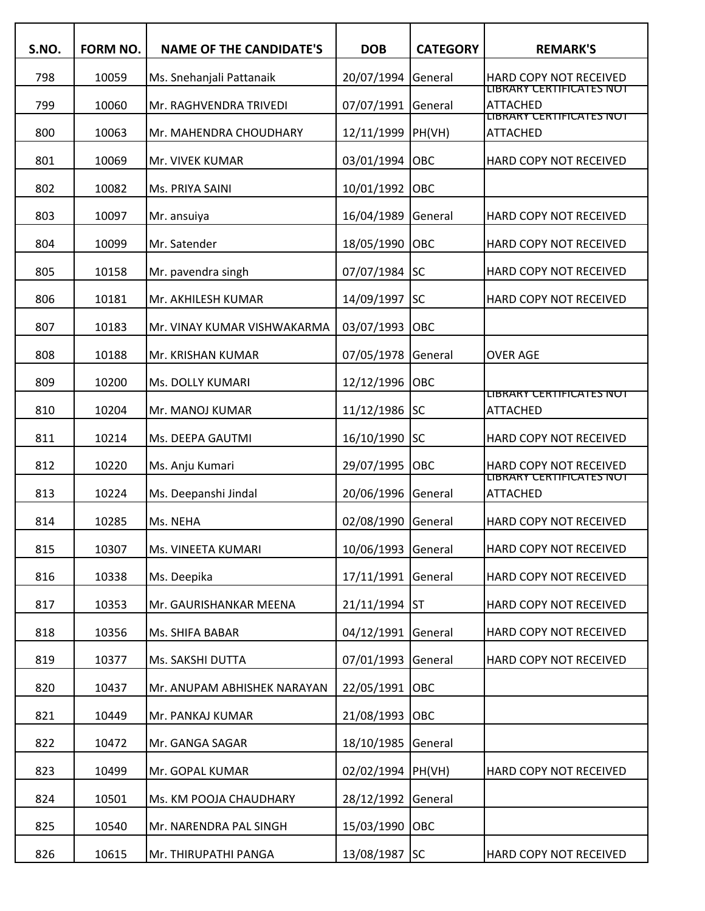| S.NO. | FORM NO. | <b>NAME OF THE CANDIDATE'S</b> | <b>DOB</b>         | <b>CATEGORY</b> | <b>REMARK'S</b>                                    |
|-------|----------|--------------------------------|--------------------|-----------------|----------------------------------------------------|
| 798   | 10059    | Ms. Snehanjali Pattanaik       | 20/07/1994 General |                 | HARD COPY NOT RECEIVED                             |
| 799   | 10060    | Mr. RAGHVENDRA TRIVEDI         | 07/07/1991         | General         | LIBRARY CERTIFICATES NOT<br>ATTACHED               |
| 800   | 10063    | Mr. MAHENDRA CHOUDHARY         | 12/11/1999         | PH(VH)          | LIBRARY CERTIFICATES NOT<br><b>ATTACHED</b>        |
| 801   | 10069    | Mr. VIVEK KUMAR                | 03/01/1994 OBC     |                 | HARD COPY NOT RECEIVED                             |
| 802   | 10082    | Ms. PRIYA SAINI                | 10/01/1992         | <b>OBC</b>      |                                                    |
| 803   | 10097    | Mr. ansuiya                    | 16/04/1989         | General         | HARD COPY NOT RECEIVED                             |
| 804   | 10099    | Mr. Satender                   | 18/05/1990         | OBC             | HARD COPY NOT RECEIVED                             |
| 805   | 10158    | Mr. pavendra singh             | 07/07/1984 SC      |                 | HARD COPY NOT RECEIVED                             |
| 806   | 10181    | Mr. AKHILESH KUMAR             | 14/09/1997 SC      |                 | HARD COPY NOT RECEIVED                             |
| 807   | 10183    | Mr. VINAY KUMAR VISHWAKARMA    | 03/07/1993         | OBC             |                                                    |
| 808   | 10188    | Mr. KRISHAN KUMAR              | 07/05/1978         | General         | <b>OVER AGE</b>                                    |
| 809   | 10200    | Ms. DOLLY KUMARI               | 12/12/1996 OBC     |                 |                                                    |
| 810   | 10204    | Mr. MANOJ KUMAR                | 11/12/1986 SC      |                 | <u>LIBRARY CERTIFICATES NOT</u><br><b>ATTACHED</b> |
| 811   | 10214    | Ms. DEEPA GAUTMI               | 16/10/1990         | SC              | HARD COPY NOT RECEIVED                             |
| 812   | 10220    | Ms. Anju Kumari                | 29/07/1995         | OBC             | HARD COPY NOT RECEIVED                             |
| 813   | 10224    | Ms. Deepanshi Jindal           | 20/06/1996 General |                 | LIBRARY CERTIFICATES NOT<br><b>ATTACHED</b>        |
| 814   | 10285    | Ms. NEHA                       | 02/08/1990         | General         | HARD COPY NOT RECEIVED                             |
| 815   | 10307    | Ms. VINEETA KUMARI             | 10/06/1993 General |                 | HARD COPY NOT RECEIVED                             |
| 816   | 10338    | Ms. Deepika                    | 17/11/1991 General |                 | HARD COPY NOT RECEIVED                             |
| 817   | 10353    | Mr. GAURISHANKAR MEENA         | 21/11/1994 ST      |                 | HARD COPY NOT RECEIVED                             |
| 818   | 10356    | Ms. SHIFA BABAR                | 04/12/1991 General |                 | HARD COPY NOT RECEIVED                             |
| 819   | 10377    | Ms. SAKSHI DUTTA               | 07/01/1993 General |                 | HARD COPY NOT RECEIVED                             |
| 820   | 10437    | Mr. ANUPAM ABHISHEK NARAYAN    | 22/05/1991         | OBC             |                                                    |
| 821   | 10449    | Mr. PANKAJ KUMAR               | 21/08/1993 OBC     |                 |                                                    |
| 822   | 10472    | Mr. GANGA SAGAR                | 18/10/1985 General |                 |                                                    |
| 823   | 10499    | Mr. GOPAL KUMAR                | 02/02/1994 PH(VH)  |                 | HARD COPY NOT RECEIVED                             |
| 824   | 10501    | Ms. KM POOJA CHAUDHARY         | 28/12/1992 General |                 |                                                    |
| 825   | 10540    | Mr. NARENDRA PAL SINGH         | 15/03/1990 OBC     |                 |                                                    |
| 826   | 10615    | Mr. THIRUPATHI PANGA           | 13/08/1987 SC      |                 | HARD COPY NOT RECEIVED                             |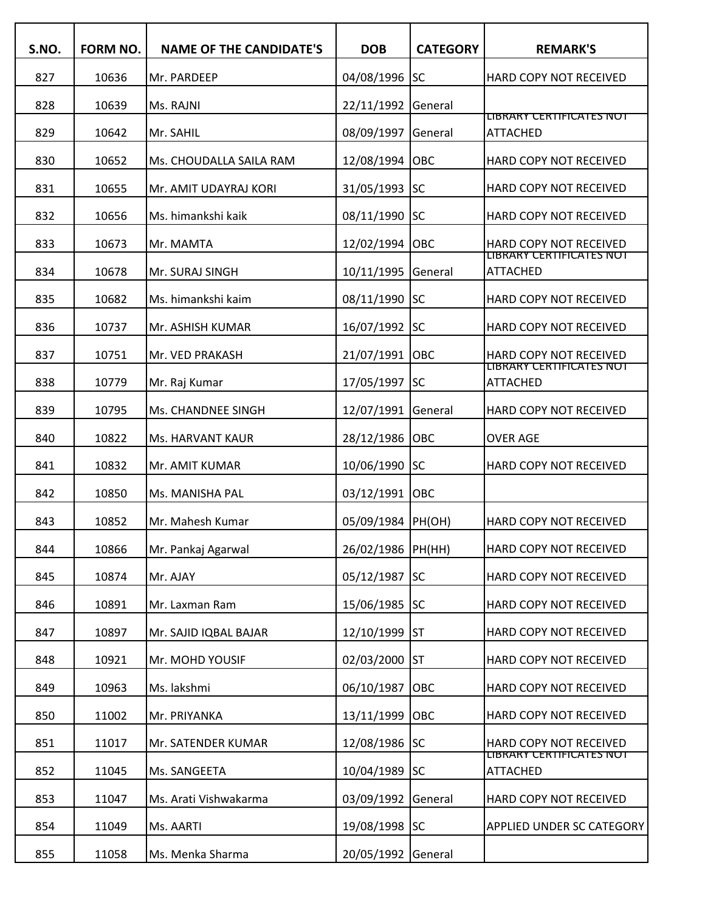| S.NO. | <b>FORM NO.</b> | <b>NAME OF THE CANDIDATE'S</b> | <b>DOB</b>        | <b>CATEGORY</b> | <b>REMARK'S</b>                                           |
|-------|-----------------|--------------------------------|-------------------|-----------------|-----------------------------------------------------------|
| 827   | 10636           | Mr. PARDEEP                    | 04/08/1996        | <b>SC</b>       | HARD COPY NOT RECEIVED                                    |
| 828   | 10639           | Ms. RAJNI                      | 22/11/1992        | General         |                                                           |
| 829   | 10642           | Mr. SAHIL                      | 08/09/1997        | General         | LIBRARY CERTIFICATES NOT<br><b>ATTACHED</b>               |
| 830   | 10652           | Ms. CHOUDALLA SAILA RAM        | 12/08/1994        | OBC             | HARD COPY NOT RECEIVED                                    |
| 831   | 10655           | Mr. AMIT UDAYRAJ KORI          | 31/05/1993        | <b>SC</b>       | HARD COPY NOT RECEIVED                                    |
| 832   | 10656           | Ms. himankshi kaik             | 08/11/1990        | lsc             | HARD COPY NOT RECEIVED                                    |
| 833   | 10673           | Mr. MAMTA                      | 12/02/1994        | OBC             | <b>HARD COPY NOT RECEIVED</b><br>LIBRARY CERTIFICATES NOT |
| 834   | 10678           | Mr. SURAJ SINGH                | 10/11/1995        | General         | <b>ATTACHED</b>                                           |
| 835   | 10682           | Ms. himankshi kaim             | 08/11/1990        | lsc             | HARD COPY NOT RECEIVED                                    |
| 836   | 10737           | Mr. ASHISH KUMAR               | 16/07/1992        | <b>SC</b>       | HARD COPY NOT RECEIVED                                    |
| 837   | 10751           | Mr. VED PRAKASH                | 21/07/1991        | OBC             | <b>HARD COPY NOT RECEIVED</b>                             |
| 838   | 10779           | Mr. Raj Kumar                  | 17/05/1997        | <b>SC</b>       | LIBRARY CERTIFICATES NOT<br><b>ATTACHED</b>               |
| 839   | 10795           | Ms. CHANDNEE SINGH             | 12/07/1991        | General         | HARD COPY NOT RECEIVED                                    |
| 840   | 10822           | Ms. HARVANT KAUR               | 28/12/1986        | OBC             | <b>OVER AGE</b>                                           |
| 841   | 10832           | Mr. AMIT KUMAR                 | 10/06/1990        | lsc             | <b>HARD COPY NOT RECEIVED</b>                             |
| 842   | 10850           | Ms. MANISHA PAL                | 03/12/1991        | OBC             |                                                           |
| 843   | 10852           | Mr. Mahesh Kumar               | 05/09/1984        | PH(OH)          | HARD COPY NOT RECEIVED                                    |
| 844   | 10866           | Mr. Pankaj Agarwal             | 26/02/1986 PH(HH) |                 | HARD COPY NOT RECEIVED                                    |
| 845   | 10874           | Mr. AJAY                       | 05/12/1987        | <b>SC</b>       | HARD COPY NOT RECEIVED                                    |
| 846   | 10891           | Mr. Laxman Ram                 | 15/06/1985        | lsc             | HARD COPY NOT RECEIVED                                    |
| 847   | 10897           | Mr. SAJID IQBAL BAJAR          | 12/10/1999        | lst             | HARD COPY NOT RECEIVED                                    |
| 848   | 10921           | Mr. MOHD YOUSIF                | 02/03/2000        | IST             | HARD COPY NOT RECEIVED                                    |
| 849   | 10963           | Ms. lakshmi                    | 06/10/1987        | <b>OBC</b>      | HARD COPY NOT RECEIVED                                    |
| 850   | 11002           | Mr. PRIYANKA                   | 13/11/1999        | OBC             | HARD COPY NOT RECEIVED                                    |
| 851   | 11017           | Mr. SATENDER KUMAR             | 12/08/1986        | <b>SC</b>       | HARD COPY NOT RECEIVED                                    |
| 852   | 11045           | Ms. SANGEETA                   | 10/04/1989        | <b>SC</b>       | LIBRARY CERTIFICATES NOT<br><b>ATTACHED</b>               |
| 853   | 11047           | Ms. Arati Vishwakarma          | 03/09/1992        | General         | HARD COPY NOT RECEIVED                                    |
| 854   | 11049           | Ms. AARTI                      | 19/08/1998 SC     |                 | <b>APPLIED UNDER SC CATEGORY</b>                          |
| 855   | 11058           | Ms. Menka Sharma               | 20/05/1992        | General         |                                                           |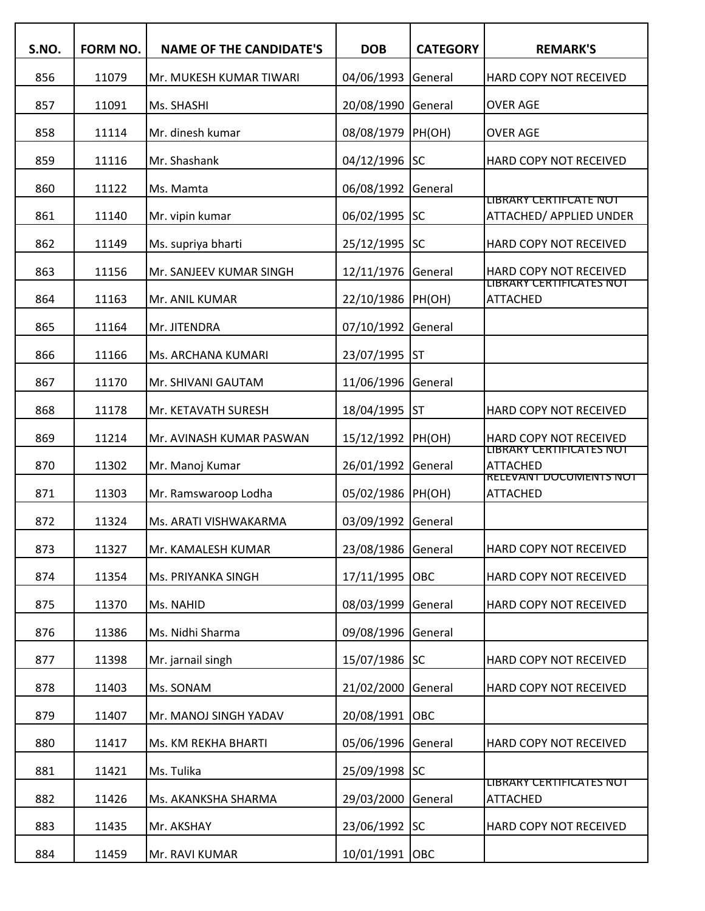| S.NO. | FORM NO. | <b>NAME OF THE CANDIDATE'S</b> | <b>DOB</b>        | <b>CATEGORY</b> | <b>REMARK'S</b>                                    |
|-------|----------|--------------------------------|-------------------|-----------------|----------------------------------------------------|
| 856   | 11079    | Mr. MUKESH KUMAR TIWARI        | 04/06/1993        | General         | HARD COPY NOT RECEIVED                             |
| 857   | 11091    | Ms. SHASHI                     | 20/08/1990        | General         | <b>OVER AGE</b>                                    |
| 858   | 11114    | Mr. dinesh kumar               | 08/08/1979        | PH(OH)          | <b>OVER AGE</b>                                    |
| 859   | 11116    | Mr. Shashank                   | 04/12/1996 SC     |                 | HARD COPY NOT RECEIVED                             |
| 860   | 11122    | Ms. Mamta                      | 06/08/1992        | General         |                                                    |
| 861   | 11140    | Mr. vipin kumar                | 06/02/1995 SC     |                 | LIBRARY CERTIFCATE NOT<br>ATTACHED/ APPLIED UNDER  |
| 862   | 11149    | Ms. supriya bharti             | 25/12/1995 SC     |                 | HARD COPY NOT RECEIVED                             |
| 863   | 11156    | Mr. SANJEEV KUMAR SINGH        | 12/11/1976        | General         | HARD COPY NOT RECEIVED                             |
| 864   | 11163    | Mr. ANIL KUMAR                 | 22/10/1986        | PH(OH)          | <b>LIBRARY CERTIFICATES NOT</b><br><b>ATTACHED</b> |
| 865   | 11164    | Mr. JITENDRA                   | 07/10/1992        | General         |                                                    |
| 866   | 11166    | Ms. ARCHANA KUMARI             | 23/07/1995        | lst             |                                                    |
| 867   | 11170    | Mr. SHIVANI GAUTAM             | 11/06/1996        | General         |                                                    |
| 868   | 11178    | Mr. KETAVATH SURESH            | 18/04/1995        | <b>ST</b>       | HARD COPY NOT RECEIVED                             |
| 869   | 11214    | Mr. AVINASH KUMAR PASWAN       | 15/12/1992        | PH(OH)          | HARD COPY NOT RECEIVED                             |
| 870   | 11302    | Mr. Manoj Kumar                | 26/01/1992        | General         | LIBRARY CERTIFICATES NOT<br><b>ATTACHED</b>        |
| 871   | 11303    | Mr. Ramswaroop Lodha           | 05/02/1986 PH(OH) |                 | <b>RELEVANT DOCUMENTS NOT</b><br><b>ATTACHED</b>   |
| 872   | 11324    | Ms. ARATI VISHWAKARMA          | 03/09/1992        | General         |                                                    |
| 873   | 11327    | Mr. KAMALESH KUMAR             | 23/08/1986        | General         | HARD COPY NOT RECEIVED                             |
| 874   | 11354    | Ms. PRIYANKA SINGH             | 17/11/1995        | <b>OBC</b>      | HARD COPY NOT RECEIVED                             |
| 875   | 11370    | Ms. NAHID                      | 08/03/1999        | General         | HARD COPY NOT RECEIVED                             |
| 876   | 11386    | Ms. Nidhi Sharma               | 09/08/1996        | General         |                                                    |
| 877   | 11398    | Mr. jarnail singh              | 15/07/1986 SC     |                 | HARD COPY NOT RECEIVED                             |
| 878   | 11403    | Ms. SONAM                      | 21/02/2000        | General         | HARD COPY NOT RECEIVED                             |
| 879   | 11407    | Mr. MANOJ SINGH YADAV          | 20/08/1991        | OBC             |                                                    |
| 880   | 11417    | Ms. KM REKHA BHARTI            | 05/06/1996        | General         | HARD COPY NOT RECEIVED                             |
| 881   | 11421    | Ms. Tulika                     | 25/09/1998 SC     |                 |                                                    |
| 882   | 11426    | Ms. AKANKSHA SHARMA            | 29/03/2000        | General         | <b>LIBRARY CERTIFICATES NOT</b><br><b>ATTACHED</b> |
| 883   | 11435    | Mr. AKSHAY                     | 23/06/1992        | <b>SC</b>       | HARD COPY NOT RECEIVED                             |
| 884   | 11459    | Mr. RAVI KUMAR                 | 10/01/1991 OBC    |                 |                                                    |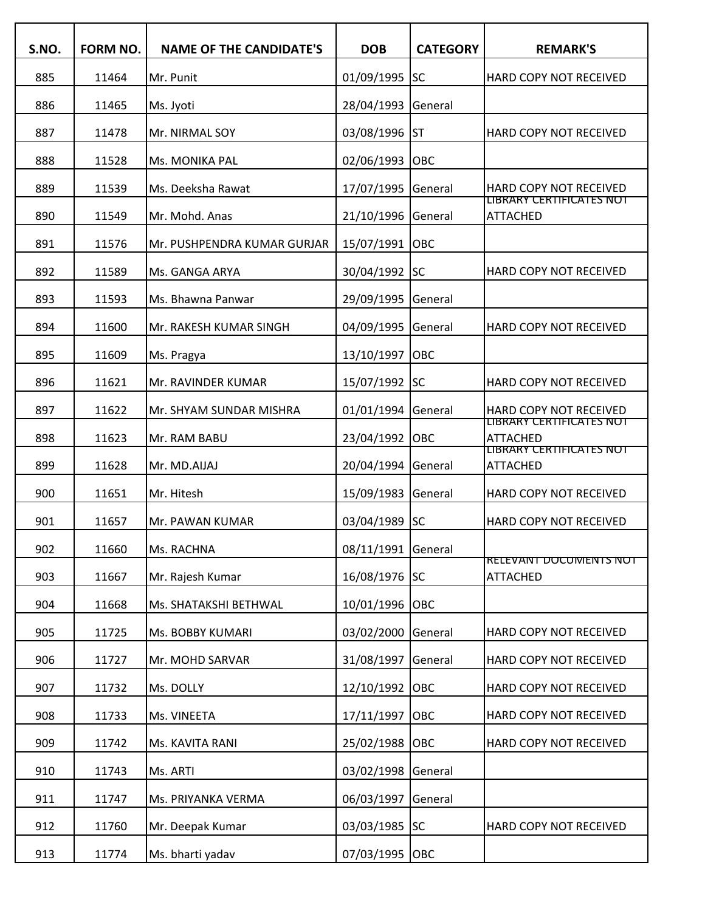| S.NO. | <b>FORM NO.</b> | <b>NAME OF THE CANDIDATE'S</b> | <b>DOB</b>     | <b>CATEGORY</b> | <b>REMARK'S</b>                                    |
|-------|-----------------|--------------------------------|----------------|-----------------|----------------------------------------------------|
| 885   | 11464           | Mr. Punit                      | 01/09/1995     | lsc             | HARD COPY NOT RECEIVED                             |
| 886   | 11465           | Ms. Jyoti                      | 28/04/1993     | General         |                                                    |
| 887   | 11478           | Mr. NIRMAL SOY                 | 03/08/1996     | <b>ST</b>       | <b>HARD COPY NOT RECEIVED</b>                      |
| 888   | 11528           | Ms. MONIKA PAL                 | 02/06/1993     | OBC             |                                                    |
| 889   | 11539           | Ms. Deeksha Rawat              | 17/07/1995     | General         | <b>HARD COPY NOT RECEIVED</b>                      |
| 890   | 11549           | Mr. Mohd. Anas                 | 21/10/1996     | General         | LIBRARY CERTIFICATES NOT<br><b>ATTACHED</b>        |
| 891   | 11576           | Mr. PUSHPENDRA KUMAR GURJAR    | 15/07/1991     | OBC             |                                                    |
| 892   | 11589           | Ms. GANGA ARYA                 | 30/04/1992     | <b>SC</b>       | HARD COPY NOT RECEIVED                             |
| 893   | 11593           | Ms. Bhawna Panwar              | 29/09/1995     | General         |                                                    |
| 894   | 11600           | Mr. RAKESH KUMAR SINGH         | 04/09/1995     | General         | HARD COPY NOT RECEIVED                             |
| 895   | 11609           | Ms. Pragya                     | 13/10/1997     | OBC             |                                                    |
| 896   | 11621           | Mr. RAVINDER KUMAR             | 15/07/1992 SC  |                 | HARD COPY NOT RECEIVED                             |
| 897   | 11622           | Mr. SHYAM SUNDAR MISHRA        | 01/01/1994     | General         | HARD COPY NOT RECEIVED<br>LIBRARY CERTIFICATES NOT |
| 898   | 11623           | Mr. RAM BABU                   | 23/04/1992     | OBC             | <b>ATTACHED</b>                                    |
| 899   | 11628           | Mr. MD.AIJAJ                   | 20/04/1994     | General         | <b>LIBRARY CERTIFICATES NOT</b><br><b>ATTACHED</b> |
| 900   | 11651           | Mr. Hitesh                     | 15/09/1983     | General         | HARD COPY NOT RECEIVED                             |
| 901   | 11657           | Mr. PAWAN KUMAR                | 03/04/1989     | lsc             | HARD COPY NOT RECEIVED                             |
| 902   | 11660           | Ms. RACHNA                     | 08/11/1991     | General         |                                                    |
| 903   | 11667           | Mr. Rajesh Kumar               | 16/08/1976 SC  |                 | <b>RELEVANT DOCUMENTS NOT</b><br><b>ATTACHED</b>   |
| 904   | 11668           | Ms. SHATAKSHI BETHWAL          | 10/01/1996     | Іовс            |                                                    |
| 905   | 11725           | Ms. BOBBY KUMARI               | 03/02/2000     | General         | HARD COPY NOT RECEIVED                             |
| 906   | 11727           | Mr. MOHD SARVAR                | 31/08/1997     | General         | HARD COPY NOT RECEIVED                             |
| 907   | 11732           | Ms. DOLLY                      | 12/10/1992     | <b>OBC</b>      | HARD COPY NOT RECEIVED                             |
| 908   | 11733           | Ms. VINEETA                    | 17/11/1997     | <b>OBC</b>      | HARD COPY NOT RECEIVED                             |
| 909   | 11742           | Ms. KAVITA RANI                | 25/02/1988     | <b>OBC</b>      | HARD COPY NOT RECEIVED                             |
| 910   | 11743           | Ms. ARTI                       | 03/02/1998     | General         |                                                    |
| 911   | 11747           | Ms. PRIYANKA VERMA             | 06/03/1997     | General         |                                                    |
| 912   | 11760           | Mr. Deepak Kumar               | 03/03/1985 SC  |                 | HARD COPY NOT RECEIVED                             |
| 913   | 11774           | Ms. bharti yadav               | 07/03/1995 OBC |                 |                                                    |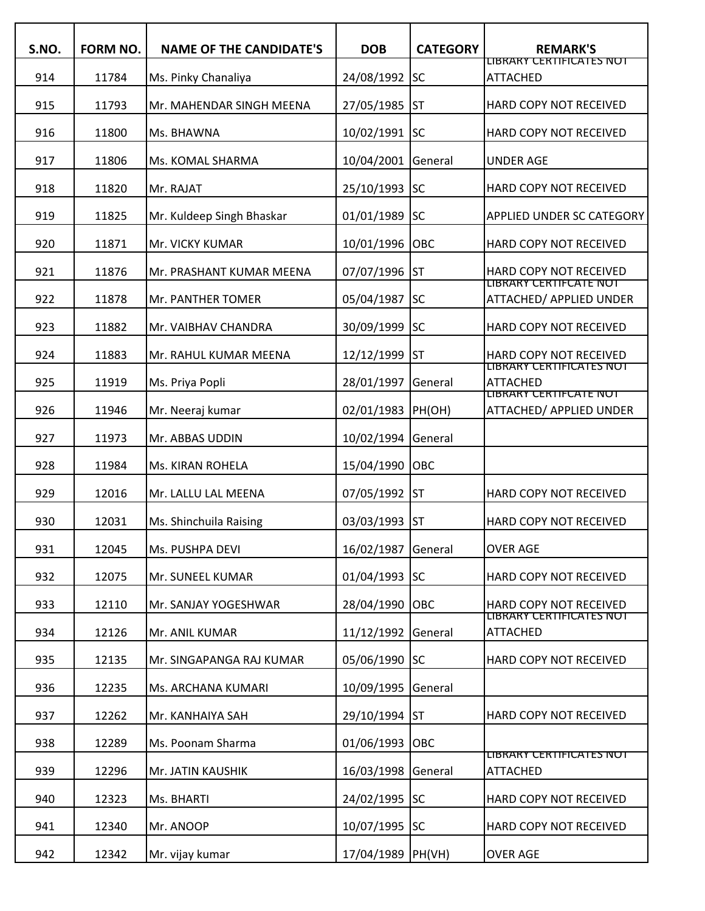| S.NO. | FORM NO. | <b>NAME OF THE CANDIDATE'S</b> | <b>DOB</b>         | <b>CATEGORY</b> | <b>REMARK'S</b>                                                       |
|-------|----------|--------------------------------|--------------------|-----------------|-----------------------------------------------------------------------|
| 914   | 11784    | Ms. Pinky Chanaliya            | 24/08/1992         | <b>SC</b>       | <b>LIBRARY CERTIFICATES NOT</b><br><b>ATTACHED</b>                    |
| 915   | 11793    | Mr. MAHENDAR SINGH MEENA       | 27/05/1985         | <b>ST</b>       | HARD COPY NOT RECEIVED                                                |
| 916   | 11800    | Ms. BHAWNA                     | 10/02/1991         | <b>SC</b>       | HARD COPY NOT RECEIVED                                                |
| 917   | 11806    | Ms. KOMAL SHARMA               | 10/04/2001         | General         | <b>UNDER AGE</b>                                                      |
| 918   | 11820    | Mr. RAJAT                      | 25/10/1993         | <b>SC</b>       | HARD COPY NOT RECEIVED                                                |
| 919   | 11825    | Mr. Kuldeep Singh Bhaskar      | 01/01/1989         | <b>SC</b>       | APPLIED UNDER SC CATEGORY                                             |
| 920   | 11871    | Mr. VICKY KUMAR                | 10/01/1996         | OBC             | HARD COPY NOT RECEIVED                                                |
| 921   | 11876    | Mr. PRASHANT KUMAR MEENA       | 07/07/1996         | ST              | HARD COPY NOT RECEIVED                                                |
| 922   | 11878    | Mr. PANTHER TOMER              | 05/04/1987         | lsc             | LIBRARY CERTIFCATE NOT<br>ATTACHED/ APPLIED UNDER                     |
| 923   | 11882    | Mr. VAIBHAV CHANDRA            | 30/09/1999         | lsc             | HARD COPY NOT RECEIVED                                                |
| 924   | 11883    | Mr. RAHUL KUMAR MEENA          | 12/12/1999         | ST              | HARD COPY NOT RECEIVED                                                |
| 925   | 11919    | Ms. Priya Popli                | 28/01/1997         | General         | LIBRARY CERTIFICATES NOT<br><b>ATTACHED</b><br>LIBRARY CERTIFCATE NOT |
| 926   | 11946    | Mr. Neeraj kumar               | 02/01/1983         | PH(OH)          | ATTACHED/ APPLIED UNDER                                               |
| 927   | 11973    | Mr. ABBAS UDDIN                | 10/02/1994         | General         |                                                                       |
| 928   | 11984    | Ms. KIRAN ROHELA               | 15/04/1990         | OBC             |                                                                       |
| 929   | 12016    | Mr. LALLU LAL MEENA            | 07/05/1992         | ST              | HARD COPY NOT RECEIVED                                                |
| 930   | 12031    | Ms. Shinchuila Raising         | 03/03/1993         | <b>ST</b>       | HARD COPY NOT RECEIVED                                                |
| 931   | 12045    | Ms. PUSHPA DEVI                | 16/02/1987         | General         | <b>OVER AGE</b>                                                       |
| 932   | 12075    | Mr. SUNEEL KUMAR               | 01/04/1993 SC      |                 | HARD COPY NOT RECEIVED                                                |
| 933   | 12110    | Mr. SANJAY YOGESHWAR           | 28/04/1990         | OBC             | HARD COPY NOT RECEIVED                                                |
| 934   | 12126    | Mr. ANIL KUMAR                 | 11/12/1992         | General         | LIBRARY CERTIFICATES NOT<br><b>ATTACHED</b>                           |
| 935   | 12135    | Mr. SINGAPANGA RAJ KUMAR       | 05/06/1990 SC      |                 | HARD COPY NOT RECEIVED                                                |
| 936   | 12235    | Ms. ARCHANA KUMARI             | 10/09/1995         | General         |                                                                       |
| 937   | 12262    | Mr. KANHAIYA SAH               | 29/10/1994 ST      |                 | HARD COPY NOT RECEIVED                                                |
| 938   | 12289    | Ms. Poonam Sharma              | 01/06/1993         | OBC             |                                                                       |
| 939   | 12296    | Mr. JATIN KAUSHIK              | 16/03/1998         | General         | LIBRARY CERTIFICATES NOT<br>ATTACHED                                  |
| 940   | 12323    | Ms. BHARTI                     | 24/02/1995 SC      |                 | HARD COPY NOT RECEIVED                                                |
| 941   | 12340    | Mr. ANOOP                      | 10/07/1995 SC      |                 | HARD COPY NOT RECEIVED                                                |
| 942   | 12342    | Mr. vijay kumar                | 17/04/1989  PH(VH) |                 | <b>OVER AGE</b>                                                       |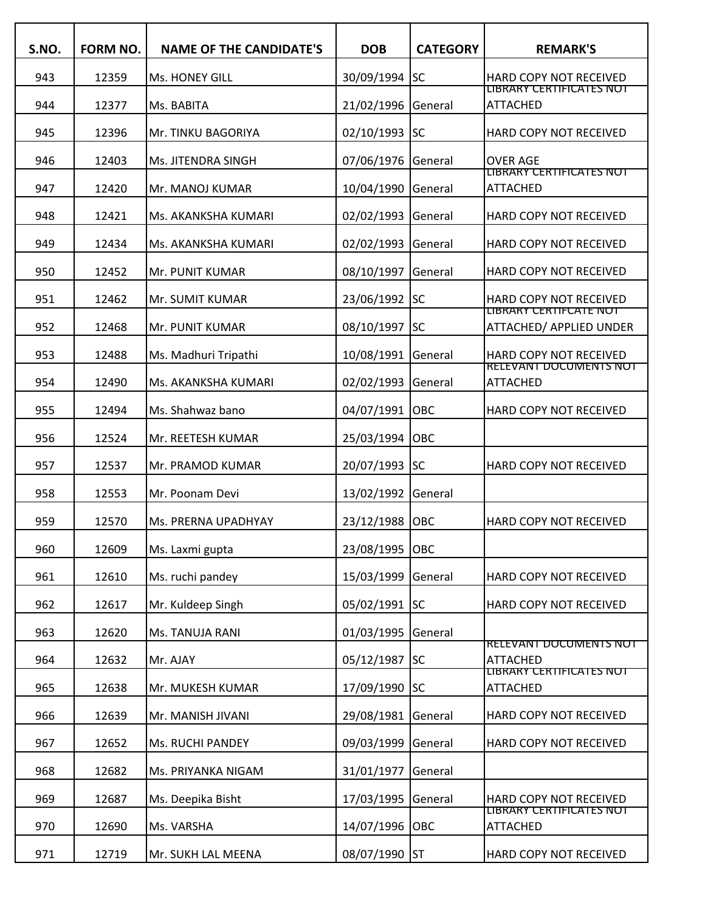| S.NO. | <b>FORM NO.</b> | <b>NAME OF THE CANDIDATE'S</b> | <b>DOB</b>         | <b>CATEGORY</b> | <b>REMARK'S</b>                                   |
|-------|-----------------|--------------------------------|--------------------|-----------------|---------------------------------------------------|
| 943   | 12359           | Ms. HONEY GILL                 | 30/09/1994 SC      |                 | HARD COPY NOT RECEIVED                            |
| 944   | 12377           | Ms. BABITA                     | 21/02/1996 General |                 | LIBRARY CERTIFICATES NOT<br><b>ATTACHED</b>       |
| 945   | 12396           | Mr. TINKU BAGORIYA             | 02/10/1993 SC      |                 | HARD COPY NOT RECEIVED                            |
| 946   | 12403           | Ms. JITENDRA SINGH             | 07/06/1976 General |                 | <b>OVER AGE</b>                                   |
| 947   | 12420           | Mr. MANOJ KUMAR                | 10/04/1990         | General         | LIBRARY CERTIFICATES NOT<br><b>ATTACHED</b>       |
| 948   | 12421           | Ms. AKANKSHA KUMARI            | 02/02/1993         | General         | HARD COPY NOT RECEIVED                            |
| 949   | 12434           | Ms. AKANKSHA KUMARI            | 02/02/1993         | General         | HARD COPY NOT RECEIVED                            |
| 950   | 12452           | Mr. PUNIT KUMAR                | 08/10/1997         | General         | HARD COPY NOT RECEIVED                            |
| 951   | 12462           | Mr. SUMIT KUMAR                | 23/06/1992 SC      |                 | <b>HARD COPY NOT RECEIVED</b>                     |
| 952   | 12468           | Mr. PUNIT KUMAR                | 08/10/1997         | <b>SC</b>       | LIBRARY CERTIFCATE NOT<br>ATTACHED/ APPLIED UNDER |
| 953   | 12488           | Ms. Madhuri Tripathi           | 10/08/1991         | General         | HARD COPY NOT RECEIVED                            |
| 954   | 12490           | Ms. AKANKSHA KUMARI            | 02/02/1993         | General         | <b>RELEVANT DOCUMENTS NOT</b><br>ATTACHED         |
| 955   | 12494           | Ms. Shahwaz bano               | 04/07/1991 OBC     |                 | HARD COPY NOT RECEIVED                            |
| 956   | 12524           | Mr. REETESH KUMAR              | 25/03/1994 OBC     |                 |                                                   |
| 957   | 12537           | Mr. PRAMOD KUMAR               | 20/07/1993 SC      |                 | HARD COPY NOT RECEIVED                            |
| 958   | 12553           | Mr. Poonam Devi                | 13/02/1992         | General         |                                                   |
| 959   | 12570           | Ms. PRERNA UPADHYAY            | 23/12/1988         | OBC             | HARD COPY NOT RECEIVED                            |
| 960   | 12609           | Ms. Laxmi gupta                | 23/08/1995 OBC     |                 |                                                   |
| 961   | 12610           | Ms. ruchi pandey               | 15/03/1999 General |                 | HARD COPY NOT RECEIVED                            |
| 962   | 12617           | Mr. Kuldeep Singh              | 05/02/1991 SC      |                 | HARD COPY NOT RECEIVED                            |
| 963   | 12620           | Ms. TANUJA RANI                | 01/03/1995 General |                 |                                                   |
| 964   | 12632           | Mr. AJAY                       | 05/12/1987         | <b>SC</b>       | RELEVANT DOCUMENTS NOT<br><b>ATTACHED</b>         |
| 965   | 12638           | Mr. MUKESH KUMAR               | 17/09/1990 SC      |                 | LIBRARY CERTIFICATES NOT<br><b>ATTACHED</b>       |
| 966   | 12639           | Mr. MANISH JIVANI              | 29/08/1981         | General         | HARD COPY NOT RECEIVED                            |
| 967   | 12652           | Ms. RUCHI PANDEY               | 09/03/1999         | General         | HARD COPY NOT RECEIVED                            |
| 968   | 12682           | Ms. PRIYANKA NIGAM             | 31/01/1977         | General         |                                                   |
| 969   | 12687           | Ms. Deepika Bisht              | 17/03/1995 General |                 | HARD COPY NOT RECEIVED                            |
| 970   | 12690           | Ms. VARSHA                     | 14/07/1996 OBC     |                 | LIBRARY CERTIFICATES NOT<br><b>ATTACHED</b>       |
| 971   | 12719           | Mr. SUKH LAL MEENA             | 08/07/1990 ST      |                 | HARD COPY NOT RECEIVED                            |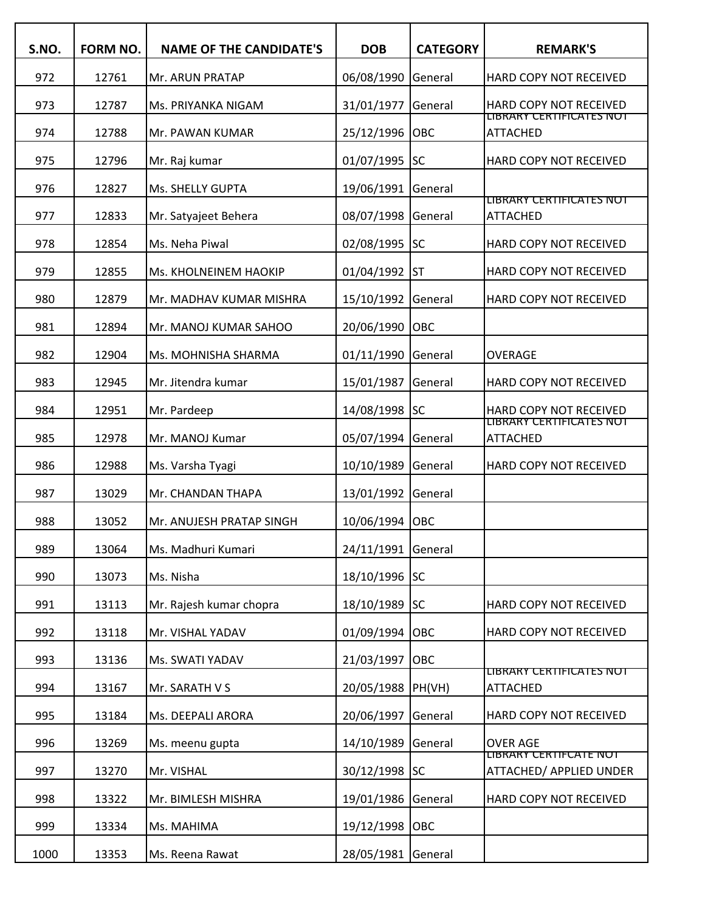| S.NO. | FORM NO. | <b>NAME OF THE CANDIDATE'S</b> | <b>DOB</b>         | <b>CATEGORY</b> | <b>REMARK'S</b>                                           |
|-------|----------|--------------------------------|--------------------|-----------------|-----------------------------------------------------------|
| 972   | 12761    | Mr. ARUN PRATAP                | 06/08/1990         | General         | HARD COPY NOT RECEIVED                                    |
| 973   | 12787    | Ms. PRIYANKA NIGAM             | 31/01/1977         | General         | HARD COPY NOT RECEIVED                                    |
| 974   | 12788    | Mr. PAWAN KUMAR                | 25/12/1996         | OBC             | LIBRARY CERTIFICATES NOT<br><b>ATTACHED</b>               |
| 975   | 12796    | Mr. Raj kumar                  | 01/07/1995         | lsc             | <b>HARD COPY NOT RECEIVED</b>                             |
| 976   | 12827    | Ms. SHELLY GUPTA               | 19/06/1991         | General         |                                                           |
| 977   | 12833    | Mr. Satyajeet Behera           | 08/07/1998         | General         | LIBRARY CERTIFICATES NOT<br><b>ATTACHED</b>               |
| 978   | 12854    | Ms. Neha Piwal                 | 02/08/1995         | lsc             | HARD COPY NOT RECEIVED                                    |
| 979   | 12855    | Ms. KHOLNEINEM HAOKIP          | 01/04/1992         | lst             | HARD COPY NOT RECEIVED                                    |
| 980   | 12879    | Mr. MADHAV KUMAR MISHRA        | 15/10/1992         | General         | HARD COPY NOT RECEIVED                                    |
| 981   | 12894    | Mr. MANOJ KUMAR SAHOO          | 20/06/1990         | OBC             |                                                           |
| 982   | 12904    | Ms. MOHNISHA SHARMA            | 01/11/1990         | General         | <b>OVERAGE</b>                                            |
| 983   | 12945    | Mr. Jitendra kumar             | 15/01/1987         | General         | HARD COPY NOT RECEIVED                                    |
| 984   | 12951    | Mr. Pardeep                    | 14/08/1998         | <b>SC</b>       | <b>HARD COPY NOT RECEIVED</b><br>LIBRARY CERTIFICATES NOT |
| 985   | 12978    | Mr. MANOJ Kumar                | 05/07/1994         | General         | <b>ATTACHED</b>                                           |
| 986   | 12988    | Ms. Varsha Tyagi               | 10/10/1989         | General         | HARD COPY NOT RECEIVED                                    |
| 987   | 13029    | Mr. CHANDAN THAPA              | 13/01/1992         | General         |                                                           |
| 988   | 13052    | Mr. ANUJESH PRATAP SINGH       | 10/06/1994         | OBC             |                                                           |
| 989   | 13064    | Ms. Madhuri Kumari             | 24/11/1991         | General         |                                                           |
| 990   | 13073    | Ms. Nisha                      | 18/10/1996 SC      |                 |                                                           |
| 991   | 13113    | Mr. Rajesh kumar chopra        | 18/10/1989         | <b>SC</b>       | HARD COPY NOT RECEIVED                                    |
| 992   | 13118    | Mr. VISHAL YADAV               | 01/09/1994         | <b>OBC</b>      | HARD COPY NOT RECEIVED                                    |
| 993   | 13136    | Ms. SWATI YADAV                | 21/03/1997         | OBC             |                                                           |
| 994   | 13167    | Mr. SARATH V S                 | 20/05/1988         | PH(VH)          | LIBRARY CERTIFICATES NOT<br><b>ATTACHED</b>               |
| 995   | 13184    | Ms. DEEPALI ARORA              | 20/06/1997         | General         | HARD COPY NOT RECEIVED                                    |
| 996   | 13269    | Ms. meenu gupta                | 14/10/1989         | General         | <b>OVER AGE</b>                                           |
| 997   | 13270    | Mr. VISHAL                     | 30/12/1998 SC      |                 | LIBRARY CERTIFCATE NOT<br>ATTACHED/ APPLIED UNDER         |
| 998   | 13322    | Mr. BIMLESH MISHRA             | 19/01/1986         | General         | HARD COPY NOT RECEIVED                                    |
| 999   | 13334    | Ms. MAHIMA                     | 19/12/1998         | OBC             |                                                           |
| 1000  | 13353    | Ms. Reena Rawat                | 28/05/1981 General |                 |                                                           |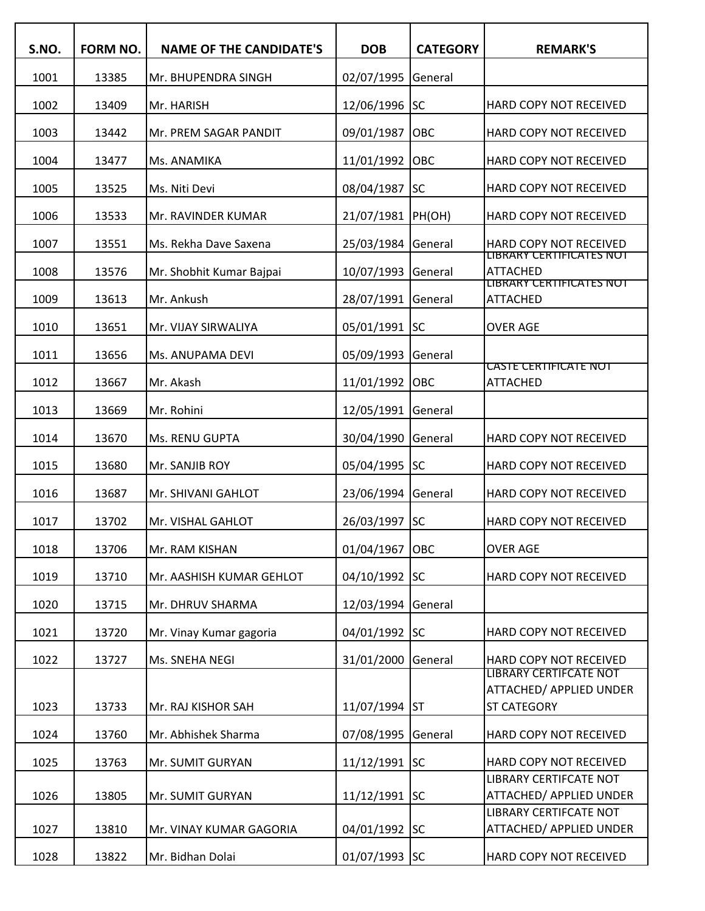| S.NO. | FORM NO. | <b>NAME OF THE CANDIDATE'S</b> | <b>DOB</b>    | <b>CATEGORY</b> | <b>REMARK'S</b>                                                 |
|-------|----------|--------------------------------|---------------|-----------------|-----------------------------------------------------------------|
| 1001  | 13385    | Mr. BHUPENDRA SINGH            | 02/07/1995    | General         |                                                                 |
| 1002  | 13409    | Mr. HARISH                     | 12/06/1996    | <b>SC</b>       | HARD COPY NOT RECEIVED                                          |
| 1003  | 13442    | Mr. PREM SAGAR PANDIT          | 09/01/1987    | OBC             | HARD COPY NOT RECEIVED                                          |
| 1004  | 13477    | Ms. ANAMIKA                    | 11/01/1992    | OBC             | HARD COPY NOT RECEIVED                                          |
| 1005  | 13525    | Ms. Niti Devi                  | 08/04/1987    | lsc             | HARD COPY NOT RECEIVED                                          |
| 1006  | 13533    | Mr. RAVINDER KUMAR             | 21/07/1981    | PH(OH)          | HARD COPY NOT RECEIVED                                          |
| 1007  | 13551    | Ms. Rekha Dave Saxena          | 25/03/1984    | General         | HARD COPY NOT RECEIVED<br>LIBRARY CERTIFICATES NOT              |
| 1008  | 13576    | Mr. Shobhit Kumar Bajpai       | 10/07/1993    | General         | <b>ATTACHED</b><br>LIBRARY CERTIFICATES NOT                     |
| 1009  | 13613    | Mr. Ankush                     | 28/07/1991    | General         | <b>ATTACHED</b>                                                 |
| 1010  | 13651    | Mr. VIJAY SIRWALIYA            | 05/01/1991    | <b>SC</b>       | <b>OVER AGE</b>                                                 |
| 1011  | 13656    | Ms. ANUPAMA DEVI               | 05/09/1993    | General         | <u>CASTE CERTIFICATE NOT</u>                                    |
| 1012  | 13667    | Mr. Akash                      | 11/01/1992    | OBC             | <b>ATTACHED</b>                                                 |
| 1013  | 13669    | Mr. Rohini                     | 12/05/1991    | General         |                                                                 |
| 1014  | 13670    | Ms. RENU GUPTA                 | 30/04/1990    | General         | HARD COPY NOT RECEIVED                                          |
| 1015  | 13680    | Mr. SANJIB ROY                 | 05/04/1995    | lsc             | HARD COPY NOT RECEIVED                                          |
| 1016  | 13687    | Mr. SHIVANI GAHLOT             | 23/06/1994    | General         | HARD COPY NOT RECEIVED                                          |
| 1017  | 13702    | Mr. VISHAL GAHLOT              | 26/03/1997    | <b>SC</b>       | HARD COPY NOT RECEIVED                                          |
| 1018  | 13706    | Mr. RAM KISHAN                 | 01/04/1967    | OBC             | <b>OVER AGE</b>                                                 |
| 1019  | 13710    | Mr. AASHISH KUMAR GEHLOT       | 04/10/1992    | <b>SC</b>       | HARD COPY NOT RECEIVED                                          |
| 1020  | 13715    | Mr. DHRUV SHARMA               | 12/03/1994    | General         |                                                                 |
| 1021  | 13720    | Mr. Vinay Kumar gagoria        | 04/01/1992 SC |                 | HARD COPY NOT RECEIVED                                          |
| 1022  | 13727    | Ms. SNEHA NEGI                 | 31/01/2000    | General         | HARD COPY NOT RECEIVED                                          |
|       |          |                                |               |                 | <b>LIBRARY CERTIFCATE NOT</b><br><b>ATTACHED/ APPLIED UNDER</b> |
| 1023  | 13733    | Mr. RAJ KISHOR SAH             | 11/07/1994 ST |                 | <b>ST CATEGORY</b>                                              |
| 1024  | 13760    | Mr. Abhishek Sharma            | 07/08/1995    | General         | HARD COPY NOT RECEIVED                                          |
| 1025  | 13763    | Mr. SUMIT GURYAN               | 11/12/1991    | <b>SC</b>       | HARD COPY NOT RECEIVED<br>LIBRARY CERTIFCATE NOT                |
| 1026  | 13805    | Mr. SUMIT GURYAN               | 11/12/1991 SC |                 | ATTACHED/ APPLIED UNDER                                         |
| 1027  | 13810    | Mr. VINAY KUMAR GAGORIA        | 04/01/1992    | <b>SC</b>       | LIBRARY CERTIFCATE NOT<br>ATTACHED/ APPLIED UNDER               |
| 1028  | 13822    | Mr. Bidhan Dolai               | 01/07/1993 SC |                 | HARD COPY NOT RECEIVED                                          |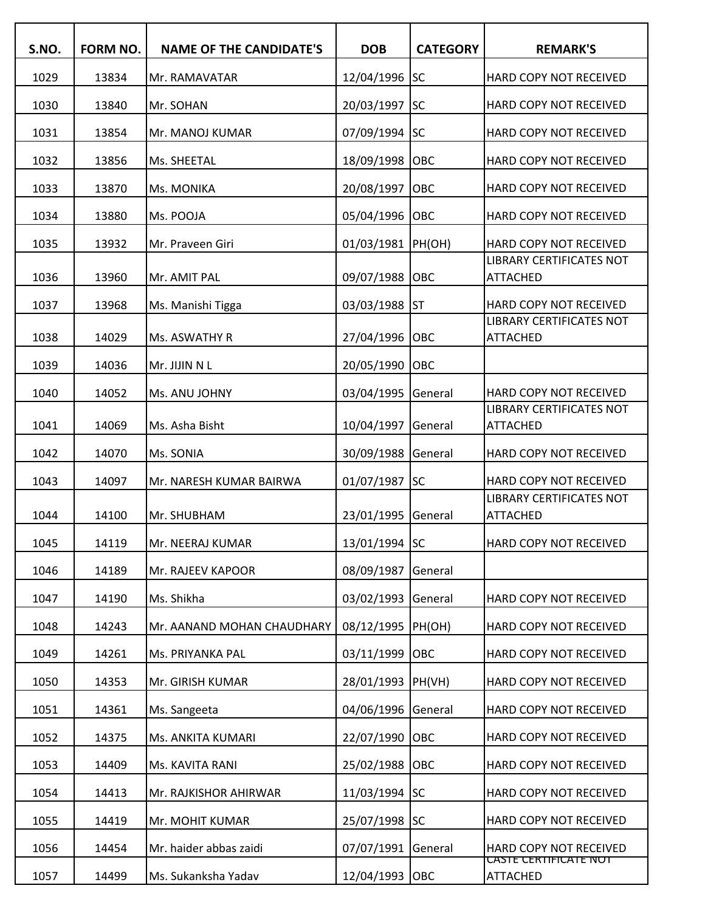| S.NO. | FORM NO. | <b>NAME OF THE CANDIDATE'S</b> | <b>DOB</b>     | <b>CATEGORY</b> | <b>REMARK'S</b>                                    |
|-------|----------|--------------------------------|----------------|-----------------|----------------------------------------------------|
| 1029  | 13834    | Mr. RAMAVATAR                  | 12/04/1996     | lsc             | HARD COPY NOT RECEIVED                             |
| 1030  | 13840    | Mr. SOHAN                      | 20/03/1997     | lsc             | HARD COPY NOT RECEIVED                             |
| 1031  | 13854    | Mr. MANOJ KUMAR                | 07/09/1994 SC  |                 | HARD COPY NOT RECEIVED                             |
| 1032  | 13856    | Ms. SHEETAL                    | 18/09/1998     | OBC             | HARD COPY NOT RECEIVED                             |
| 1033  | 13870    | Ms. MONIKA                     | 20/08/1997     | OBC             | HARD COPY NOT RECEIVED                             |
| 1034  | 13880    | Ms. POOJA                      | 05/04/1996     | OBC             | HARD COPY NOT RECEIVED                             |
| 1035  | 13932    | Mr. Praveen Giri               | 01/03/1981     | PH(OH)          | HARD COPY NOT RECEIVED                             |
| 1036  | 13960    | Mr. AMIT PAL                   | 09/07/1988     | OBC             | LIBRARY CERTIFICATES NOT<br><b>ATTACHED</b>        |
| 1037  | 13968    | Ms. Manishi Tigga              | 03/03/1988     | lst             | HARD COPY NOT RECEIVED                             |
|       |          |                                |                |                 | <b>LIBRARY CERTIFICATES NOT</b>                    |
| 1038  | 14029    | Ms. ASWATHY R                  | 27/04/1996     | OBC             | <b>ATTACHED</b>                                    |
| 1039  | 14036    | Mr. JIJIN N L                  | 20/05/1990     | OBC             |                                                    |
| 1040  | 14052    | Ms. ANU JOHNY                  | 03/04/1995     | General         | HARD COPY NOT RECEIVED                             |
| 1041  | 14069    | Ms. Asha Bisht                 | 10/04/1997     | General         | <b>LIBRARY CERTIFICATES NOT</b><br><b>ATTACHED</b> |
| 1042  | 14070    | Ms. SONIA                      | 30/09/1988     | General         | HARD COPY NOT RECEIVED                             |
| 1043  | 14097    | Mr. NARESH KUMAR BAIRWA        | 01/07/1987     | lsc             | HARD COPY NOT RECEIVED                             |
|       |          |                                |                |                 | <b>LIBRARY CERTIFICATES NOT</b>                    |
| 1044  | 14100    | Mr. SHUBHAM                    | 23/01/1995     | General         | <b>ATTACHED</b>                                    |
| 1045  | 14119    | Mr. NEERAJ KUMAR               | 13/01/1994 SC  |                 | HARD COPY NOT RECEIVED                             |
| 1046  | 14189    | Mr. RAJEEV KAPOOR              | 08/09/1987     | General         |                                                    |
| 1047  | 14190    | Ms. Shikha                     | 03/02/1993     | General         | HARD COPY NOT RECEIVED                             |
| 1048  | 14243    | Mr. AANAND MOHAN CHAUDHARY     | 08/12/1995     | PH(OH)          | HARD COPY NOT RECEIVED                             |
| 1049  | 14261    | Ms. PRIYANKA PAL               | 03/11/1999     | OBC             | HARD COPY NOT RECEIVED                             |
| 1050  | 14353    | Mr. GIRISH KUMAR               | 28/01/1993     | PH(VH)          | HARD COPY NOT RECEIVED                             |
| 1051  | 14361    | Ms. Sangeeta                   | 04/06/1996     | General         | HARD COPY NOT RECEIVED                             |
| 1052  | 14375    | Ms. ANKITA KUMARI              | 22/07/1990     | OBC             | HARD COPY NOT RECEIVED                             |
| 1053  | 14409    | Ms. KAVITA RANI                | 25/02/1988     | OBC             | HARD COPY NOT RECEIVED                             |
| 1054  | 14413    | Mr. RAJKISHOR AHIRWAR          | 11/03/1994     | <b>SC</b>       | HARD COPY NOT RECEIVED                             |
| 1055  | 14419    | Mr. MOHIT KUMAR                | 25/07/1998     | <b>SC</b>       | HARD COPY NOT RECEIVED                             |
| 1056  | 14454    | Mr. haider abbas zaidi         | 07/07/1991     | General         | HARD COPY NOT RECEIVED                             |
| 1057  | 14499    | Ms. Sukanksha Yadav            | 12/04/1993 OBC |                 | <u>CASTE CERTIFICATE NOT</u><br><b>ATTACHED</b>    |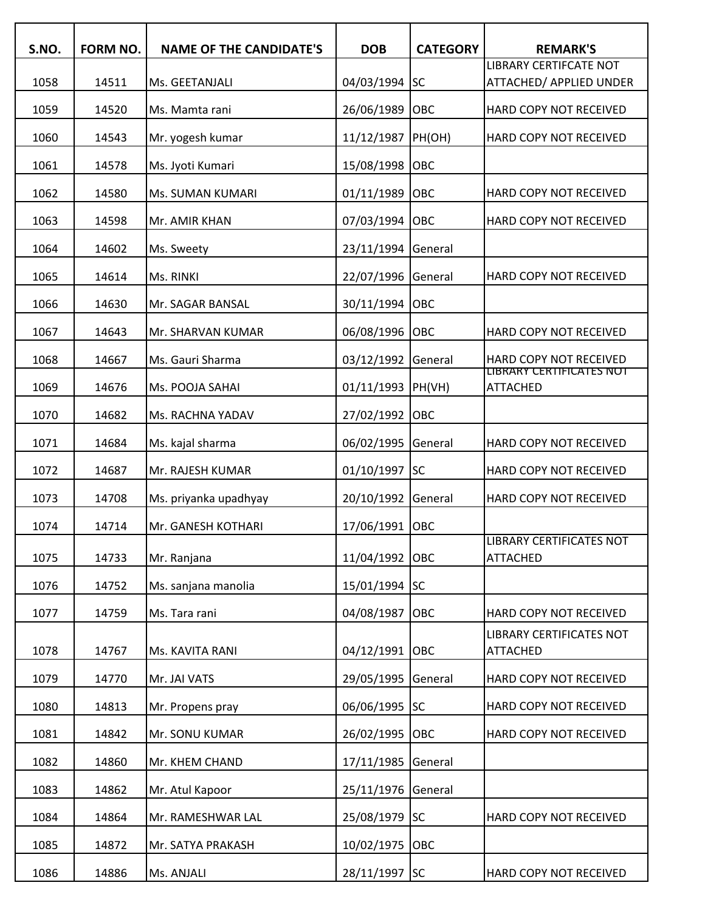| S.NO. | <b>FORM NO.</b> | <b>NAME OF THE CANDIDATE'S</b> | <b>DOB</b>    | <b>CATEGORY</b> | <b>REMARK'S</b>                                                 |
|-------|-----------------|--------------------------------|---------------|-----------------|-----------------------------------------------------------------|
| 1058  | 14511           | Ms. GEETANJALI                 | 04/03/1994    | <b>SC</b>       | <b>LIBRARY CERTIFCATE NOT</b><br><b>ATTACHED/ APPLIED UNDER</b> |
| 1059  | 14520           | Ms. Mamta rani                 | 26/06/1989    | OBC             | HARD COPY NOT RECEIVED                                          |
| 1060  | 14543           | Mr. yogesh kumar               | 11/12/1987    | PH(OH)          | HARD COPY NOT RECEIVED                                          |
| 1061  | 14578           | Ms. Jyoti Kumari               | 15/08/1998    | OBC             |                                                                 |
| 1062  | 14580           | Ms. SUMAN KUMARI               | 01/11/1989    | OBC             | HARD COPY NOT RECEIVED                                          |
| 1063  | 14598           | Mr. AMIR KHAN                  | 07/03/1994    | OBC             | HARD COPY NOT RECEIVED                                          |
| 1064  | 14602           | Ms. Sweety                     | 23/11/1994    | General         |                                                                 |
| 1065  | 14614           | Ms. RINKI                      | 22/07/1996    | General         | HARD COPY NOT RECEIVED                                          |
| 1066  | 14630           | Mr. SAGAR BANSAL               | 30/11/1994    | OBC             |                                                                 |
| 1067  | 14643           | Mr. SHARVAN KUMAR              | 06/08/1996    | OBC             | HARD COPY NOT RECEIVED                                          |
| 1068  | 14667           | Ms. Gauri Sharma               | 03/12/1992    | General         | <b>HARD COPY NOT RECEIVED</b>                                   |
| 1069  | 14676           | Ms. POOJA SAHAI                | 01/11/1993    | PH(VH)          | LIBRARY CERTIFICATES NOT<br><b>ATTACHED</b>                     |
| 1070  | 14682           | Ms. RACHNA YADAV               | 27/02/1992    | OBC             |                                                                 |
| 1071  | 14684           | Ms. kajal sharma               | 06/02/1995    | General         | HARD COPY NOT RECEIVED                                          |
| 1072  | 14687           | Mr. RAJESH KUMAR               | 01/10/1997    | <b>SC</b>       | HARD COPY NOT RECEIVED                                          |
| 1073  | 14708           | Ms. priyanka upadhyay          | 20/10/1992    | General         | HARD COPY NOT RECEIVED                                          |
| 1074  | 14714           | Mr. GANESH KOTHARI             | 17/06/1991    | OBC             |                                                                 |
| 1075  | 14733           | Mr. Ranjana                    | 11/04/1992    | <b>OBC</b>      | LIBRARY CERTIFICATES NOT<br><b>ATTACHED</b>                     |
| 1076  | 14752           | Ms. sanjana manolia            | 15/01/1994    | <b>SC</b>       |                                                                 |
| 1077  | 14759           | Ms. Tara rani                  | 04/08/1987    | OBC             | HARD COPY NOT RECEIVED                                          |
| 1078  | 14767           | Ms. KAVITA RANI                | 04/12/1991    | <b>OBC</b>      | LIBRARY CERTIFICATES NOT<br><b>ATTACHED</b>                     |
| 1079  | 14770           | Mr. JAI VATS                   | 29/05/1995    | General         | HARD COPY NOT RECEIVED                                          |
| 1080  | 14813           | Mr. Propens pray               | 06/06/1995    | <b>SC</b>       | HARD COPY NOT RECEIVED                                          |
| 1081  | 14842           | Mr. SONU KUMAR                 | 26/02/1995    | OBC             | HARD COPY NOT RECEIVED                                          |
| 1082  | 14860           | Mr. KHEM CHAND                 | 17/11/1985    | General         |                                                                 |
| 1083  | 14862           | Mr. Atul Kapoor                | 25/11/1976    | General         |                                                                 |
| 1084  | 14864           | Mr. RAMESHWAR LAL              | 25/08/1979    | <b>SC</b>       | HARD COPY NOT RECEIVED                                          |
| 1085  | 14872           | Mr. SATYA PRAKASH              | 10/02/1975    | OBC             |                                                                 |
| 1086  | 14886           | Ms. ANJALI                     | 28/11/1997 SC |                 | HARD COPY NOT RECEIVED                                          |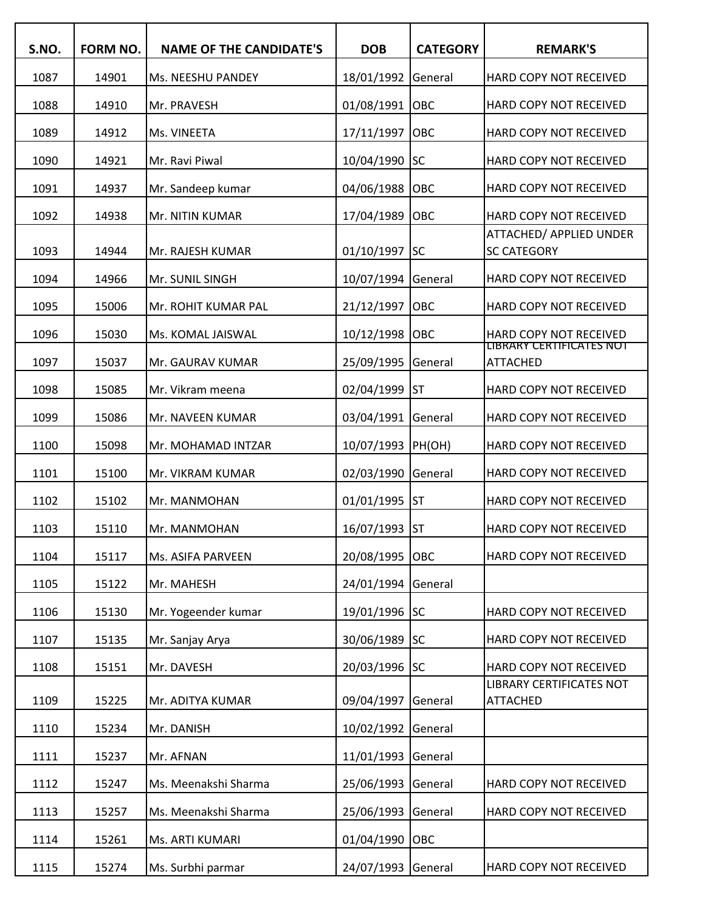| S.NO. | FORM NO. | <b>NAME OF THE CANDIDATE'S</b> | <b>DOB</b>                       | <b>CATEGORY</b> | <b>REMARK'S</b>                                    |
|-------|----------|--------------------------------|----------------------------------|-----------------|----------------------------------------------------|
| 1087  | 14901    | Ms. NEESHU PANDEY              |                                  |                 | HARD COPY NOT RECEIVED                             |
| 1088  | 14910    | Mr. PRAVESH                    | 18/01/1992 General<br>01/08/1991 | <b>OBC</b>      | HARD COPY NOT RECEIVED                             |
|       |          |                                |                                  |                 |                                                    |
| 1089  | 14912    | Ms. VINEETA                    | 17/11/1997                       | OBC             | HARD COPY NOT RECEIVED                             |
| 1090  | 14921    | Mr. Ravi Piwal                 | 10/04/1990                       | <b>SC</b>       | HARD COPY NOT RECEIVED                             |
| 1091  | 14937    | Mr. Sandeep kumar              | 04/06/1988                       | OBC             | HARD COPY NOT RECEIVED                             |
| 1092  | 14938    | Mr. NITIN KUMAR                | 17/04/1989                       | <b>OBC</b>      | HARD COPY NOT RECEIVED<br>ATTACHED/ APPLIED UNDER  |
| 1093  | 14944    | Mr. RAJESH KUMAR               | 01/10/1997                       | <b>SC</b>       | <b>SC CATEGORY</b>                                 |
| 1094  | 14966    | Mr. SUNIL SINGH                | 10/07/1994                       | General         | HARD COPY NOT RECEIVED                             |
| 1095  | 15006    | Mr. ROHIT KUMAR PAL            | 21/12/1997                       | Іовс            | HARD COPY NOT RECEIVED                             |
| 1096  | 15030    | Ms. KOMAL JAISWAL              | 10/12/1998                       | <b>OBC</b>      | HARD COPY NOT RECEIVED                             |
| 1097  | 15037    | Mr. GAURAV KUMAR               | 25/09/1995                       | General         | LIBRARY CERTIFICATES NOT<br><b>ATTACHED</b>        |
| 1098  | 15085    | Mr. Vikram meena               | 02/04/1999                       | <b>I</b> ST     | HARD COPY NOT RECEIVED                             |
| 1099  | 15086    | Mr. NAVEEN KUMAR               | 03/04/1991                       | <b>General</b>  | HARD COPY NOT RECEIVED                             |
| 1100  | 15098    | Mr. MOHAMAD INTZAR             | 10/07/1993  PH(OH)               |                 | HARD COPY NOT RECEIVED                             |
| 1101  | 15100    | Mr. VIKRAM KUMAR               | 02/03/1990                       | General         | HARD COPY NOT RECEIVED                             |
| 1102  | 15102    | Mr. MANMOHAN                   | 01/01/1995                       | <b>I</b> ST     | HARD COPY NOT RECEIVED                             |
| 1103  | 15110    | Mr. MANMOHAN                   | 16/07/1993 ST                    |                 | HARD COPY NOT RECEIVED                             |
| 1104  | 15117    | Ms. ASIFA PARVEEN              | 20/08/1995 OBC                   |                 | HARD COPY NOT RECEIVED                             |
| 1105  | 15122    | Mr. MAHESH                     | 24/01/1994                       | General         |                                                    |
| 1106  | 15130    | Mr. Yogeender kumar            | 19/01/1996 SC                    |                 | HARD COPY NOT RECEIVED                             |
| 1107  | 15135    | Mr. Sanjay Arya                | 30/06/1989 SC                    |                 | HARD COPY NOT RECEIVED                             |
| 1108  | 15151    | Mr. DAVESH                     | 20/03/1996 SC                    |                 | HARD COPY NOT RECEIVED                             |
| 1109  | 15225    | Mr. ADITYA KUMAR               | 09/04/1997                       | General         | <b>LIBRARY CERTIFICATES NOT</b><br><b>ATTACHED</b> |
|       |          |                                |                                  |                 |                                                    |
| 1110  | 15234    | Mr. DANISH                     | 10/02/1992                       | General         |                                                    |
| 1111  | 15237    | Mr. AFNAN                      | 11/01/1993                       | General         |                                                    |
| 1112  | 15247    | Ms. Meenakshi Sharma           | 25/06/1993                       | General         | HARD COPY NOT RECEIVED                             |
| 1113  | 15257    | Ms. Meenakshi Sharma           | 25/06/1993                       | General         | HARD COPY NOT RECEIVED                             |
| 1114  | 15261    | Ms. ARTI KUMARI                | 01/04/1990 OBC                   |                 |                                                    |
| 1115  | 15274    | Ms. Surbhi parmar              | 24/07/1993 General               |                 | HARD COPY NOT RECEIVED                             |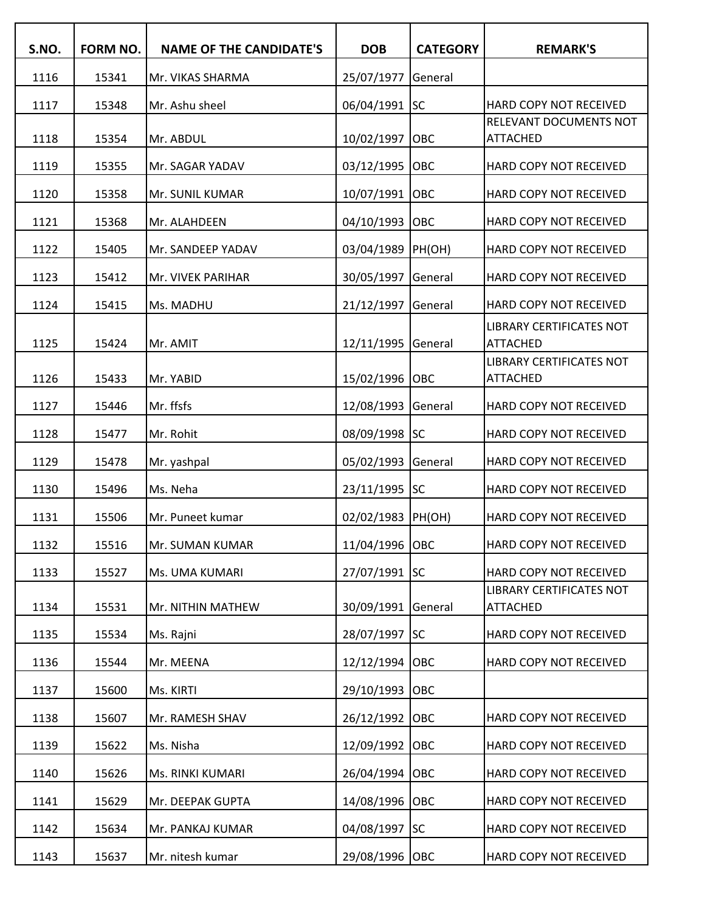| S.NO. | FORM NO. | <b>NAME OF THE CANDIDATE'S</b> | <b>DOB</b>         | <b>CATEGORY</b> | <b>REMARK'S</b>                                    |
|-------|----------|--------------------------------|--------------------|-----------------|----------------------------------------------------|
| 1116  | 15341    | Mr. VIKAS SHARMA               | 25/07/1977         | General         |                                                    |
| 1117  | 15348    | Mr. Ashu sheel                 | 06/04/1991         | <b>SC</b>       | HARD COPY NOT RECEIVED                             |
| 1118  | 15354    | Mr. ABDUL                      | 10/02/1997         | OBC             | RELEVANT DOCUMENTS NOT<br><b>ATTACHED</b>          |
| 1119  | 15355    | Mr. SAGAR YADAV                | 03/12/1995         | OBC             | HARD COPY NOT RECEIVED                             |
| 1120  | 15358    | Mr. SUNIL KUMAR                | 10/07/1991         | OBC             | HARD COPY NOT RECEIVED                             |
| 1121  | 15368    | Mr. ALAHDEEN                   | 04/10/1993         | OBC             | HARD COPY NOT RECEIVED                             |
| 1122  | 15405    | Mr. SANDEEP YADAV              | 03/04/1989         | PH(OH)          | HARD COPY NOT RECEIVED                             |
| 1123  | 15412    | Mr. VIVEK PARIHAR              | 30/05/1997         | General         | HARD COPY NOT RECEIVED                             |
| 1124  | 15415    | Ms. MADHU                      | 21/12/1997         | General         | HARD COPY NOT RECEIVED                             |
|       |          |                                |                    |                 | <b>LIBRARY CERTIFICATES NOT</b>                    |
| 1125  | 15424    | Mr. AMIT                       | 12/11/1995 General |                 | <b>ATTACHED</b>                                    |
| 1126  | 15433    | Mr. YABID                      | 15/02/1996 OBC     |                 | <b>LIBRARY CERTIFICATES NOT</b><br><b>ATTACHED</b> |
| 1127  | 15446    | Mr. ffsfs                      | 12/08/1993 General |                 | HARD COPY NOT RECEIVED                             |
| 1128  | 15477    | Mr. Rohit                      | 08/09/1998 SC      |                 | HARD COPY NOT RECEIVED                             |
| 1129  | 15478    | Mr. yashpal                    | 05/02/1993 General |                 | HARD COPY NOT RECEIVED                             |
| 1130  | 15496    | Ms. Neha                       | 23/11/1995 SC      |                 | HARD COPY NOT RECEIVED                             |
| 1131  | 15506    | Mr. Puneet kumar               | 02/02/1983 PH(OH)  |                 | HARD COPY NOT RECEIVED                             |
| 1132  | 15516    | Mr. SUMAN KUMAR                | 11/04/1996 OBC     |                 | HARD COPY NOT RECEIVED                             |
| 1133  | 15527    | Ms. UMA KUMARI                 | 27/07/1991 SC      |                 | HARD COPY NOT RECEIVED                             |
| 1134  | 15531    | Mr. NITHIN MATHEW              | 30/09/1991         | General         | <b>LIBRARY CERTIFICATES NOT</b><br><b>ATTACHED</b> |
| 1135  | 15534    | Ms. Rajni                      | 28/07/1997 SC      |                 | HARD COPY NOT RECEIVED                             |
| 1136  | 15544    | Mr. MEENA                      | 12/12/1994         | <b>OBC</b>      | HARD COPY NOT RECEIVED                             |
| 1137  | 15600    | Ms. KIRTI                      | 29/10/1993         | OBC             |                                                    |
| 1138  | 15607    | Mr. RAMESH SHAV                | 26/12/1992         | OBC             | HARD COPY NOT RECEIVED                             |
| 1139  | 15622    | Ms. Nisha                      | 12/09/1992         | OBC             | HARD COPY NOT RECEIVED                             |
| 1140  | 15626    | Ms. RINKI KUMARI               | 26/04/1994         | OBC             | HARD COPY NOT RECEIVED                             |
| 1141  | 15629    | Mr. DEEPAK GUPTA               | 14/08/1996         | OBC             | HARD COPY NOT RECEIVED                             |
| 1142  | 15634    | Mr. PANKAJ KUMAR               | 04/08/1997         | <b>SC</b>       | HARD COPY NOT RECEIVED                             |
| 1143  | 15637    | Mr. nitesh kumar               | 29/08/1996 OBC     |                 | HARD COPY NOT RECEIVED                             |